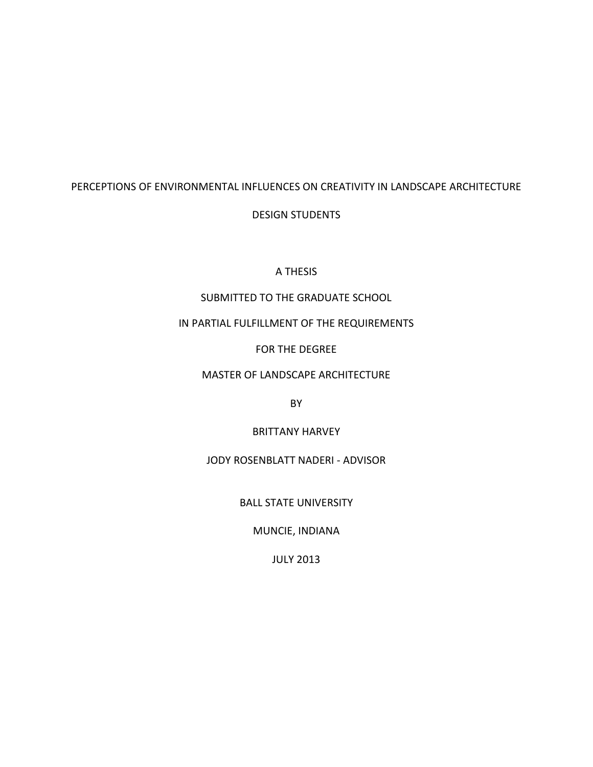# PERCEPTIONS OF ENVIRONMENTAL INFLUENCES ON CREATIVITY IN LANDSCAPE ARCHITECTURE

# DESIGN STUDENTS

## A THESIS

# SUBMITTED TO THE GRADUATE SCHOOL

## IN PARTIAL FULFILLMENT OF THE REQUIREMENTS

FOR THE DEGREE

# MASTER OF LANDSCAPE ARCHITECTURE

BY

BRITTANY HARVEY

JODY ROSENBLATT NADERI - ADVISOR

BALL STATE UNIVERSITY

MUNCIE, INDIANA

JULY 2013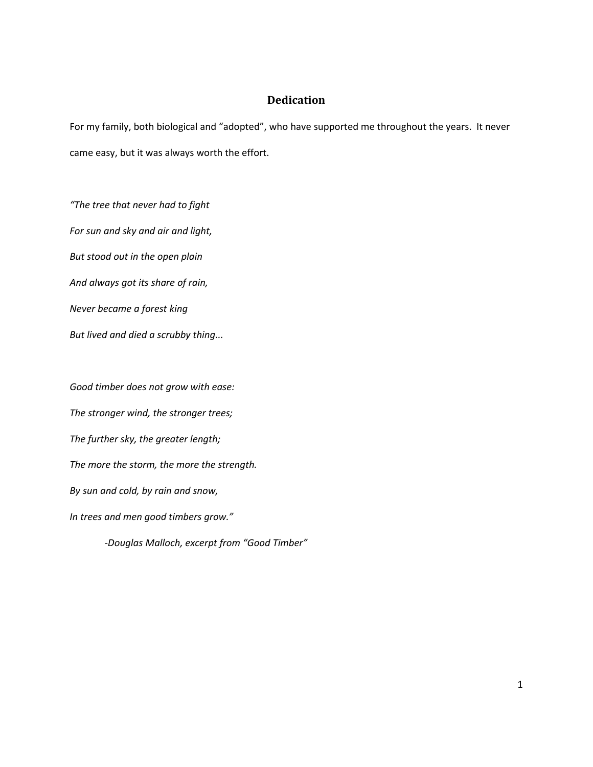## **Dedication**

<span id="page-1-0"></span>For my family, both biological and "adopted", who have supported me throughout the years. It never came easy, but it was always worth the effort.

*"The tree that never had to fight For sun and sky and air and light, But stood out in the open plain And always got its share of rain, Never became a forest king But lived and died a scrubby thing...*

*Good timber does not grow with ease: The stronger wind, the stronger trees; The further sky, the greater length; The more the storm, the more the strength. By sun and cold, by rain and snow, In trees and men good timbers grow." -Douglas Malloch, excerpt from "Good Timber"*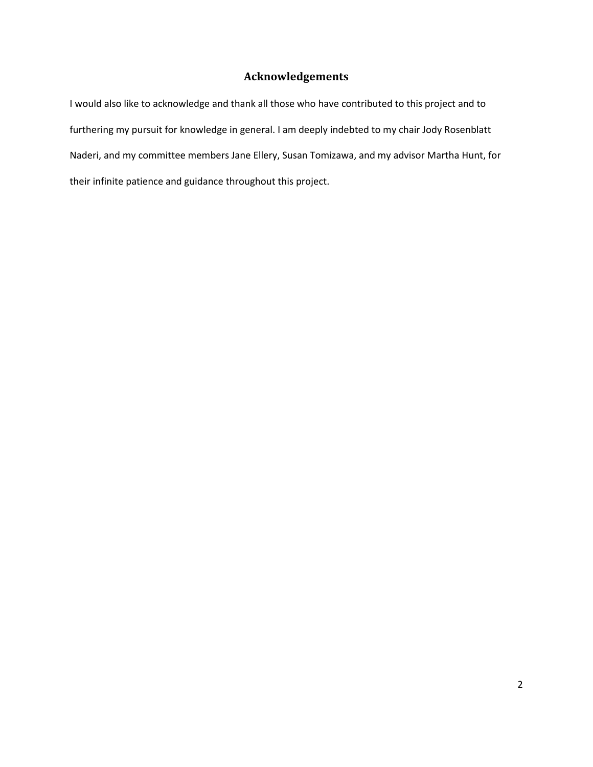# **Acknowledgements**

<span id="page-2-0"></span>I would also like to acknowledge and thank all those who have contributed to this project and to furthering my pursuit for knowledge in general. I am deeply indebted to my chair Jody Rosenblatt Naderi, and my committee members Jane Ellery, Susan Tomizawa, and my advisor Martha Hunt, for their infinite patience and guidance throughout this project.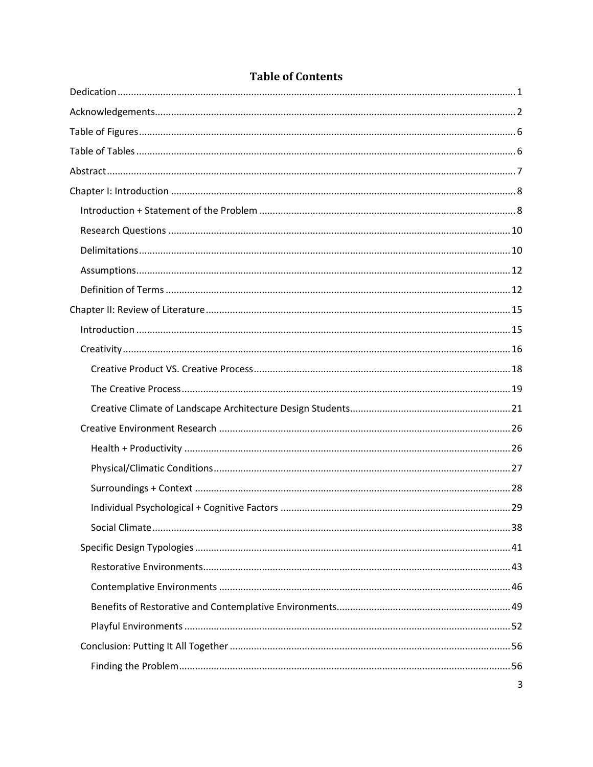| 3 |
|---|

# **Table of Contents**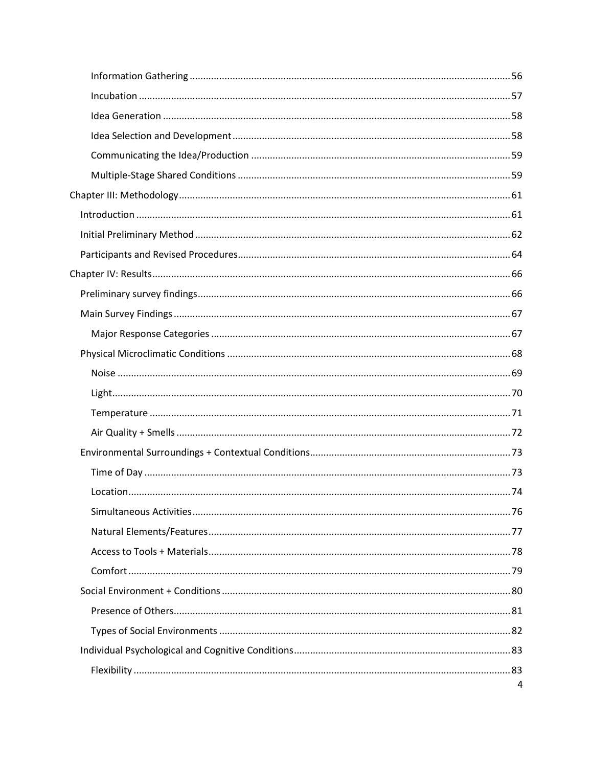| 4 |
|---|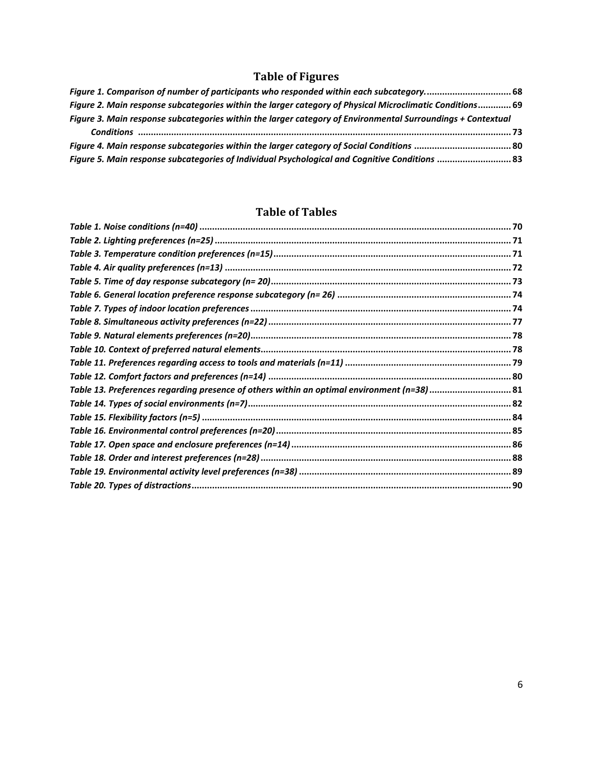# **Table of Figures**

<span id="page-6-0"></span>

| Figure 1. Comparison of number of participants who responded within each subcategory 68                     |  |
|-------------------------------------------------------------------------------------------------------------|--|
| Figure 2. Main response subcategories within the larger category of Physical Microclimatic Conditions 69    |  |
| Figure 3. Main response subcategories within the larger category of Environmental Surroundings + Contextual |  |
|                                                                                                             |  |
| Figure 4. Main response subcategories within the larger category of Social Conditions  80                   |  |
| Figure 5. Main response subcategories of Individual Psychological and Cognitive Conditions  83              |  |

# **Table of Tables**

<span id="page-6-1"></span>

| Table 13. Preferences regarding presence of others within an optimal environment (n=38) 81 |  |
|--------------------------------------------------------------------------------------------|--|
|                                                                                            |  |
|                                                                                            |  |
|                                                                                            |  |
|                                                                                            |  |
|                                                                                            |  |
|                                                                                            |  |
|                                                                                            |  |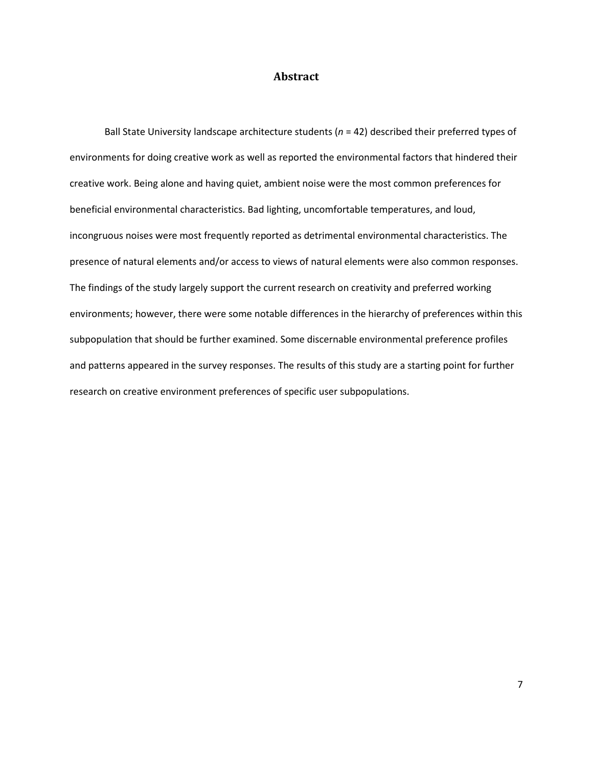## **Abstract**

<span id="page-7-0"></span>Ball State University landscape architecture students (*n* = 42) described their preferred types of environments for doing creative work as well as reported the environmental factors that hindered their creative work. Being alone and having quiet, ambient noise were the most common preferences for beneficial environmental characteristics. Bad lighting, uncomfortable temperatures, and loud, incongruous noises were most frequently reported as detrimental environmental characteristics. The presence of natural elements and/or access to views of natural elements were also common responses. The findings of the study largely support the current research on creativity and preferred working environments; however, there were some notable differences in the hierarchy of preferences within this subpopulation that should be further examined. Some discernable environmental preference profiles and patterns appeared in the survey responses. The results of this study are a starting point for further research on creative environment preferences of specific user subpopulations.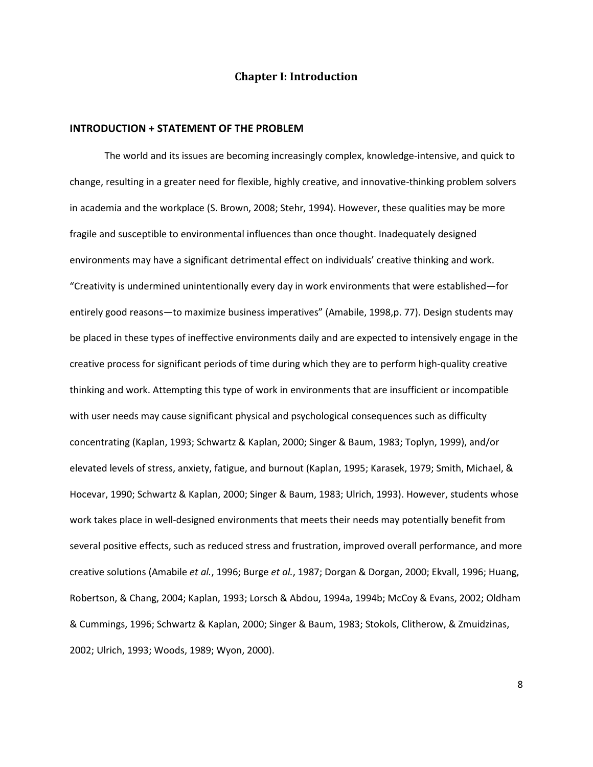## **Chapter I: Introduction**

### <span id="page-8-1"></span><span id="page-8-0"></span>**INTRODUCTION + STATEMENT OF THE PROBLEM**

The world and its issues are becoming increasingly complex, knowledge-intensive, and quick to change, resulting in a greater need for flexible, highly creative, and innovative-thinking problem solvers in academia and the workplace (S. Brown, 2008; Stehr, 1994). However, these qualities may be more fragile and susceptible to environmental influences than once thought. Inadequately designed environments may have a significant detrimental effect on individuals' creative thinking and work. "Creativity is undermined unintentionally every day in work environments that were established—for entirely good reasons—to maximize business imperatives" (Amabile, 1998,p. 77). Design students may be placed in these types of ineffective environments daily and are expected to intensively engage in the creative process for significant periods of time during which they are to perform high-quality creative thinking and work. Attempting this type of work in environments that are insufficient or incompatible with user needs may cause significant physical and psychological consequences such as difficulty concentrating (Kaplan, 1993; Schwartz & Kaplan, 2000; Singer & Baum, 1983; Toplyn, 1999), and/or elevated levels of stress, anxiety, fatigue, and burnout (Kaplan, 1995; Karasek, 1979; Smith, Michael, & Hocevar, 1990; Schwartz & Kaplan, 2000; Singer & Baum, 1983; Ulrich, 1993). However, students whose work takes place in well-designed environments that meets their needs may potentially benefit from several positive effects, such as reduced stress and frustration, improved overall performance, and more creative solutions (Amabile *et al.*, 1996; Burge *et al.*, 1987; Dorgan & Dorgan, 2000; Ekvall, 1996; Huang, Robertson, & Chang, 2004; Kaplan, 1993; Lorsch & Abdou, 1994a, 1994b; McCoy & Evans, 2002; Oldham & Cummings, 1996; Schwartz & Kaplan, 2000; Singer & Baum, 1983; Stokols, Clitherow, & Zmuidzinas, 2002; Ulrich, 1993; Woods, 1989; Wyon, 2000).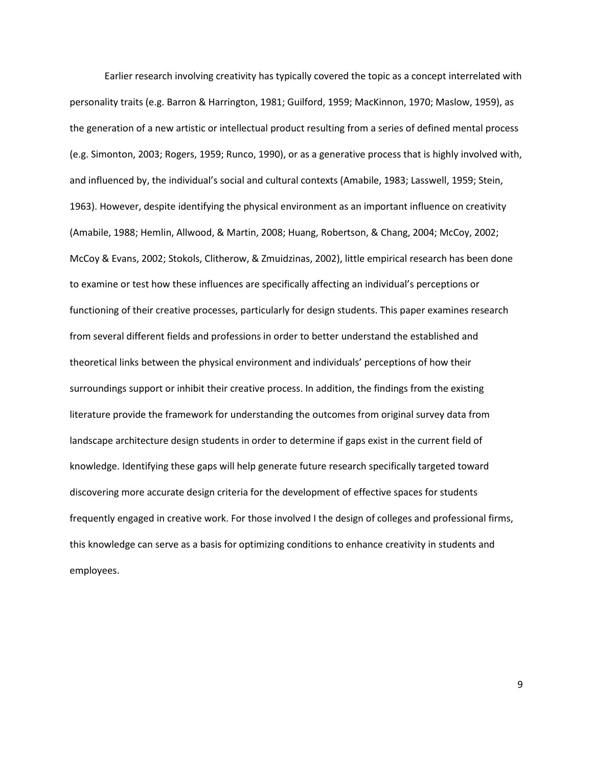Earlier research involving creativity has typically covered the topic as a concept interrelated with personality traits (e.g. Barron & Harrington, 1981; Guilford, 1959; MacKinnon, 1970; Maslow, 1959), as the generation of a new artistic or intellectual product resulting from a series of defined mental process (e.g. Simonton, 2003; Rogers, 1959; Runco, 1990), or as a generative process that is highly involved with, and influenced by, the individual's social and cultural contexts (Amabile, 1983; Lasswell, 1959; Stein, 1963). However, despite identifying the physical environment as an important influence on creativity (Amabile, 1988; Hemlin, Allwood, & Martin, 2008; Huang, Robertson, & Chang, 2004; McCoy, 2002; McCoy & Evans, 2002; Stokols, Clitherow, & Zmuidzinas, 2002), little empirical research has been done to examine or test how these influences are specifically affecting an individual's perceptions or functioning of their creative processes, particularly for design students. This paper examines research from several different fields and professions in order to better understand the established and theoretical links between the physical environment and individuals' perceptions of how their surroundings support or inhibit their creative process. In addition, the findings from the existing literature provide the framework for understanding the outcomes from original survey data from landscape architecture design students in order to determine if gaps exist in the current field of knowledge. Identifying these gaps will help generate future research specifically targeted toward discovering more accurate design criteria for the development of effective spaces for students frequently engaged in creative work. For those involved I the design of colleges and professional firms, this knowledge can serve as a basis for optimizing conditions to enhance creativity in students and employees.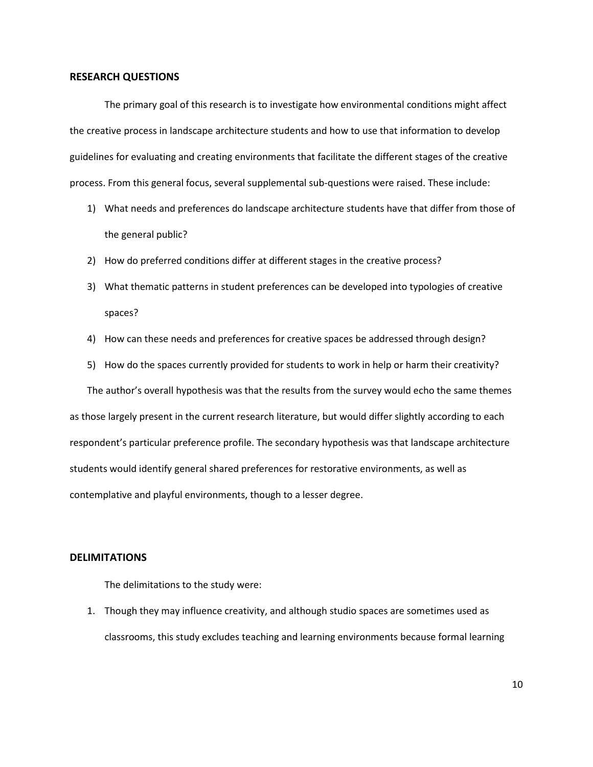### <span id="page-10-0"></span>**RESEARCH QUESTIONS**

The primary goal of this research is to investigate how environmental conditions might affect the creative process in landscape architecture students and how to use that information to develop guidelines for evaluating and creating environments that facilitate the different stages of the creative process. From this general focus, several supplemental sub-questions were raised. These include:

- 1) What needs and preferences do landscape architecture students have that differ from those of the general public?
- 2) How do preferred conditions differ at different stages in the creative process?
- 3) What thematic patterns in student preferences can be developed into typologies of creative spaces?
- 4) How can these needs and preferences for creative spaces be addressed through design?
- 5) How do the spaces currently provided for students to work in help or harm their creativity?

The author's overall hypothesis was that the results from the survey would echo the same themes as those largely present in the current research literature, but would differ slightly according to each respondent's particular preference profile. The secondary hypothesis was that landscape architecture students would identify general shared preferences for restorative environments, as well as contemplative and playful environments, though to a lesser degree.

#### <span id="page-10-1"></span>**DELIMITATIONS**

The delimitations to the study were:

1. Though they may influence creativity, and although studio spaces are sometimes used as classrooms, this study excludes teaching and learning environments because formal learning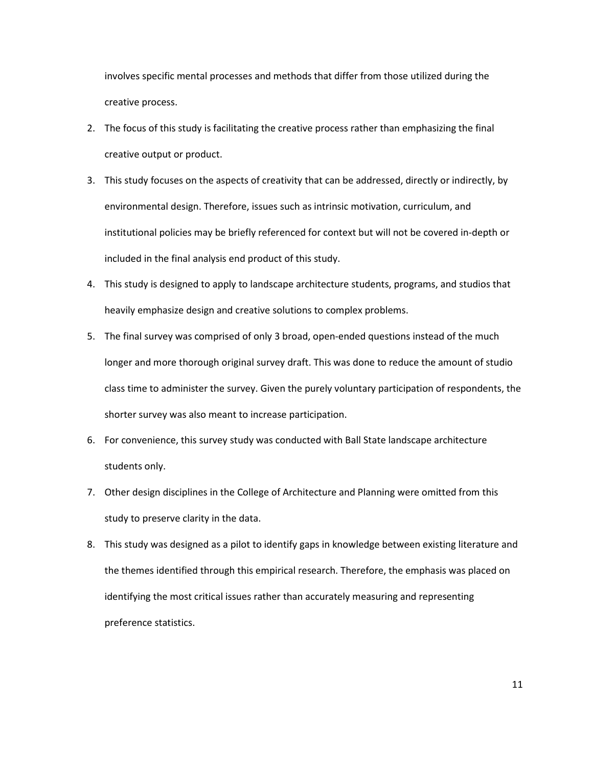involves specific mental processes and methods that differ from those utilized during the creative process.

- 2. The focus of this study is facilitating the creative process rather than emphasizing the final creative output or product.
- 3. This study focuses on the aspects of creativity that can be addressed, directly or indirectly, by environmental design. Therefore, issues such as intrinsic motivation, curriculum, and institutional policies may be briefly referenced for context but will not be covered in-depth or included in the final analysis end product of this study.
- 4. This study is designed to apply to landscape architecture students, programs, and studios that heavily emphasize design and creative solutions to complex problems.
- 5. The final survey was comprised of only 3 broad, open-ended questions instead of the much longer and more thorough original survey draft. This was done to reduce the amount of studio class time to administer the survey. Given the purely voluntary participation of respondents, the shorter survey was also meant to increase participation.
- 6. For convenience, this survey study was conducted with Ball State landscape architecture students only.
- 7. Other design disciplines in the College of Architecture and Planning were omitted from this study to preserve clarity in the data.
- 8. This study was designed as a pilot to identify gaps in knowledge between existing literature and the themes identified through this empirical research. Therefore, the emphasis was placed on identifying the most critical issues rather than accurately measuring and representing preference statistics.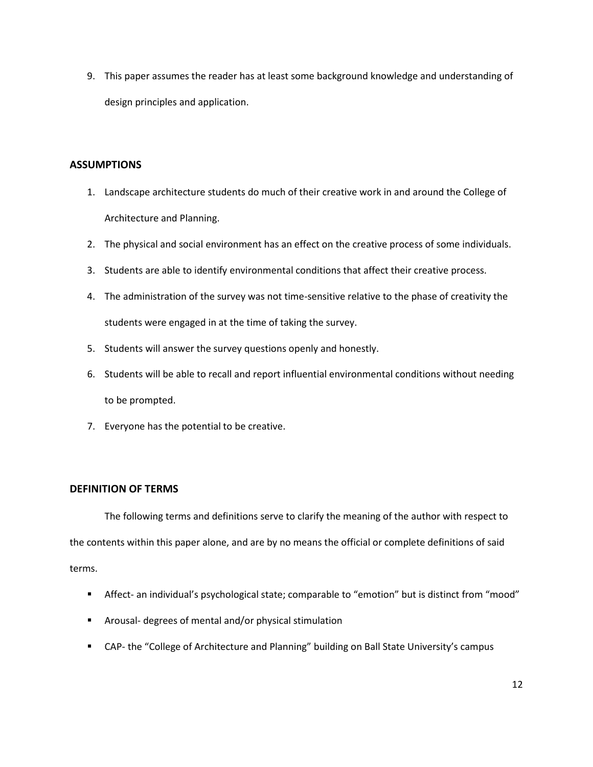9. This paper assumes the reader has at least some background knowledge and understanding of design principles and application.

## <span id="page-12-0"></span>**ASSUMPTIONS**

- 1. Landscape architecture students do much of their creative work in and around the College of Architecture and Planning.
- 2. The physical and social environment has an effect on the creative process of some individuals.
- 3. Students are able to identify environmental conditions that affect their creative process.
- 4. The administration of the survey was not time-sensitive relative to the phase of creativity the students were engaged in at the time of taking the survey.
- 5. Students will answer the survey questions openly and honestly.
- 6. Students will be able to recall and report influential environmental conditions without needing to be prompted.
- 7. Everyone has the potential to be creative.

## <span id="page-12-1"></span>**DEFINITION OF TERMS**

The following terms and definitions serve to clarify the meaning of the author with respect to the contents within this paper alone, and are by no means the official or complete definitions of said terms.

- Affect- an individual's psychological state; comparable to "emotion" but is distinct from "mood"
- Arousal- degrees of mental and/or physical stimulation
- CAP- the "College of Architecture and Planning" building on Ball State University's campus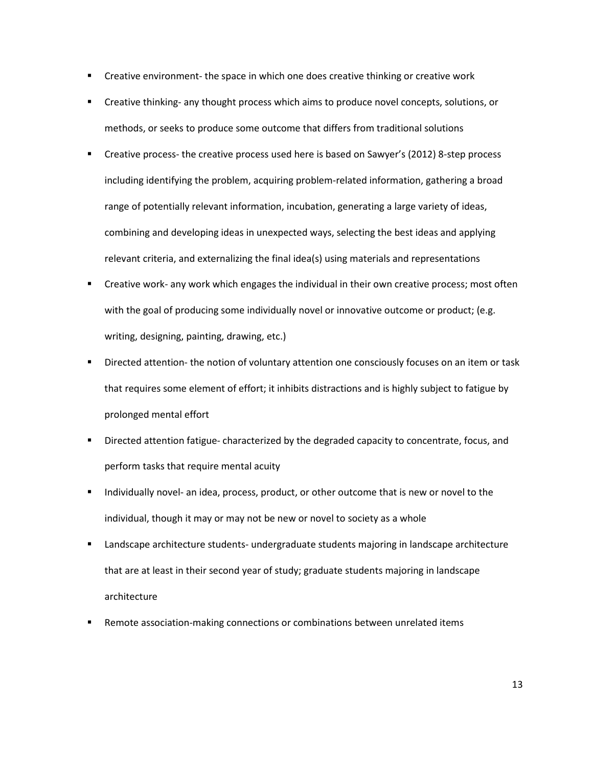- Creative environment- the space in which one does creative thinking or creative work
- Creative thinking- any thought process which aims to produce novel concepts, solutions, or methods, or seeks to produce some outcome that differs from traditional solutions
- **•** Creative process- the creative process used here is based on Sawyer's (2012) 8-step process including identifying the problem, acquiring problem-related information, gathering a broad range of potentially relevant information, incubation, generating a large variety of ideas, combining and developing ideas in unexpected ways, selecting the best ideas and applying relevant criteria, and externalizing the final idea(s) using materials and representations
- Creative work- any work which engages the individual in their own creative process; most often with the goal of producing some individually novel or innovative outcome or product; (e.g. writing, designing, painting, drawing, etc.)
- Directed attention- the notion of voluntary attention one consciously focuses on an item or task that requires some element of effort; it inhibits distractions and is highly subject to fatigue by prolonged mental effort
- **Directed attention fatigue- characterized by the degraded capacity to concentrate, focus, and** perform tasks that require mental acuity
- Individually novel- an idea, process, product, or other outcome that is new or novel to the individual, though it may or may not be new or novel to society as a whole
- Landscape architecture students- undergraduate students majoring in landscape architecture that are at least in their second year of study; graduate students majoring in landscape architecture
- **Remote association-making connections or combinations between unrelated items**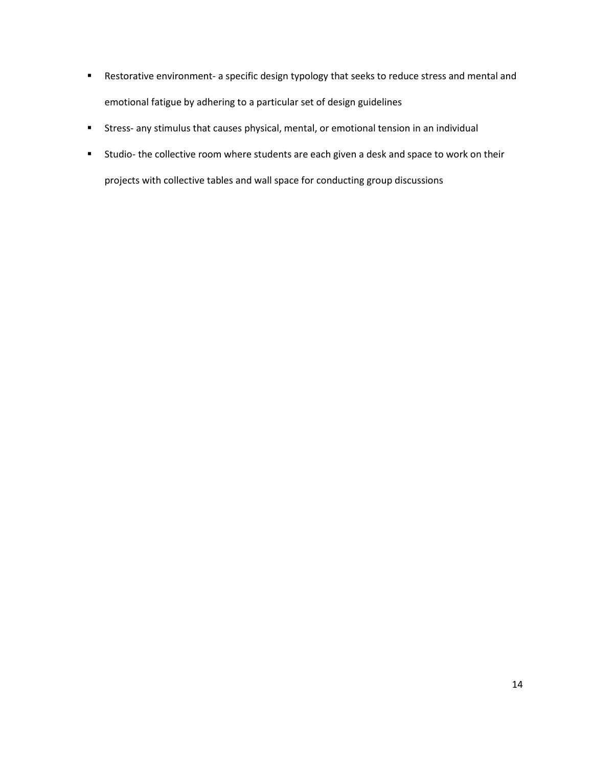- Restorative environment- a specific design typology that seeks to reduce stress and mental and emotional fatigue by adhering to a particular set of design guidelines
- Stress- any stimulus that causes physical, mental, or emotional tension in an individual
- <span id="page-14-0"></span>**EXT** Studio- the collective room where students are each given a desk and space to work on their projects with collective tables and wall space for conducting group discussions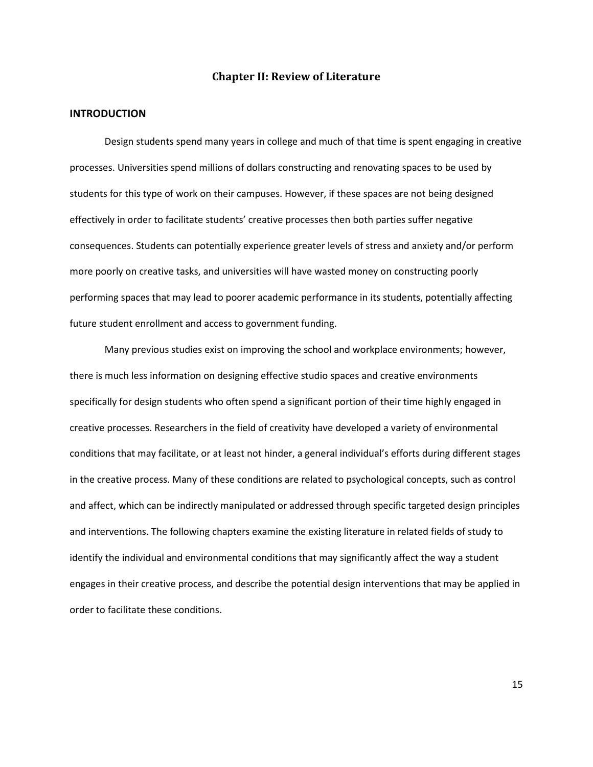## **Chapter II: Review of Literature**

## <span id="page-15-0"></span>**INTRODUCTION**

Design students spend many years in college and much of that time is spent engaging in creative processes. Universities spend millions of dollars constructing and renovating spaces to be used by students for this type of work on their campuses. However, if these spaces are not being designed effectively in order to facilitate students' creative processes then both parties suffer negative consequences. Students can potentially experience greater levels of stress and anxiety and/or perform more poorly on creative tasks, and universities will have wasted money on constructing poorly performing spaces that may lead to poorer academic performance in its students, potentially affecting future student enrollment and access to government funding.

Many previous studies exist on improving the school and workplace environments; however, there is much less information on designing effective studio spaces and creative environments specifically for design students who often spend a significant portion of their time highly engaged in creative processes. Researchers in the field of creativity have developed a variety of environmental conditions that may facilitate, or at least not hinder, a general individual's efforts during different stages in the creative process. Many of these conditions are related to psychological concepts, such as control and affect, which can be indirectly manipulated or addressed through specific targeted design principles and interventions. The following chapters examine the existing literature in related fields of study to identify the individual and environmental conditions that may significantly affect the way a student engages in their creative process, and describe the potential design interventions that may be applied in order to facilitate these conditions.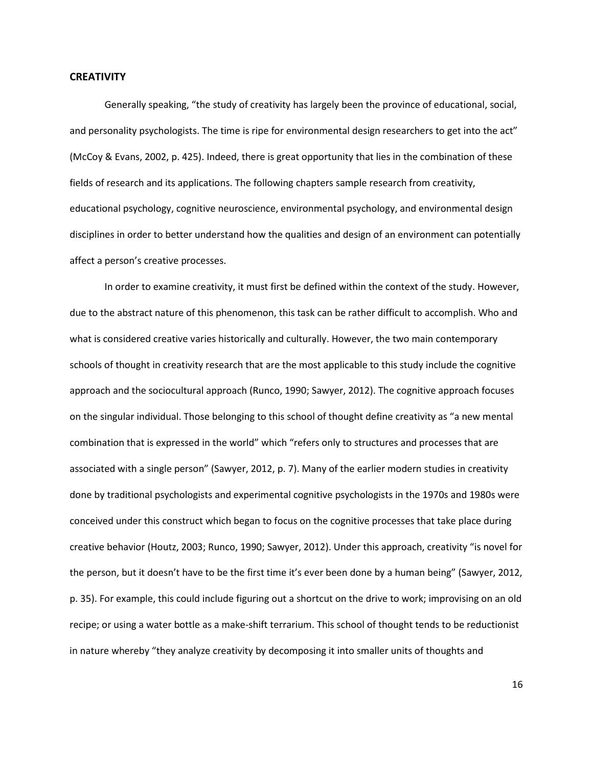#### <span id="page-16-0"></span>**CREATIVITY**

Generally speaking, "the study of creativity has largely been the province of educational, social, and personality psychologists. The time is ripe for environmental design researchers to get into the act" (McCoy & Evans, 2002, p. 425). Indeed, there is great opportunity that lies in the combination of these fields of research and its applications. The following chapters sample research from creativity, educational psychology, cognitive neuroscience, environmental psychology, and environmental design disciplines in order to better understand how the qualities and design of an environment can potentially affect a person's creative processes.

In order to examine creativity, it must first be defined within the context of the study. However, due to the abstract nature of this phenomenon, this task can be rather difficult to accomplish. Who and what is considered creative varies historically and culturally. However, the two main contemporary schools of thought in creativity research that are the most applicable to this study include the cognitive approach and the sociocultural approach (Runco, 1990; Sawyer, 2012). The cognitive approach focuses on the singular individual. Those belonging to this school of thought define creativity as "a new mental combination that is expressed in the world" which "refers only to structures and processes that are associated with a single person" (Sawyer, 2012, p. 7). Many of the earlier modern studies in creativity done by traditional psychologists and experimental cognitive psychologists in the 1970s and 1980s were conceived under this construct which began to focus on the cognitive processes that take place during creative behavior (Houtz, 2003; Runco, 1990; Sawyer, 2012). Under this approach, creativity "is novel for the person, but it doesn't have to be the first time it's ever been done by a human being" (Sawyer, 2012, p. 35). For example, this could include figuring out a shortcut on the drive to work; improvising on an old recipe; or using a water bottle as a make-shift terrarium. This school of thought tends to be reductionist in nature whereby "they analyze creativity by decomposing it into smaller units of thoughts and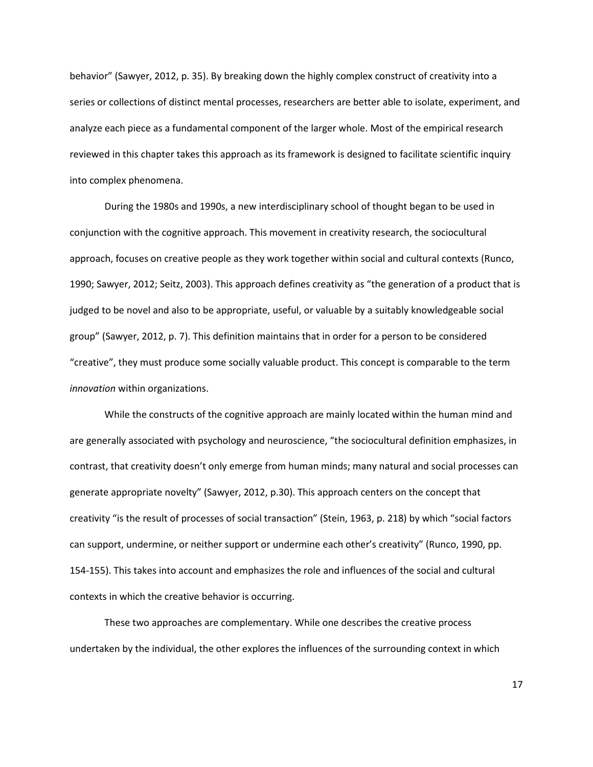behavior" (Sawyer, 2012, p. 35). By breaking down the highly complex construct of creativity into a series or collections of distinct mental processes, researchers are better able to isolate, experiment, and analyze each piece as a fundamental component of the larger whole. Most of the empirical research reviewed in this chapter takes this approach as its framework is designed to facilitate scientific inquiry into complex phenomena.

During the 1980s and 1990s, a new interdisciplinary school of thought began to be used in conjunction with the cognitive approach. This movement in creativity research, the sociocultural approach, focuses on creative people as they work together within social and cultural contexts (Runco, 1990; Sawyer, 2012; Seitz, 2003). This approach defines creativity as "the generation of a product that is judged to be novel and also to be appropriate, useful, or valuable by a suitably knowledgeable social group" (Sawyer, 2012, p. 7). This definition maintains that in order for a person to be considered "creative", they must produce some socially valuable product. This concept is comparable to the term *innovation* within organizations.

While the constructs of the cognitive approach are mainly located within the human mind and are generally associated with psychology and neuroscience, "the sociocultural definition emphasizes, in contrast, that creativity doesn't only emerge from human minds; many natural and social processes can generate appropriate novelty" (Sawyer, 2012, p.30). This approach centers on the concept that creativity "is the result of processes of social transaction" (Stein, 1963, p. 218) by which "social factors can support, undermine, or neither support or undermine each other's creativity" (Runco, 1990, pp. 154-155). This takes into account and emphasizes the role and influences of the social and cultural contexts in which the creative behavior is occurring.

These two approaches are complementary. While one describes the creative process undertaken by the individual, the other explores the influences of the surrounding context in which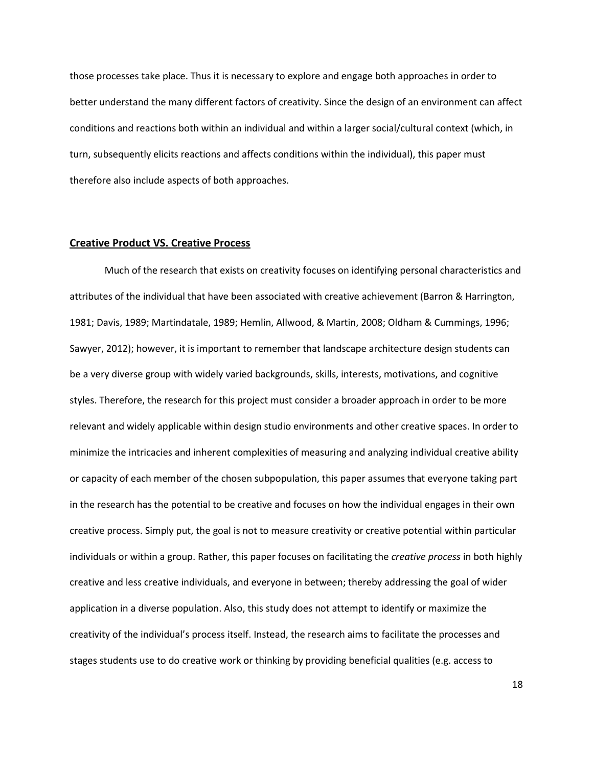those processes take place. Thus it is necessary to explore and engage both approaches in order to better understand the many different factors of creativity. Since the design of an environment can affect conditions and reactions both within an individual and within a larger social/cultural context (which, in turn, subsequently elicits reactions and affects conditions within the individual), this paper must therefore also include aspects of both approaches.

## <span id="page-18-0"></span>**Creative Product VS. Creative Process**

Much of the research that exists on creativity focuses on identifying personal characteristics and attributes of the individual that have been associated with creative achievement (Barron & Harrington, 1981; Davis, 1989; Martindatale, 1989; Hemlin, Allwood, & Martin, 2008; Oldham & Cummings, 1996; Sawyer, 2012); however, it is important to remember that landscape architecture design students can be a very diverse group with widely varied backgrounds, skills, interests, motivations, and cognitive styles. Therefore, the research for this project must consider a broader approach in order to be more relevant and widely applicable within design studio environments and other creative spaces. In order to minimize the intricacies and inherent complexities of measuring and analyzing individual creative ability or capacity of each member of the chosen subpopulation, this paper assumes that everyone taking part in the research has the potential to be creative and focuses on how the individual engages in their own creative process. Simply put, the goal is not to measure creativity or creative potential within particular individuals or within a group. Rather, this paper focuses on facilitating the *creative process* in both highly creative and less creative individuals, and everyone in between; thereby addressing the goal of wider application in a diverse population. Also, this study does not attempt to identify or maximize the creativity of the individual's process itself. Instead, the research aims to facilitate the processes and stages students use to do creative work or thinking by providing beneficial qualities (e.g. access to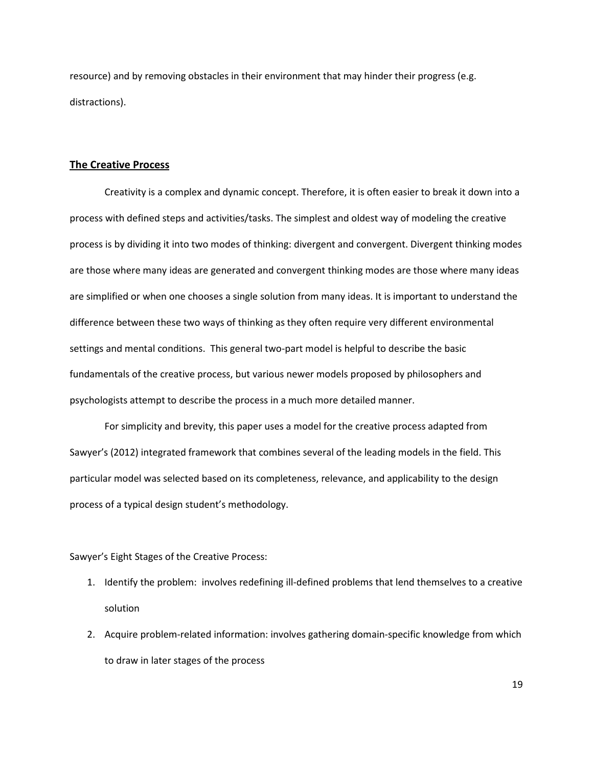resource) and by removing obstacles in their environment that may hinder their progress (e.g. distractions).

## <span id="page-19-0"></span>**The Creative Process**

Creativity is a complex and dynamic concept. Therefore, it is often easier to break it down into a process with defined steps and activities/tasks. The simplest and oldest way of modeling the creative process is by dividing it into two modes of thinking: divergent and convergent. Divergent thinking modes are those where many ideas are generated and convergent thinking modes are those where many ideas are simplified or when one chooses a single solution from many ideas. It is important to understand the difference between these two ways of thinking as they often require very different environmental settings and mental conditions. This general two-part model is helpful to describe the basic fundamentals of the creative process, but various newer models proposed by philosophers and psychologists attempt to describe the process in a much more detailed manner.

For simplicity and brevity, this paper uses a model for the creative process adapted from Sawyer's (2012) integrated framework that combines several of the leading models in the field. This particular model was selected based on its completeness, relevance, and applicability to the design process of a typical design student's methodology.

## Sawyer's Eight Stages of the Creative Process:

- 1. Identify the problem: involves redefining ill-defined problems that lend themselves to a creative solution
- 2. Acquire problem-related information: involves gathering domain-specific knowledge from which to draw in later stages of the process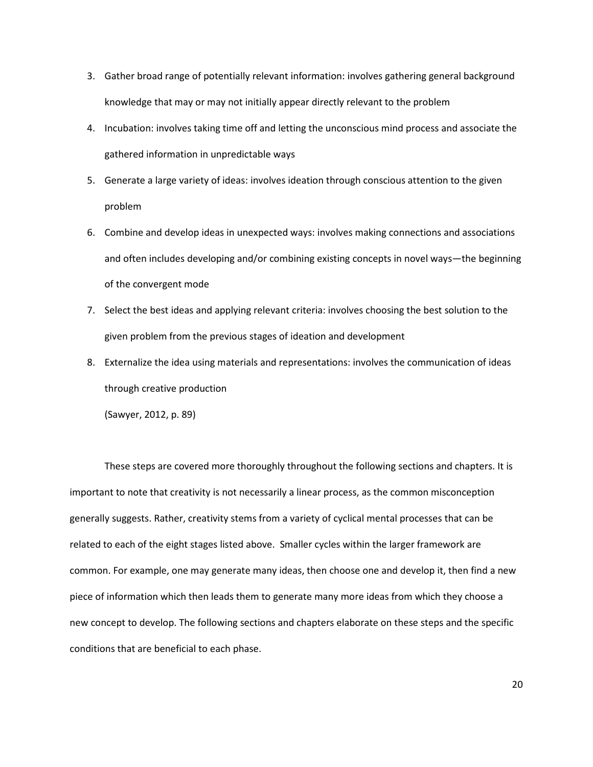- 3. Gather broad range of potentially relevant information: involves gathering general background knowledge that may or may not initially appear directly relevant to the problem
- 4. Incubation: involves taking time off and letting the unconscious mind process and associate the gathered information in unpredictable ways
- 5. Generate a large variety of ideas: involves ideation through conscious attention to the given problem
- 6. Combine and develop ideas in unexpected ways: involves making connections and associations and often includes developing and/or combining existing concepts in novel ways—the beginning of the convergent mode
- 7. Select the best ideas and applying relevant criteria: involves choosing the best solution to the given problem from the previous stages of ideation and development
- 8. Externalize the idea using materials and representations: involves the communication of ideas through creative production

(Sawyer, 2012, p. 89)

These steps are covered more thoroughly throughout the following sections and chapters. It is important to note that creativity is not necessarily a linear process, as the common misconception generally suggests. Rather, creativity stems from a variety of cyclical mental processes that can be related to each of the eight stages listed above. Smaller cycles within the larger framework are common. For example, one may generate many ideas, then choose one and develop it, then find a new piece of information which then leads them to generate many more ideas from which they choose a new concept to develop. The following sections and chapters elaborate on these steps and the specific conditions that are beneficial to each phase.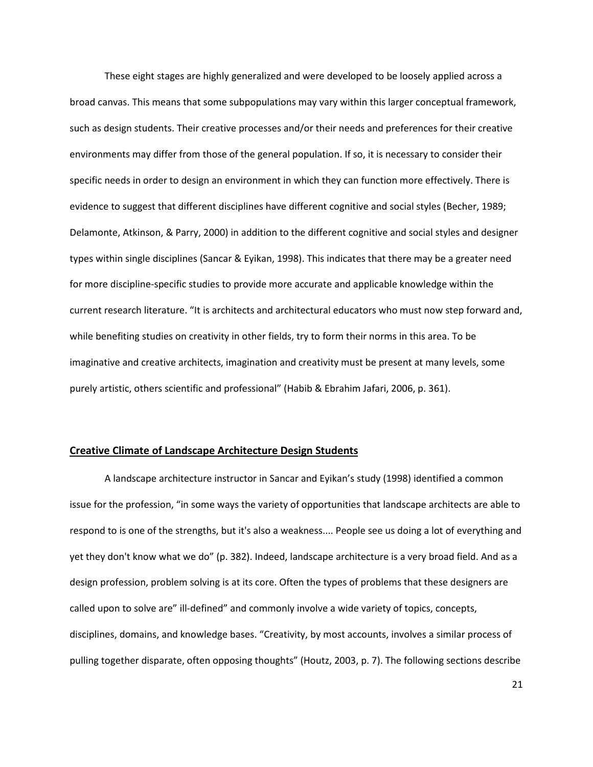These eight stages are highly generalized and were developed to be loosely applied across a broad canvas. This means that some subpopulations may vary within this larger conceptual framework, such as design students. Their creative processes and/or their needs and preferences for their creative environments may differ from those of the general population. If so, it is necessary to consider their specific needs in order to design an environment in which they can function more effectively. There is evidence to suggest that different disciplines have different cognitive and social styles (Becher, 1989; Delamonte, Atkinson, & Parry, 2000) in addition to the different cognitive and social styles and designer types within single disciplines (Sancar & Eyikan, 1998). This indicates that there may be a greater need for more discipline-specific studies to provide more accurate and applicable knowledge within the current research literature. "It is architects and architectural educators who must now step forward and, while benefiting studies on creativity in other fields, try to form their norms in this area. To be imaginative and creative architects, imagination and creativity must be present at many levels, some purely artistic, others scientific and professional" (Habib & Ebrahim Jafari, 2006, p. 361).

#### <span id="page-21-0"></span>**Creative Climate of Landscape Architecture Design Students**

A landscape architecture instructor in Sancar and Eyikan's study (1998) identified a common issue for the profession, "in some ways the variety of opportunities that landscape architects are able to respond to is one of the strengths, but it's also a weakness.... People see us doing a lot of everything and yet they don't know what we do" (p. 382). Indeed, landscape architecture is a very broad field. And as a design profession, problem solving is at its core. Often the types of problems that these designers are called upon to solve are" ill-defined" and commonly involve a wide variety of topics, concepts, disciplines, domains, and knowledge bases. "Creativity, by most accounts, involves a similar process of pulling together disparate, often opposing thoughts" (Houtz, 2003, p. 7). The following sections describe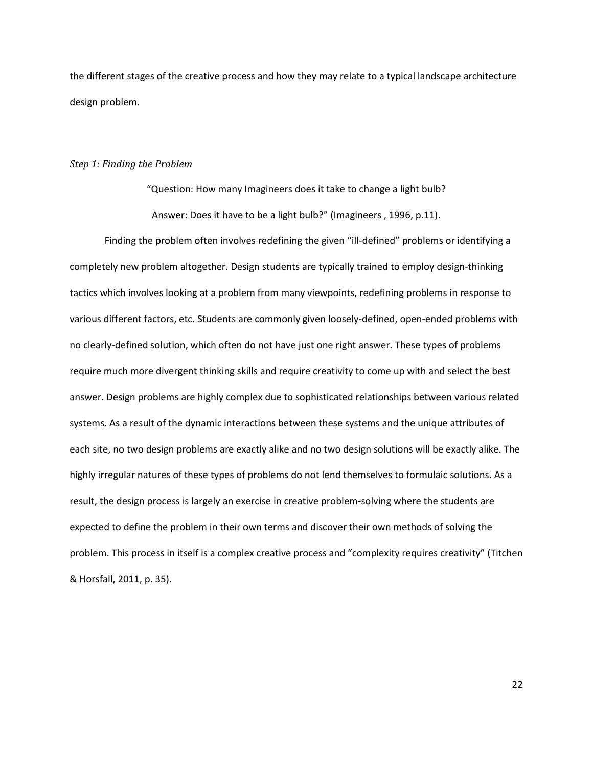the different stages of the creative process and how they may relate to a typical landscape architecture design problem.

#### *Step 1: Finding the Problem*

"Question: How many Imagineers does it take to change a light bulb? Answer: Does it have to be a light bulb?" (Imagineers , 1996, p.11).

Finding the problem often involves redefining the given "ill-defined" problems or identifying a completely new problem altogether. Design students are typically trained to employ design-thinking tactics which involves looking at a problem from many viewpoints, redefining problems in response to various different factors, etc. Students are commonly given loosely-defined, open-ended problems with no clearly-defined solution, which often do not have just one right answer. These types of problems require much more divergent thinking skills and require creativity to come up with and select the best answer. Design problems are highly complex due to sophisticated relationships between various related systems. As a result of the dynamic interactions between these systems and the unique attributes of each site, no two design problems are exactly alike and no two design solutions will be exactly alike. The highly irregular natures of these types of problems do not lend themselves to formulaic solutions. As a result, the design process is largely an exercise in creative problem-solving where the students are expected to define the problem in their own terms and discover their own methods of solving the problem. This process in itself is a complex creative process and "complexity requires creativity" (Titchen & Horsfall, 2011, p. 35).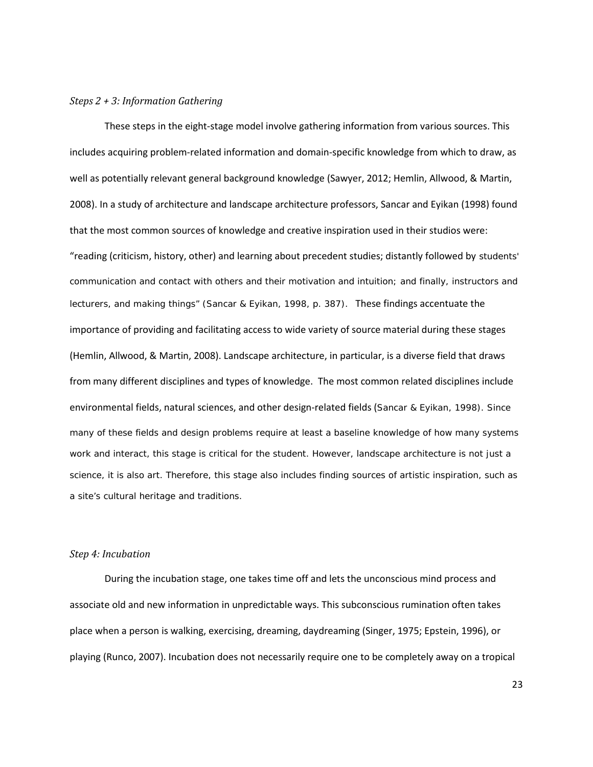## *Steps 2 + 3: Information Gathering*

These steps in the eight-stage model involve gathering information from various sources. This includes acquiring problem-related information and domain-specific knowledge from which to draw, as well as potentially relevant general background knowledge (Sawyer, 2012; Hemlin, Allwood, & Martin, 2008). In a study of architecture and landscape architecture professors, Sancar and Eyikan (1998) found that the most common sources of knowledge and creative inspiration used in their studios were: "reading (criticism, history, other) and learning about precedent studies; distantly followed by students' communication and contact with others and their motivation and intuition; and finally, instructors and lecturers, and making things" (Sancar & Eyikan, 1998, p. 387). These findings accentuate the importance of providing and facilitating access to wide variety of source material during these stages (Hemlin, Allwood, & Martin, 2008). Landscape architecture, in particular, is a diverse field that draws from many different disciplines and types of knowledge. The most common related disciplines include environmental fields, natural sciences, and other design-related fields (Sancar & Eyikan, 1998). Since many of these fields and design problems require at least a baseline knowledge of how many systems work and interact, this stage is critical for the student. However, landscape architecture is not just a science, it is also art. Therefore, this stage also includes finding sources of artistic inspiration, such as a site's cultural heritage and traditions.

#### *Step 4: Incubation*

During the incubation stage, one takes time off and lets the unconscious mind process and associate old and new information in unpredictable ways. This subconscious rumination often takes place when a person is walking, exercising, dreaming, daydreaming (Singer, 1975; Epstein, 1996), or playing (Runco, 2007). Incubation does not necessarily require one to be completely away on a tropical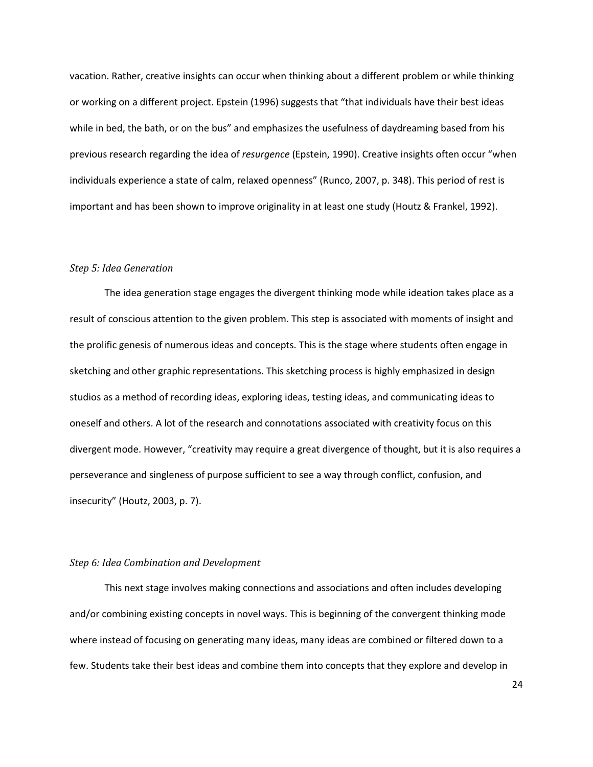vacation. Rather, creative insights can occur when thinking about a different problem or while thinking or working on a different project. Epstein (1996) suggests that "that individuals have their best ideas while in bed, the bath, or on the bus" and emphasizes the usefulness of daydreaming based from his previous research regarding the idea of *resurgence* (Epstein, 1990). Creative insights often occur "when individuals experience a state of calm, relaxed openness" (Runco, 2007, p. 348). This period of rest is important and has been shown to improve originality in at least one study (Houtz & Frankel, 1992).

#### *Step 5: Idea Generation*

The idea generation stage engages the divergent thinking mode while ideation takes place as a result of conscious attention to the given problem. This step is associated with moments of insight and the prolific genesis of numerous ideas and concepts. This is the stage where students often engage in sketching and other graphic representations. This sketching process is highly emphasized in design studios as a method of recording ideas, exploring ideas, testing ideas, and communicating ideas to oneself and others. A lot of the research and connotations associated with creativity focus on this divergent mode. However, "creativity may require a great divergence of thought, but it is also requires a perseverance and singleness of purpose sufficient to see a way through conflict, confusion, and insecurity" (Houtz, 2003, p. 7).

#### *Step 6: Idea Combination and Development*

This next stage involves making connections and associations and often includes developing and/or combining existing concepts in novel ways. This is beginning of the convergent thinking mode where instead of focusing on generating many ideas, many ideas are combined or filtered down to a few. Students take their best ideas and combine them into concepts that they explore and develop in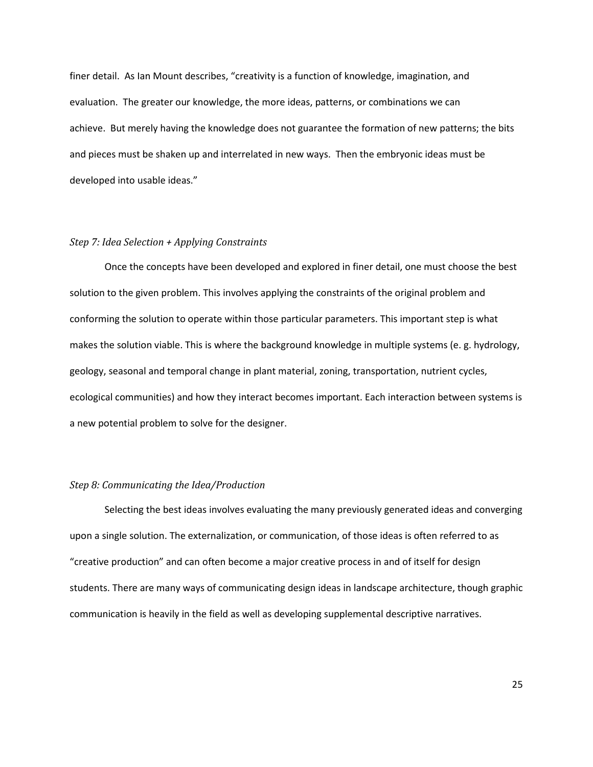finer detail. As Ian Mount describes, "creativity is a function of knowledge, imagination, and evaluation. The greater our knowledge, the more ideas, patterns, or combinations we can achieve. But merely having the knowledge does not guarantee the formation of new patterns; the bits and pieces must be shaken up and interrelated in new ways. Then the embryonic ideas must be developed into usable ideas."

## *Step 7: Idea Selection + Applying Constraints*

Once the concepts have been developed and explored in finer detail, one must choose the best solution to the given problem. This involves applying the constraints of the original problem and conforming the solution to operate within those particular parameters. This important step is what makes the solution viable. This is where the background knowledge in multiple systems (e. g. hydrology, geology, seasonal and temporal change in plant material, zoning, transportation, nutrient cycles, ecological communities) and how they interact becomes important. Each interaction between systems is a new potential problem to solve for the designer.

## *Step 8: Communicating the Idea/Production*

Selecting the best ideas involves evaluating the many previously generated ideas and converging upon a single solution. The externalization, or communication, of those ideas is often referred to as "creative production" and can often become a major creative process in and of itself for design students. There are many ways of communicating design ideas in landscape architecture, though graphic communication is heavily in the field as well as developing supplemental descriptive narratives.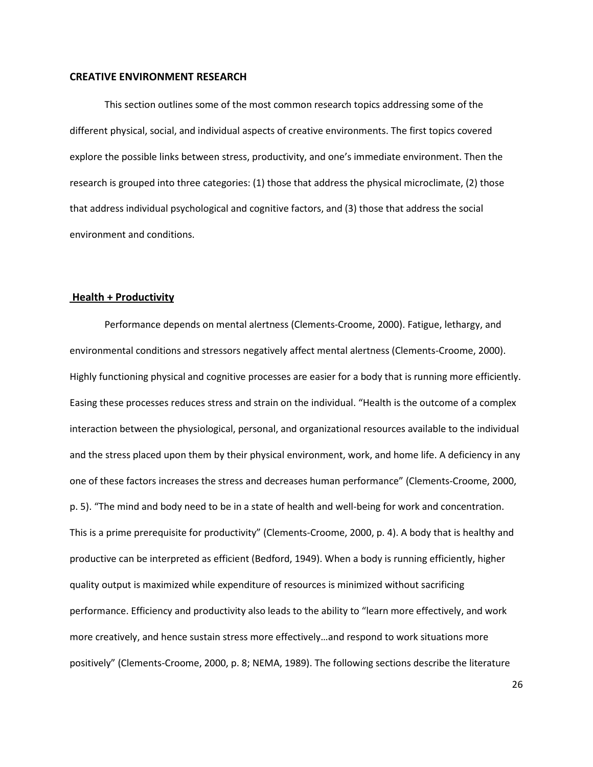#### <span id="page-26-0"></span>**CREATIVE ENVIRONMENT RESEARCH**

This section outlines some of the most common research topics addressing some of the different physical, social, and individual aspects of creative environments. The first topics covered explore the possible links between stress, productivity, and one's immediate environment. Then the research is grouped into three categories: (1) those that address the physical microclimate, (2) those that address individual psychological and cognitive factors, and (3) those that address the social environment and conditions.

#### <span id="page-26-1"></span> **Health + Productivity**

Performance depends on mental alertness (Clements-Croome, 2000). Fatigue, lethargy, and environmental conditions and stressors negatively affect mental alertness (Clements-Croome, 2000). Highly functioning physical and cognitive processes are easier for a body that is running more efficiently. Easing these processes reduces stress and strain on the individual. "Health is the outcome of a complex interaction between the physiological, personal, and organizational resources available to the individual and the stress placed upon them by their physical environment, work, and home life. A deficiency in any one of these factors increases the stress and decreases human performance" (Clements-Croome, 2000, p. 5). "The mind and body need to be in a state of health and well-being for work and concentration. This is a prime prerequisite for productivity" (Clements-Croome, 2000, p. 4). A body that is healthy and productive can be interpreted as efficient (Bedford, 1949). When a body is running efficiently, higher quality output is maximized while expenditure of resources is minimized without sacrificing performance. Efficiency and productivity also leads to the ability to "learn more effectively, and work more creatively, and hence sustain stress more effectively…and respond to work situations more positively" (Clements-Croome, 2000, p. 8; NEMA, 1989). The following sections describe the literature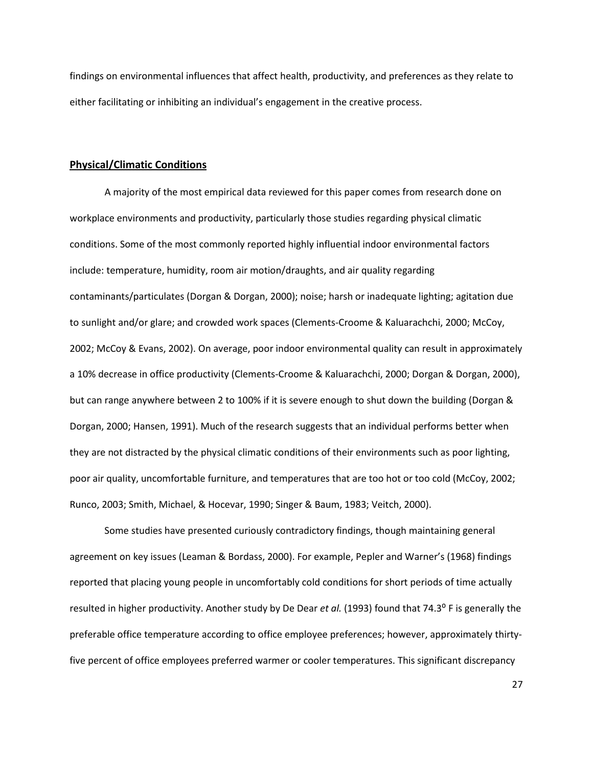findings on environmental influences that affect health, productivity, and preferences as they relate to either facilitating or inhibiting an individual's engagement in the creative process.

## <span id="page-27-0"></span>**Physical/Climatic Conditions**

A majority of the most empirical data reviewed for this paper comes from research done on workplace environments and productivity, particularly those studies regarding physical climatic conditions. Some of the most commonly reported highly influential indoor environmental factors include: temperature, humidity, room air motion/draughts, and air quality regarding contaminants/particulates (Dorgan & Dorgan, 2000); noise; harsh or inadequate lighting; agitation due to sunlight and/or glare; and crowded work spaces (Clements-Croome & Kaluarachchi, 2000; McCoy, 2002; McCoy & Evans, 2002). On average, poor indoor environmental quality can result in approximately a 10% decrease in office productivity (Clements-Croome & Kaluarachchi, 2000; Dorgan & Dorgan, 2000), but can range anywhere between 2 to 100% if it is severe enough to shut down the building (Dorgan & Dorgan, 2000; Hansen, 1991). Much of the research suggests that an individual performs better when they are not distracted by the physical climatic conditions of their environments such as poor lighting, poor air quality, uncomfortable furniture, and temperatures that are too hot or too cold (McCoy, 2002; Runco, 2003; Smith, Michael, & Hocevar, 1990; Singer & Baum, 1983; Veitch, 2000).

Some studies have presented curiously contradictory findings, though maintaining general agreement on key issues (Leaman & Bordass, 2000). For example, Pepler and Warner's (1968) findings reported that placing young people in uncomfortably cold conditions for short periods of time actually resulted in higher productivity. Another study by De Dear *et al.* (1993) found that 74.3<sup>o</sup> F is generally the preferable office temperature according to office employee preferences; however, approximately thirtyfive percent of office employees preferred warmer or cooler temperatures. This significant discrepancy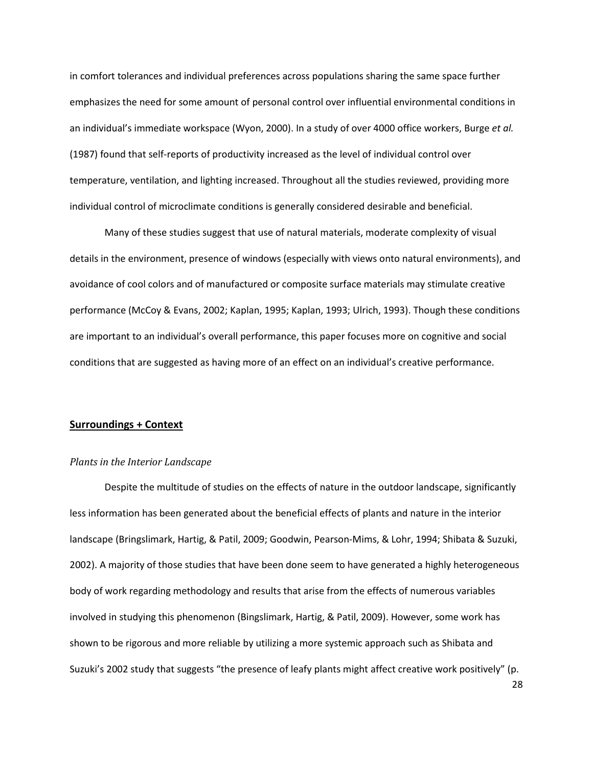in comfort tolerances and individual preferences across populations sharing the same space further emphasizes the need for some amount of personal control over influential environmental conditions in an individual's immediate workspace (Wyon, 2000). In a study of over 4000 office workers, Burge *et al.* (1987) found that self-reports of productivity increased as the level of individual control over temperature, ventilation, and lighting increased. Throughout all the studies reviewed, providing more individual control of microclimate conditions is generally considered desirable and beneficial.

Many of these studies suggest that use of natural materials, moderate complexity of visual details in the environment, presence of windows (especially with views onto natural environments), and avoidance of cool colors and of manufactured or composite surface materials may stimulate creative performance (McCoy & Evans, 2002; Kaplan, 1995; Kaplan, 1993; Ulrich, 1993). Though these conditions are important to an individual's overall performance, this paper focuses more on cognitive and social conditions that are suggested as having more of an effect on an individual's creative performance.

#### <span id="page-28-0"></span>**Surroundings + Context**

#### *Plants in the Interior Landscape*

Despite the multitude of studies on the effects of nature in the outdoor landscape, significantly less information has been generated about the beneficial effects of plants and nature in the interior landscape (Bringslimark, Hartig, & Patil, 2009; Goodwin, Pearson-Mims, & Lohr, 1994; Shibata & Suzuki, 2002). A majority of those studies that have been done seem to have generated a highly heterogeneous body of work regarding methodology and results that arise from the effects of numerous variables involved in studying this phenomenon (Bingslimark, Hartig, & Patil, 2009). However, some work has shown to be rigorous and more reliable by utilizing a more systemic approach such as Shibata and Suzuki's 2002 study that suggests "the presence of leafy plants might affect creative work positively" (p.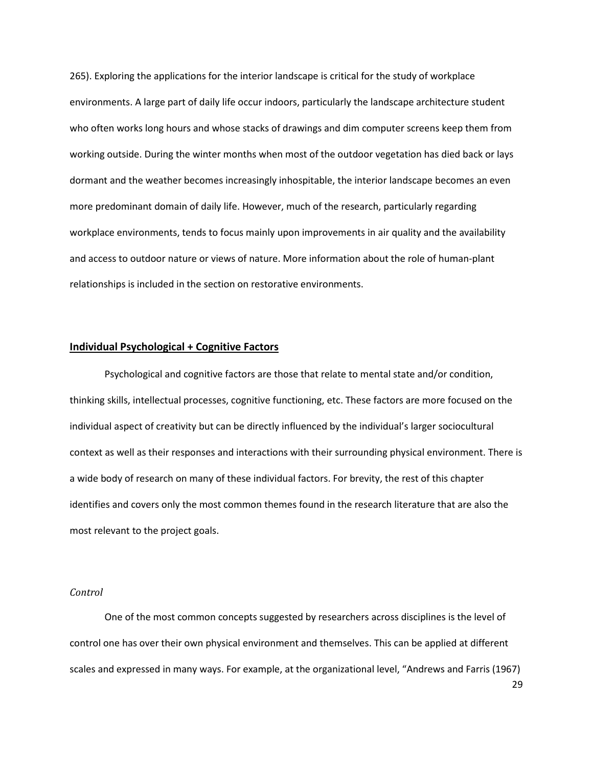265). Exploring the applications for the interior landscape is critical for the study of workplace environments. A large part of daily life occur indoors, particularly the landscape architecture student who often works long hours and whose stacks of drawings and dim computer screens keep them from working outside. During the winter months when most of the outdoor vegetation has died back or lays dormant and the weather becomes increasingly inhospitable, the interior landscape becomes an even more predominant domain of daily life. However, much of the research, particularly regarding workplace environments, tends to focus mainly upon improvements in air quality and the availability and access to outdoor nature or views of nature. More information about the role of human-plant relationships is included in the section on restorative environments.

#### <span id="page-29-0"></span>**Individual Psychological + Cognitive Factors**

Psychological and cognitive factors are those that relate to mental state and/or condition, thinking skills, intellectual processes, cognitive functioning, etc. These factors are more focused on the individual aspect of creativity but can be directly influenced by the individual's larger sociocultural context as well as their responses and interactions with their surrounding physical environment. There is a wide body of research on many of these individual factors. For brevity, the rest of this chapter identifies and covers only the most common themes found in the research literature that are also the most relevant to the project goals.

### *Control*

29 One of the most common concepts suggested by researchers across disciplines is the level of control one has over their own physical environment and themselves. This can be applied at different scales and expressed in many ways. For example, at the organizational level, "Andrews and Farris (1967)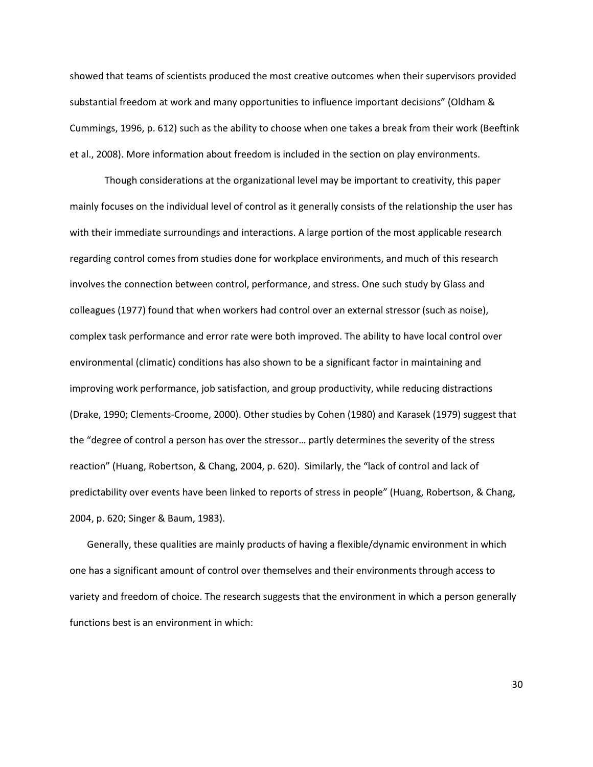showed that teams of scientists produced the most creative outcomes when their supervisors provided substantial freedom at work and many opportunities to influence important decisions" (Oldham & Cummings, 1996, p. 612) such as the ability to choose when one takes a break from their work (Beeftink et al., 2008). More information about freedom is included in the section on play environments.

Though considerations at the organizational level may be important to creativity, this paper mainly focuses on the individual level of control as it generally consists of the relationship the user has with their immediate surroundings and interactions. A large portion of the most applicable research regarding control comes from studies done for workplace environments, and much of this research involves the connection between control, performance, and stress. One such study by Glass and colleagues (1977) found that when workers had control over an external stressor (such as noise), complex task performance and error rate were both improved. The ability to have local control over environmental (climatic) conditions has also shown to be a significant factor in maintaining and improving work performance, job satisfaction, and group productivity, while reducing distractions (Drake, 1990; Clements-Croome, 2000). Other studies by Cohen (1980) and Karasek (1979) suggest that the "degree of control a person has over the stressor… partly determines the severity of the stress reaction" (Huang, Robertson, & Chang, 2004, p. 620). Similarly, the "lack of control and lack of predictability over events have been linked to reports of stress in people" (Huang, Robertson, & Chang, 2004, p. 620; Singer & Baum, 1983).

Generally, these qualities are mainly products of having a flexible/dynamic environment in which one has a significant amount of control over themselves and their environments through access to variety and freedom of choice. The research suggests that the environment in which a person generally functions best is an environment in which: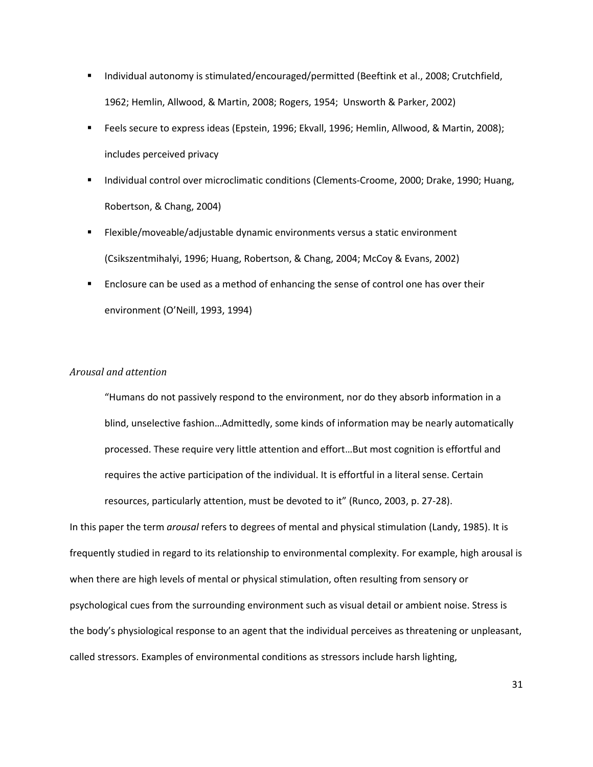- **Individual autonomy is stimulated/encouraged/permitted (Beeftink et al., 2008; Crutchfield,** 1962; Hemlin, Allwood, & Martin, 2008; Rogers, 1954; Unsworth & Parker, 2002)
- Feels secure to express ideas (Epstein, 1996; Ekvall, 1996; Hemlin, Allwood, & Martin, 2008); includes perceived privacy
- Individual control over microclimatic conditions (Clements-Croome, 2000; Drake, 1990; Huang, Robertson, & Chang, 2004)
- Flexible/moveable/adjustable dynamic environments versus a static environment (Csikszentmihalyi, 1996; Huang, Robertson, & Chang, 2004; McCoy & Evans, 2002)
- Enclosure can be used as a method of enhancing the sense of control one has over their environment (O'Neill, 1993, 1994)

### *Arousal and attention*

"Humans do not passively respond to the environment, nor do they absorb information in a blind, unselective fashion…Admittedly, some kinds of information may be nearly automatically processed. These require very little attention and effort…But most cognition is effortful and requires the active participation of the individual. It is effortful in a literal sense. Certain resources, particularly attention, must be devoted to it" (Runco, 2003, p. 27-28).

In this paper the term *arousal* refers to degrees of mental and physical stimulation (Landy, 1985). It is frequently studied in regard to its relationship to environmental complexity. For example, high arousal is when there are high levels of mental or physical stimulation, often resulting from sensory or psychological cues from the surrounding environment such as visual detail or ambient noise. Stress is the body's physiological response to an agent that the individual perceives as threatening or unpleasant, called stressors. Examples of environmental conditions as stressors include harsh lighting,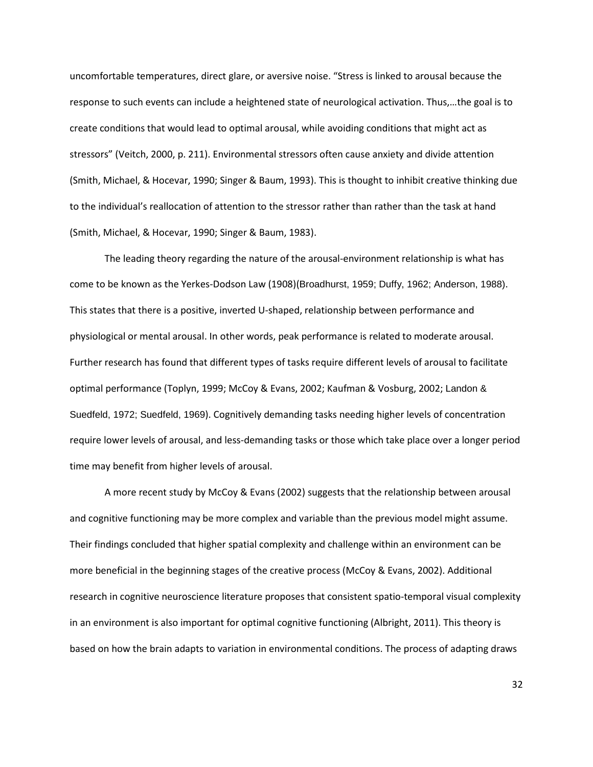uncomfortable temperatures, direct glare, or aversive noise. "Stress is linked to arousal because the response to such events can include a heightened state of neurological activation. Thus,…the goal is to create conditions that would lead to optimal arousal, while avoiding conditions that might act as stressors" (Veitch, 2000, p. 211). Environmental stressors often cause anxiety and divide attention (Smith, Michael, & Hocevar, 1990; Singer & Baum, 1993). This is thought to inhibit creative thinking due to the individual's reallocation of attention to the stressor rather than rather than the task at hand (Smith, Michael, & Hocevar, 1990; Singer & Baum, 1983).

The leading theory regarding the nature of the arousal-environment relationship is what has come to be known as the Yerkes-Dodson Law (1908)(Broadhurst, 1959; Duffy, 1962; Anderson, 1988). This states that there is a positive, inverted U-shaped, relationship between performance and physiological or mental arousal. In other words, peak performance is related to moderate arousal. Further research has found that different types of tasks require different levels of arousal to facilitate optimal performance (Toplyn, 1999; McCoy & Evans, 2002; Kaufman & Vosburg, 2002; Landon & Suedfeld, 1972; Suedfeld, 1969). Cognitively demanding tasks needing higher levels of concentration require lower levels of arousal, and less-demanding tasks or those which take place over a longer period time may benefit from higher levels of arousal.

A more recent study by McCoy & Evans (2002) suggests that the relationship between arousal and cognitive functioning may be more complex and variable than the previous model might assume. Their findings concluded that higher spatial complexity and challenge within an environment can be more beneficial in the beginning stages of the creative process (McCoy & Evans, 2002). Additional research in cognitive neuroscience literature proposes that consistent spatio-temporal visual complexity in an environment is also important for optimal cognitive functioning (Albright, 2011). This theory is based on how the brain adapts to variation in environmental conditions. The process of adapting draws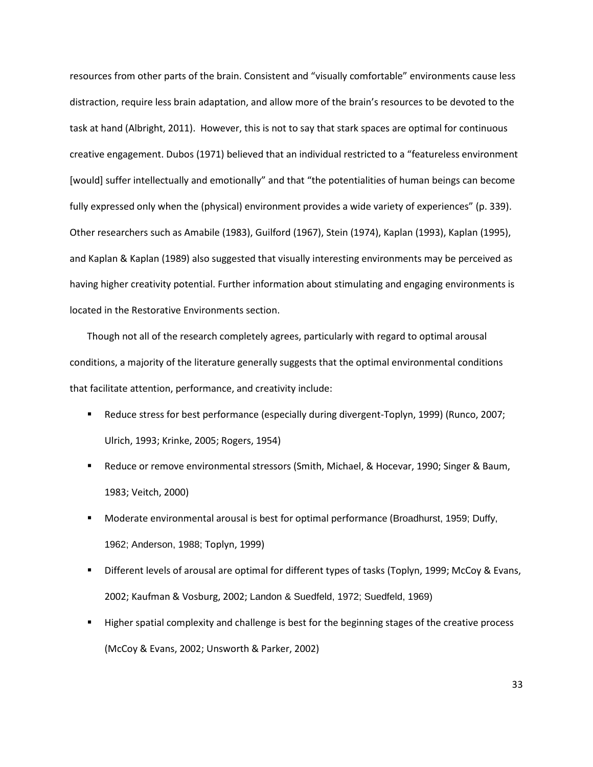resources from other parts of the brain. Consistent and "visually comfortable" environments cause less distraction, require less brain adaptation, and allow more of the brain's resources to be devoted to the task at hand (Albright, 2011). However, this is not to say that stark spaces are optimal for continuous creative engagement. Dubos (1971) believed that an individual restricted to a "featureless environment [would] suffer intellectually and emotionally" and that "the potentialities of human beings can become fully expressed only when the (physical) environment provides a wide variety of experiences" (p. 339). Other researchers such as Amabile (1983), Guilford (1967), Stein (1974), Kaplan (1993), Kaplan (1995), and Kaplan & Kaplan (1989) also suggested that visually interesting environments may be perceived as having higher creativity potential. Further information about stimulating and engaging environments is located in the Restorative Environments section.

Though not all of the research completely agrees, particularly with regard to optimal arousal conditions, a majority of the literature generally suggests that the optimal environmental conditions that facilitate attention, performance, and creativity include:

- Reduce stress for best performance (especially during divergent-Toplyn, 1999) (Runco, 2007; Ulrich, 1993; Krinke, 2005; Rogers, 1954)
- **EXELGE AT A FORDITY ENDITY COROO FIGHT COROO FIGHT AS FORDITY ASSESS** Baum, **Proper 8 Baum**, 1983; Veitch, 2000)
- Moderate environmental arousal is best for optimal performance (Broadhurst, 1959; Duffy, 1962; Anderson, 1988; Toplyn, 1999)
- Different levels of arousal are optimal for different types of tasks (Toplyn, 1999; McCoy & Evans, 2002; Kaufman & Vosburg, 2002; Landon & Suedfeld, 1972; Suedfeld, 1969)
- Higher spatial complexity and challenge is best for the beginning stages of the creative process (McCoy & Evans, 2002; Unsworth & Parker, 2002)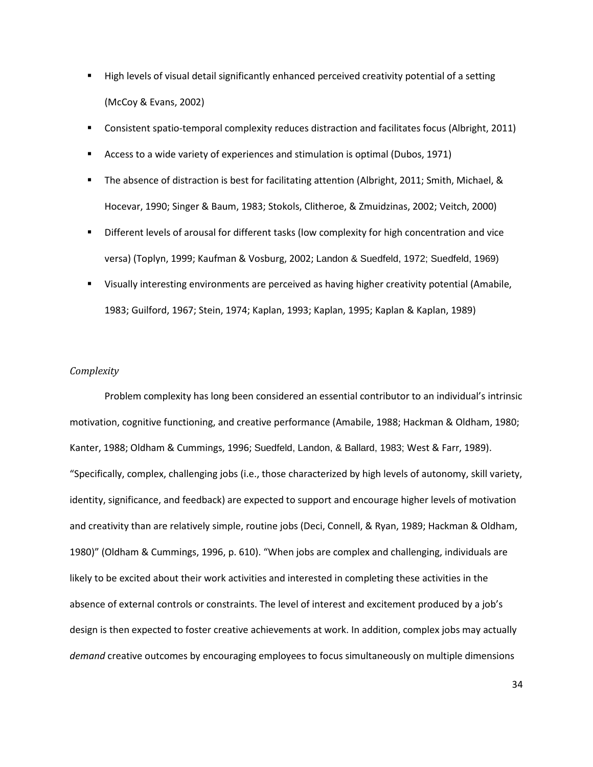- High levels of visual detail significantly enhanced perceived creativity potential of a setting (McCoy & Evans, 2002)
- Consistent spatio-temporal complexity reduces distraction and facilitates focus (Albright, 2011)
- Access to a wide variety of experiences and stimulation is optimal (Dubos, 1971)
- The absence of distraction is best for facilitating attention (Albright, 2011; Smith, Michael, & Hocevar, 1990; Singer & Baum, 1983; Stokols, Clitheroe, & Zmuidzinas, 2002; Veitch, 2000)
- Different levels of arousal for different tasks (low complexity for high concentration and vice versa) (Toplyn, 1999; Kaufman & Vosburg, 2002; Landon & Suedfeld, 1972; Suedfeld, 1969)
- Visually interesting environments are perceived as having higher creativity potential (Amabile, 1983; Guilford, 1967; Stein, 1974; Kaplan, 1993; Kaplan, 1995; Kaplan & Kaplan, 1989)

### *Complexity*

Problem complexity has long been considered an essential contributor to an individual's intrinsic motivation, cognitive functioning, and creative performance (Amabile, 1988; Hackman & Oldham, 1980; Kanter, 1988; Oldham & Cummings, 1996; Suedfeld, Landon, & Ballard, 1983; West & Farr, 1989). "Specifically, complex, challenging jobs (i.e., those characterized by high levels of autonomy, skill variety, identity, significance, and feedback) are expected to support and encourage higher levels of motivation and creativity than are relatively simple, routine jobs (Deci, Connell, & Ryan, 1989; Hackman & Oldham, 1980)" (Oldham & Cummings, 1996, p. 610). "When jobs are complex and challenging, individuals are likely to be excited about their work activities and interested in completing these activities in the absence of external controls or constraints. The level of interest and excitement produced by a job's design is then expected to foster creative achievements at work. In addition, complex jobs may actually *demand* creative outcomes by encouraging employees to focus simultaneously on multiple dimensions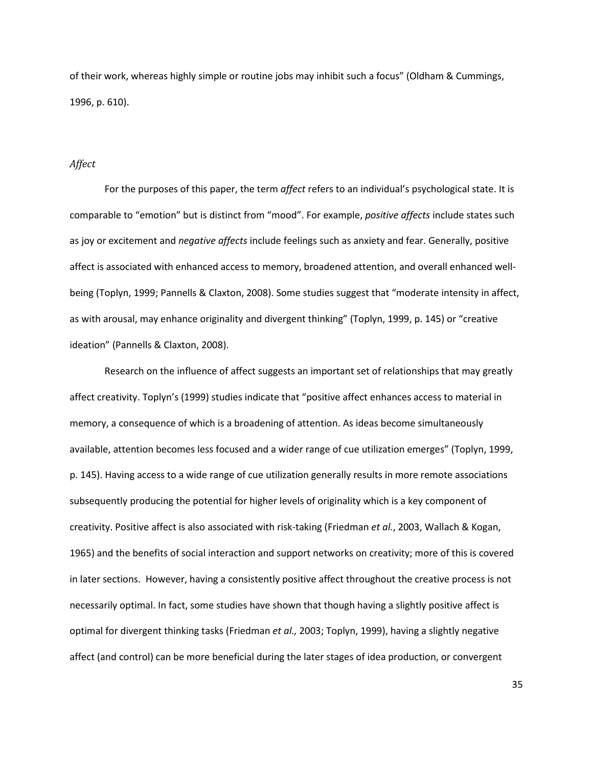of their work, whereas highly simple or routine jobs may inhibit such a focus" (Oldham & Cummings, 1996, p. 610).

## *Affect*

For the purposes of this paper, the term *affect* refers to an individual's psychological state. It is comparable to "emotion" but is distinct from "mood". For example, *positive affects* include states such as joy or excitement and *negative affects* include feelings such as anxiety and fear. Generally, positive affect is associated with enhanced access to memory, broadened attention, and overall enhanced wellbeing (Toplyn, 1999; Pannells & Claxton, 2008). Some studies suggest that "moderate intensity in affect, as with arousal, may enhance originality and divergent thinking" (Toplyn, 1999, p. 145) or "creative ideation" (Pannells & Claxton, 2008).

Research on the influence of affect suggests an important set of relationships that may greatly affect creativity. Toplyn's (1999) studies indicate that "positive affect enhances access to material in memory, a consequence of which is a broadening of attention. As ideas become simultaneously available, attention becomes less focused and a wider range of cue utilization emerges" (Toplyn, 1999, p. 145). Having access to a wide range of cue utilization generally results in more remote associations subsequently producing the potential for higher levels of originality which is a key component of creativity. Positive affect is also associated with risk-taking (Friedman *et al.*, 2003, Wallach & Kogan, 1965) and the benefits of social interaction and support networks on creativity; more of this is covered in later sections. However, having a consistently positive affect throughout the creative process is not necessarily optimal. In fact, some studies have shown that though having a slightly positive affect is optimal for divergent thinking tasks (Friedman *et al.,* 2003; Toplyn, 1999), having a slightly negative affect (and control) can be more beneficial during the later stages of idea production, or convergent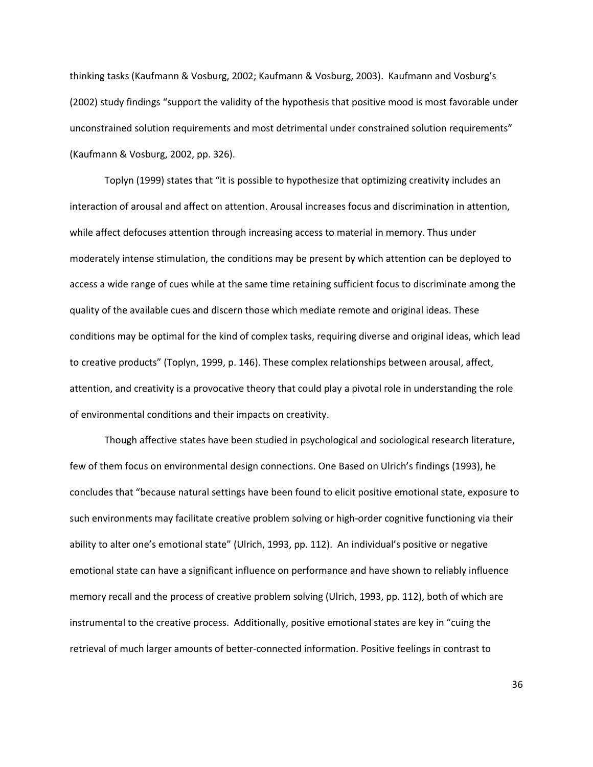thinking tasks (Kaufmann & Vosburg, 2002; Kaufmann & Vosburg, 2003). Kaufmann and Vosburg's (2002) study findings "support the validity of the hypothesis that positive mood is most favorable under unconstrained solution requirements and most detrimental under constrained solution requirements" (Kaufmann & Vosburg, 2002, pp. 326).

Toplyn (1999) states that "it is possible to hypothesize that optimizing creativity includes an interaction of arousal and affect on attention. Arousal increases focus and discrimination in attention, while affect defocuses attention through increasing access to material in memory. Thus under moderately intense stimulation, the conditions may be present by which attention can be deployed to access a wide range of cues while at the same time retaining sufficient focus to discriminate among the quality of the available cues and discern those which mediate remote and original ideas. These conditions may be optimal for the kind of complex tasks, requiring diverse and original ideas, which lead to creative products" (Toplyn, 1999, p. 146). These complex relationships between arousal, affect, attention, and creativity is a provocative theory that could play a pivotal role in understanding the role of environmental conditions and their impacts on creativity.

Though affective states have been studied in psychological and sociological research literature, few of them focus on environmental design connections. One Based on Ulrich's findings (1993), he concludes that "because natural settings have been found to elicit positive emotional state, exposure to such environments may facilitate creative problem solving or high-order cognitive functioning via their ability to alter one's emotional state" (Ulrich, 1993, pp. 112). An individual's positive or negative emotional state can have a significant influence on performance and have shown to reliably influence memory recall and the process of creative problem solving (Ulrich, 1993, pp. 112), both of which are instrumental to the creative process. Additionally, positive emotional states are key in "cuing the retrieval of much larger amounts of better-connected information. Positive feelings in contrast to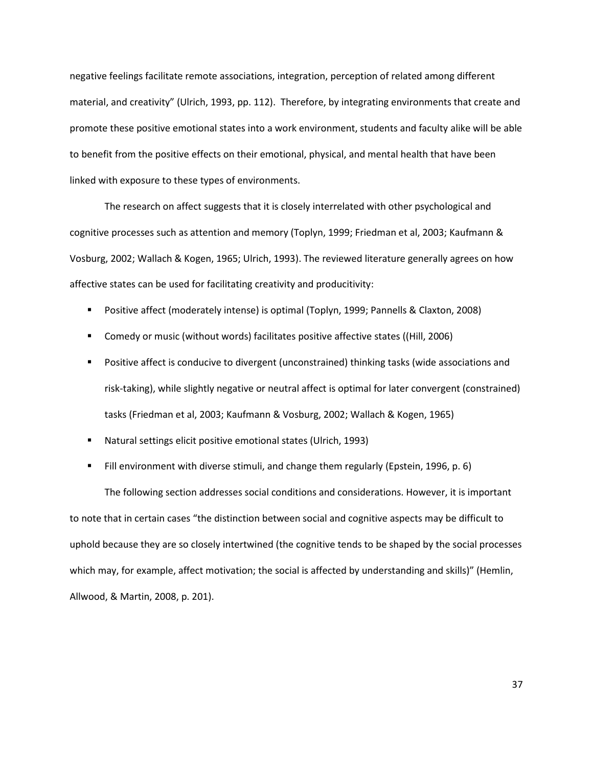negative feelings facilitate remote associations, integration, perception of related among different material, and creativity" (Ulrich, 1993, pp. 112). Therefore, by integrating environments that create and promote these positive emotional states into a work environment, students and faculty alike will be able to benefit from the positive effects on their emotional, physical, and mental health that have been linked with exposure to these types of environments.

The research on affect suggests that it is closely interrelated with other psychological and cognitive processes such as attention and memory (Toplyn, 1999; Friedman et al, 2003; Kaufmann & Vosburg, 2002; Wallach & Kogen, 1965; Ulrich, 1993). The reviewed literature generally agrees on how affective states can be used for facilitating creativity and producitivity:

- Positive affect (moderately intense) is optimal (Toplyn, 1999; Pannells & Claxton, 2008)
- Comedy or music (without words) facilitates positive affective states ((Hill, 2006)
- **Positive affect is conducive to divergent (unconstrained) thinking tasks (wide associations and** risk-taking), while slightly negative or neutral affect is optimal for later convergent (constrained) tasks (Friedman et al, 2003; Kaufmann & Vosburg, 2002; Wallach & Kogen, 1965)
- Natural settings elicit positive emotional states (Ulrich, 1993)
- **Fill environment with diverse stimuli, and change them regularly (Epstein, 1996, p. 6)**

The following section addresses social conditions and considerations. However, it is important to note that in certain cases "the distinction between social and cognitive aspects may be difficult to uphold because they are so closely intertwined (the cognitive tends to be shaped by the social processes which may, for example, affect motivation; the social is affected by understanding and skills)" (Hemlin, Allwood, & Martin, 2008, p. 201).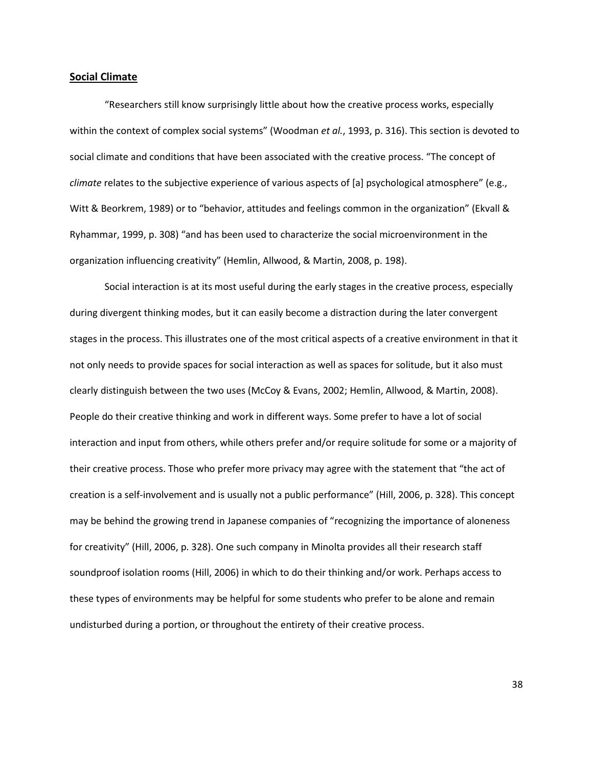## **Social Climate**

"Researchers still know surprisingly little about how the creative process works, especially within the context of complex social systems" (Woodman *et al.*, 1993, p. 316). This section is devoted to social climate and conditions that have been associated with the creative process. "The concept of *climate* relates to the subjective experience of various aspects of [a] psychological atmosphere" (e.g., Witt & Beorkrem, 1989) or to "behavior, attitudes and feelings common in the organization" (Ekvall & Ryhammar, 1999, p. 308) "and has been used to characterize the social microenvironment in the organization influencing creativity" (Hemlin, Allwood, & Martin, 2008, p. 198).

Social interaction is at its most useful during the early stages in the creative process, especially during divergent thinking modes, but it can easily become a distraction during the later convergent stages in the process. This illustrates one of the most critical aspects of a creative environment in that it not only needs to provide spaces for social interaction as well as spaces for solitude, but it also must clearly distinguish between the two uses (McCoy & Evans, 2002; Hemlin, Allwood, & Martin, 2008). People do their creative thinking and work in different ways. Some prefer to have a lot of social interaction and input from others, while others prefer and/or require solitude for some or a majority of their creative process. Those who prefer more privacy may agree with the statement that "the act of creation is a self-involvement and is usually not a public performance" (Hill, 2006, p. 328). This concept may be behind the growing trend in Japanese companies of "recognizing the importance of aloneness for creativity" (Hill, 2006, p. 328). One such company in Minolta provides all their research staff soundproof isolation rooms (Hill, 2006) in which to do their thinking and/or work. Perhaps access to these types of environments may be helpful for some students who prefer to be alone and remain undisturbed during a portion, or throughout the entirety of their creative process.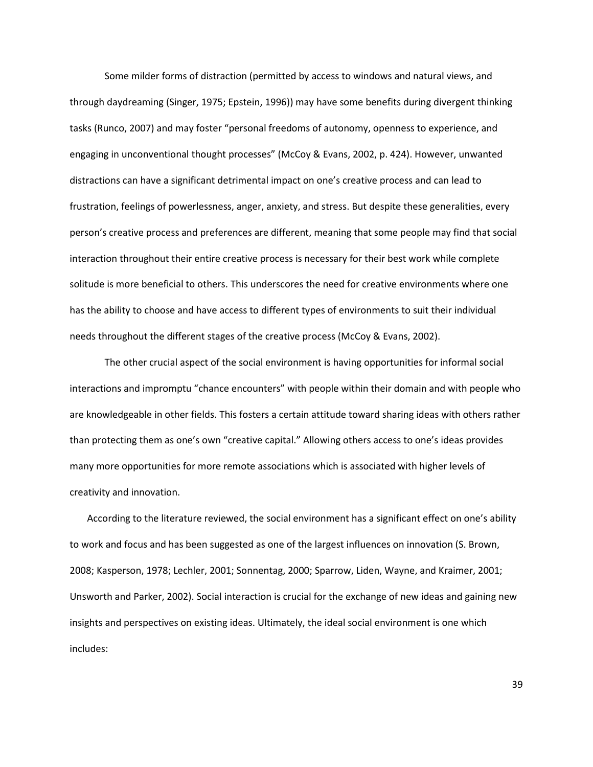Some milder forms of distraction (permitted by access to windows and natural views, and through daydreaming (Singer, 1975; Epstein, 1996)) may have some benefits during divergent thinking tasks (Runco, 2007) and may foster "personal freedoms of autonomy, openness to experience, and engaging in unconventional thought processes" (McCoy & Evans, 2002, p. 424). However, unwanted distractions can have a significant detrimental impact on one's creative process and can lead to frustration, feelings of powerlessness, anger, anxiety, and stress. But despite these generalities, every person's creative process and preferences are different, meaning that some people may find that social interaction throughout their entire creative process is necessary for their best work while complete solitude is more beneficial to others. This underscores the need for creative environments where one has the ability to choose and have access to different types of environments to suit their individual needs throughout the different stages of the creative process (McCoy & Evans, 2002).

The other crucial aspect of the social environment is having opportunities for informal social interactions and impromptu "chance encounters" with people within their domain and with people who are knowledgeable in other fields. This fosters a certain attitude toward sharing ideas with others rather than protecting them as one's own "creative capital." Allowing others access to one's ideas provides many more opportunities for more remote associations which is associated with higher levels of creativity and innovation.

According to the literature reviewed, the social environment has a significant effect on one's ability to work and focus and has been suggested as one of the largest influences on innovation (S. Brown, 2008; Kasperson, 1978; Lechler, 2001; Sonnentag, 2000; Sparrow, Liden, Wayne, and Kraimer, 2001; Unsworth and Parker, 2002). Social interaction is crucial for the exchange of new ideas and gaining new insights and perspectives on existing ideas. Ultimately, the ideal social environment is one which includes: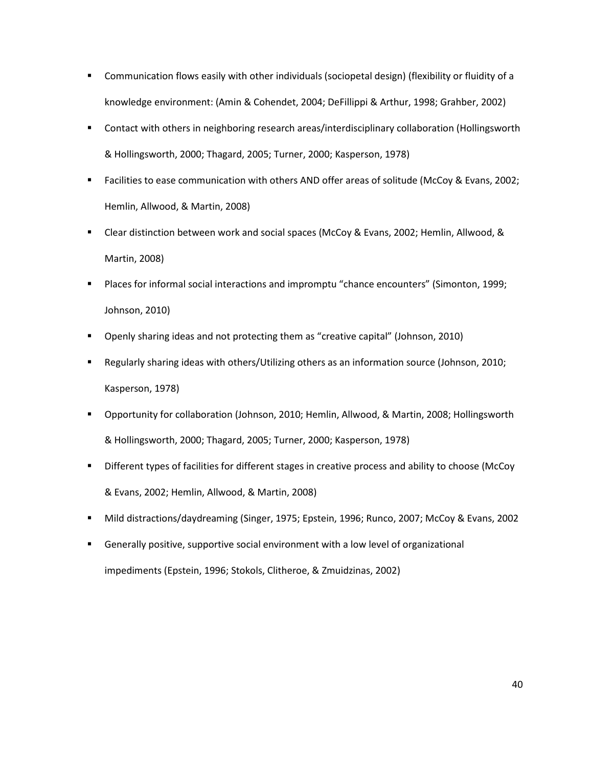- Communication flows easily with other individuals (sociopetal design) (flexibility or fluidity of a knowledge environment: (Amin & Cohendet, 2004; DeFillippi & Arthur, 1998; Grahber, 2002)
- Contact with others in neighboring research areas/interdisciplinary collaboration (Hollingsworth & Hollingsworth, 2000; Thagard, 2005; Turner, 2000; Kasperson, 1978)
- Facilities to ease communication with others AND offer areas of solitude (McCoy & Evans, 2002; Hemlin, Allwood, & Martin, 2008)
- Clear distinction between work and social spaces (McCoy & Evans, 2002; Hemlin, Allwood, & Martin, 2008)
- Places for informal social interactions and impromptu "chance encounters" (Simonton, 1999; Johnson, 2010)
- Openly sharing ideas and not protecting them as "creative capital" (Johnson, 2010)
- Regularly sharing ideas with others/Utilizing others as an information source (Johnson, 2010; Kasperson, 1978)
- Opportunity for collaboration (Johnson, 2010; Hemlin, Allwood, & Martin, 2008; Hollingsworth & Hollingsworth, 2000; Thagard, 2005; Turner, 2000; Kasperson, 1978)
- Different types of facilities for different stages in creative process and ability to choose (McCoy & Evans, 2002; Hemlin, Allwood, & Martin, 2008)
- Mild distractions/daydreaming (Singer, 1975; Epstein, 1996; Runco, 2007; McCoy & Evans, 2002
- Generally positive, supportive social environment with a low level of organizational impediments (Epstein, 1996; Stokols, Clitheroe, & Zmuidzinas, 2002)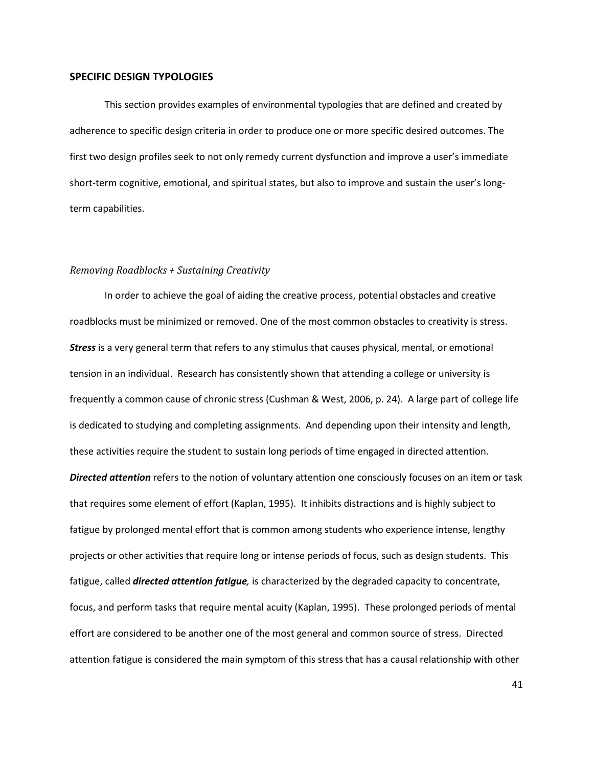## **SPECIFIC DESIGN TYPOLOGIES**

This section provides examples of environmental typologies that are defined and created by adherence to specific design criteria in order to produce one or more specific desired outcomes. The first two design profiles seek to not only remedy current dysfunction and improve a user's immediate short-term cognitive, emotional, and spiritual states, but also to improve and sustain the user's longterm capabilities.

### *Removing Roadblocks + Sustaining Creativity*

In order to achieve the goal of aiding the creative process, potential obstacles and creative roadblocks must be minimized or removed. One of the most common obstacles to creativity is stress. *Stress* is a very general term that refers to any stimulus that causes physical, mental, or emotional tension in an individual. Research has consistently shown that attending a college or university is frequently a common cause of chronic stress (Cushman & West, 2006, p. 24). A large part of college life is dedicated to studying and completing assignments. And depending upon their intensity and length, these activities require the student to sustain long periods of time engaged in directed attention. *Directed attention* refers to the notion of voluntary attention one consciously focuses on an item or task that requires some element of effort (Kaplan, 1995). It inhibits distractions and is highly subject to fatigue by prolonged mental effort that is common among students who experience intense, lengthy projects or other activities that require long or intense periods of focus, such as design students. This fatigue, called *directed attention fatigue,* is characterized by the degraded capacity to concentrate, focus, and perform tasks that require mental acuity (Kaplan, 1995). These prolonged periods of mental effort are considered to be another one of the most general and common source of stress. Directed

attention fatigue is considered the main symptom of this stress that has a causal relationship with other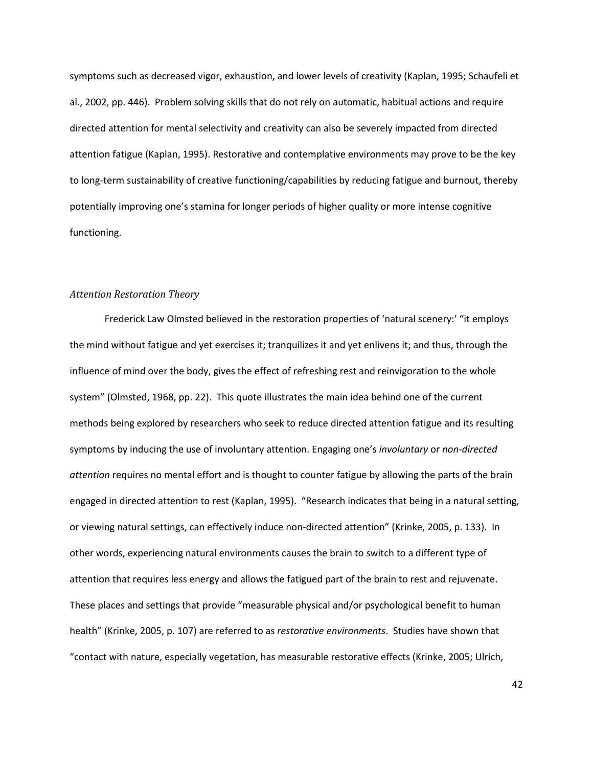symptoms such as decreased vigor, exhaustion, and lower levels of creativity (Kaplan, 1995; Schaufeli et al., 2002, pp. 446). Problem solving skills that do not rely on automatic, habitual actions and require directed attention for mental selectivity and creativity can also be severely impacted from directed attention fatigue (Kaplan, 1995). Restorative and contemplative environments may prove to be the key to long-term sustainability of creative functioning/capabilities by reducing fatigue and burnout, thereby potentially improving one's stamina for longer periods of higher quality or more intense cognitive functioning.

### *Attention Restoration Theory*

Frederick Law Olmsted believed in the restoration properties of 'natural scenery:' "it employs the mind without fatigue and yet exercises it; tranquilizes it and yet enlivens it; and thus, through the influence of mind over the body, gives the effect of refreshing rest and reinvigoration to the whole system" (Olmsted, 1968, pp. 22). This quote illustrates the main idea behind one of the current methods being explored by researchers who seek to reduce directed attention fatigue and its resulting symptoms by inducing the use of involuntary attention. Engaging one's *involuntary* or *non-directed attention* requires no mental effort and is thought to counter fatigue by allowing the parts of the brain engaged in directed attention to rest (Kaplan, 1995). "Research indicates that being in a natural setting, or viewing natural settings, can effectively induce non-directed attention" (Krinke, 2005, p. 133). In other words, experiencing natural environments causes the brain to switch to a different type of attention that requires less energy and allows the fatigued part of the brain to rest and rejuvenate. These places and settings that provide "measurable physical and/or psychological benefit to human health" (Krinke, 2005, p. 107) are referred to as *restorative environments*. Studies have shown that "contact with nature, especially vegetation, has measurable restorative effects (Krinke, 2005; Ulrich,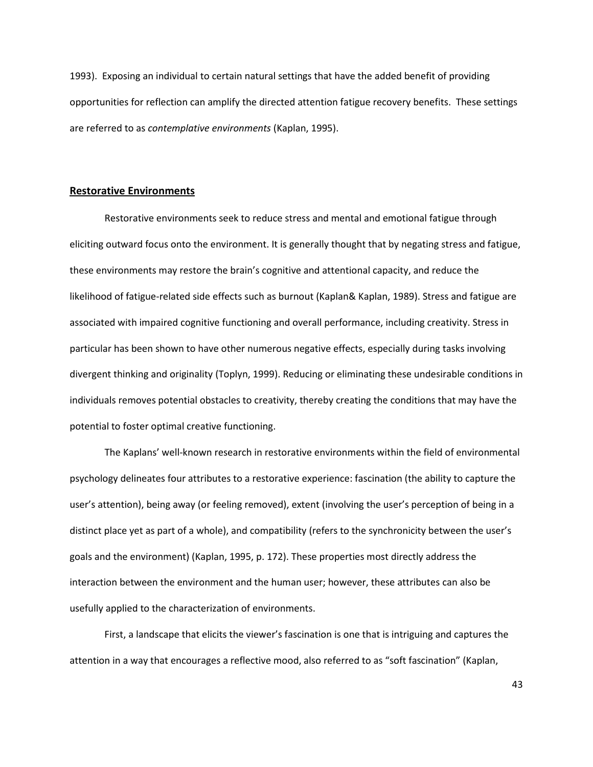1993). Exposing an individual to certain natural settings that have the added benefit of providing opportunities for reflection can amplify the directed attention fatigue recovery benefits. These settings are referred to as *contemplative environments* (Kaplan, 1995).

# **Restorative Environments**

Restorative environments seek to reduce stress and mental and emotional fatigue through eliciting outward focus onto the environment. It is generally thought that by negating stress and fatigue, these environments may restore the brain's cognitive and attentional capacity, and reduce the likelihood of fatigue-related side effects such as burnout (Kaplan& Kaplan, 1989). Stress and fatigue are associated with impaired cognitive functioning and overall performance, including creativity. Stress in particular has been shown to have other numerous negative effects, especially during tasks involving divergent thinking and originality (Toplyn, 1999). Reducing or eliminating these undesirable conditions in individuals removes potential obstacles to creativity, thereby creating the conditions that may have the potential to foster optimal creative functioning.

The Kaplans' well-known research in restorative environments within the field of environmental psychology delineates four attributes to a restorative experience: fascination (the ability to capture the user's attention), being away (or feeling removed), extent (involving the user's perception of being in a distinct place yet as part of a whole), and compatibility (refers to the synchronicity between the user's goals and the environment) (Kaplan, 1995, p. 172). These properties most directly address the interaction between the environment and the human user; however, these attributes can also be usefully applied to the characterization of environments.

First, a landscape that elicits the viewer's fascination is one that is intriguing and captures the attention in a way that encourages a reflective mood, also referred to as "soft fascination" (Kaplan,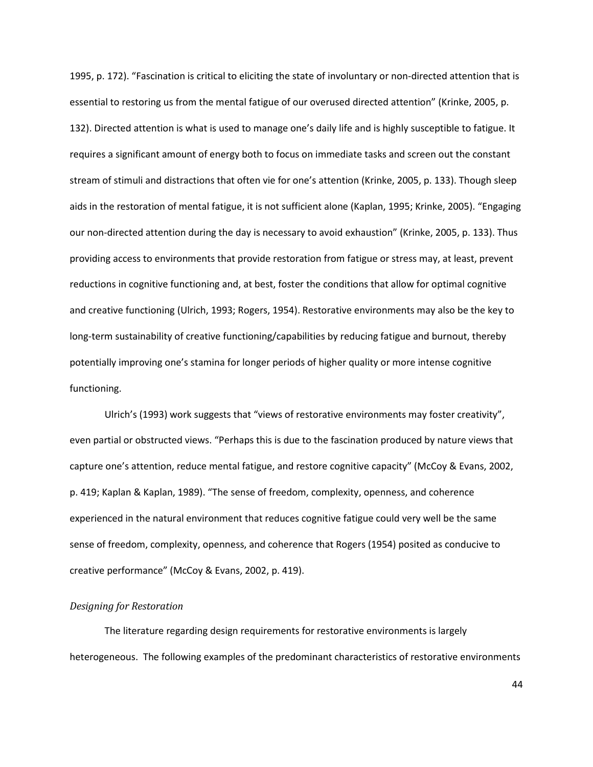1995, p. 172). "Fascination is critical to eliciting the state of involuntary or non-directed attention that is essential to restoring us from the mental fatigue of our overused directed attention" (Krinke, 2005, p. 132). Directed attention is what is used to manage one's daily life and is highly susceptible to fatigue. It requires a significant amount of energy both to focus on immediate tasks and screen out the constant stream of stimuli and distractions that often vie for one's attention (Krinke, 2005, p. 133). Though sleep aids in the restoration of mental fatigue, it is not sufficient alone (Kaplan, 1995; Krinke, 2005). "Engaging our non-directed attention during the day is necessary to avoid exhaustion" (Krinke, 2005, p. 133). Thus providing access to environments that provide restoration from fatigue or stress may, at least, prevent reductions in cognitive functioning and, at best, foster the conditions that allow for optimal cognitive and creative functioning (Ulrich, 1993; Rogers, 1954). Restorative environments may also be the key to long-term sustainability of creative functioning/capabilities by reducing fatigue and burnout, thereby potentially improving one's stamina for longer periods of higher quality or more intense cognitive functioning.

Ulrich's (1993) work suggests that "views of restorative environments may foster creativity", even partial or obstructed views. "Perhaps this is due to the fascination produced by nature views that capture one's attention, reduce mental fatigue, and restore cognitive capacity" (McCoy & Evans, 2002, p. 419; Kaplan & Kaplan, 1989). "The sense of freedom, complexity, openness, and coherence experienced in the natural environment that reduces cognitive fatigue could very well be the same sense of freedom, complexity, openness, and coherence that Rogers (1954) posited as conducive to creative performance" (McCoy & Evans, 2002, p. 419).

#### *Designing for Restoration*

The literature regarding design requirements for restorative environments is largely heterogeneous. The following examples of the predominant characteristics of restorative environments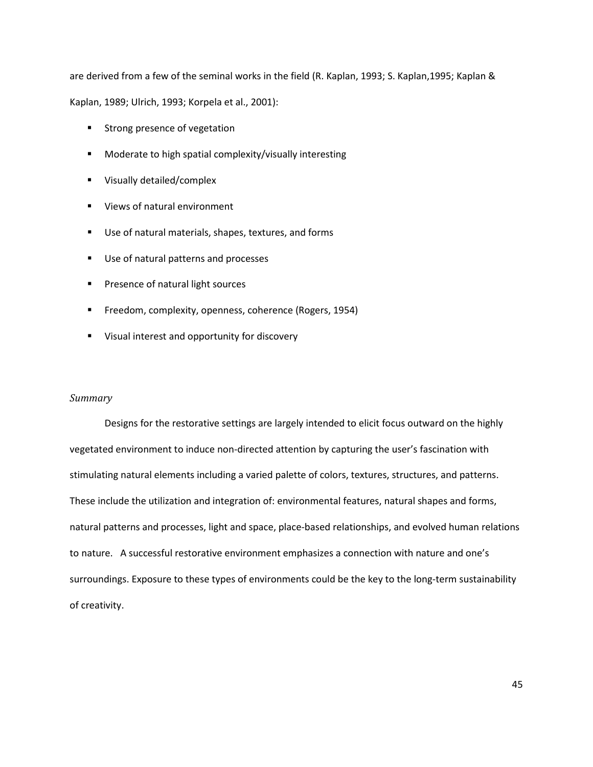are derived from a few of the seminal works in the field (R. Kaplan, 1993; S. Kaplan,1995; Kaplan &

Kaplan, 1989; Ulrich, 1993; Korpela et al., 2001):

- **Strong presence of vegetation**
- **Moderate to high spatial complexity/visually interesting**
- **Visually detailed/complex**
- **Views of natural environment**
- Use of natural materials, shapes, textures, and forms
- Use of natural patterns and processes
- Presence of natural light sources
- **Freedom, complexity, openness, coherence (Rogers, 1954)**
- **Visual interest and opportunity for discovery**

## *Summary*

Designs for the restorative settings are largely intended to elicit focus outward on the highly vegetated environment to induce non-directed attention by capturing the user's fascination with stimulating natural elements including a varied palette of colors, textures, structures, and patterns. These include the utilization and integration of: environmental features, natural shapes and forms, natural patterns and processes, light and space, place-based relationships, and evolved human relations to nature. A successful restorative environment emphasizes a connection with nature and one's surroundings. Exposure to these types of environments could be the key to the long-term sustainability of creativity.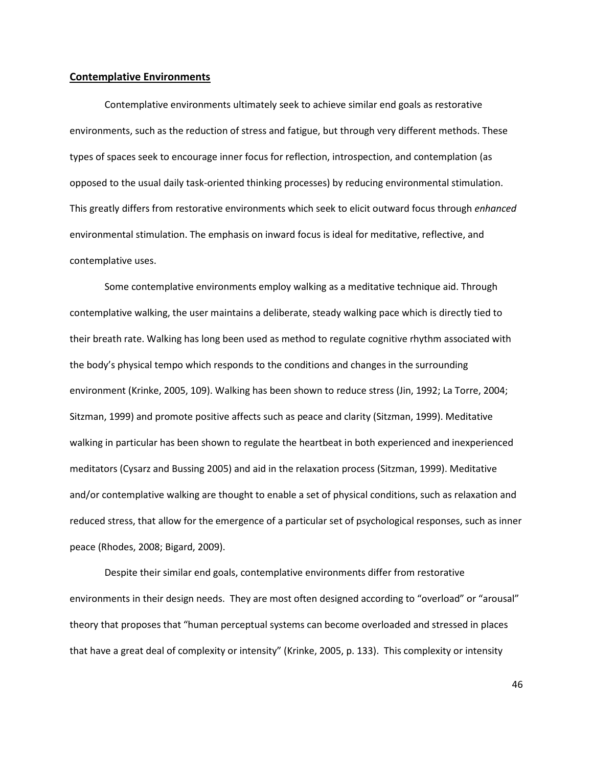## **Contemplative Environments**

Contemplative environments ultimately seek to achieve similar end goals as restorative environments, such as the reduction of stress and fatigue, but through very different methods. These types of spaces seek to encourage inner focus for reflection, introspection, and contemplation (as opposed to the usual daily task-oriented thinking processes) by reducing environmental stimulation. This greatly differs from restorative environments which seek to elicit outward focus through *enhanced* environmental stimulation. The emphasis on inward focus is ideal for meditative, reflective, and contemplative uses.

Some contemplative environments employ walking as a meditative technique aid. Through contemplative walking, the user maintains a deliberate, steady walking pace which is directly tied to their breath rate. Walking has long been used as method to regulate cognitive rhythm associated with the body's physical tempo which responds to the conditions and changes in the surrounding environment (Krinke, 2005, 109). Walking has been shown to reduce stress (Jin, 1992; La Torre, 2004; Sitzman, 1999) and promote positive affects such as peace and clarity (Sitzman, 1999). Meditative walking in particular has been shown to regulate the heartbeat in both experienced and inexperienced meditators (Cysarz and Bussing 2005) and aid in the relaxation process (Sitzman, 1999). Meditative and/or contemplative walking are thought to enable a set of physical conditions, such as relaxation and reduced stress, that allow for the emergence of a particular set of psychological responses, such as inner peace (Rhodes, 2008; Bigard, 2009).

Despite their similar end goals, contemplative environments differ from restorative environments in their design needs. They are most often designed according to "overload" or "arousal" theory that proposes that "human perceptual systems can become overloaded and stressed in places that have a great deal of complexity or intensity" (Krinke, 2005, p. 133). This complexity or intensity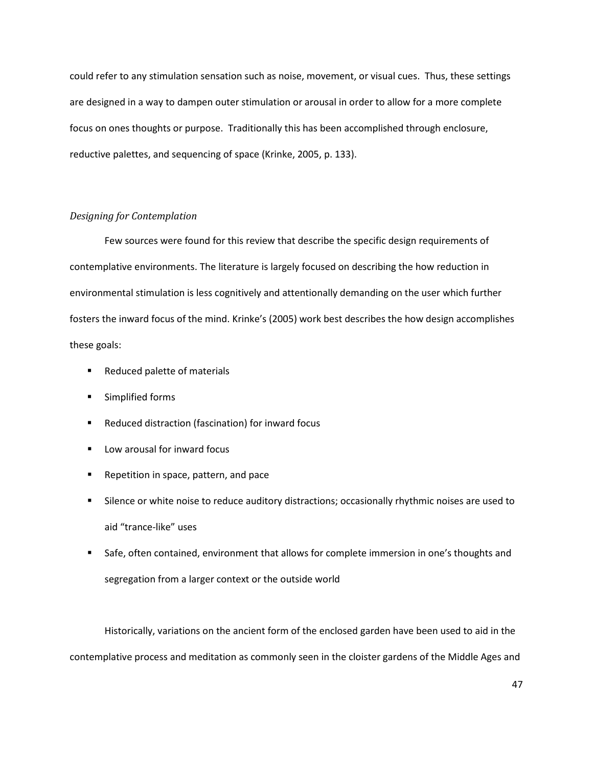could refer to any stimulation sensation such as noise, movement, or visual cues. Thus, these settings are designed in a way to dampen outer stimulation or arousal in order to allow for a more complete focus on ones thoughts or purpose. Traditionally this has been accomplished through enclosure, reductive palettes, and sequencing of space (Krinke, 2005, p. 133).

## *Designing for Contemplation*

Few sources were found for this review that describe the specific design requirements of contemplative environments. The literature is largely focused on describing the how reduction in environmental stimulation is less cognitively and attentionally demanding on the user which further fosters the inward focus of the mind. Krinke's (2005) work best describes the how design accomplishes these goals:

- Reduced palette of materials
- Simplified forms
- **Reduced distraction (fascination) for inward focus**
- **Low arousal for inward focus**
- **Repetition in space, pattern, and pace**
- **Silence or white noise to reduce auditory distractions; occasionally rhythmic noises are used to** aid "trance-like" uses
- **Safe, often contained, environment that allows for complete immersion in one's thoughts and** segregation from a larger context or the outside world

Historically, variations on the ancient form of the enclosed garden have been used to aid in the contemplative process and meditation as commonly seen in the cloister gardens of the Middle Ages and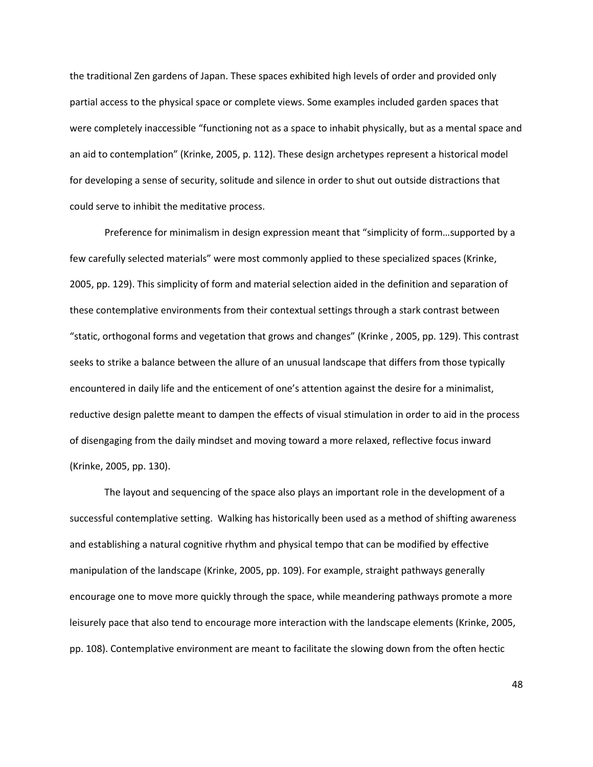the traditional Zen gardens of Japan. These spaces exhibited high levels of order and provided only partial access to the physical space or complete views. Some examples included garden spaces that were completely inaccessible "functioning not as a space to inhabit physically, but as a mental space and an aid to contemplation" (Krinke, 2005, p. 112). These design archetypes represent a historical model for developing a sense of security, solitude and silence in order to shut out outside distractions that could serve to inhibit the meditative process.

Preference for minimalism in design expression meant that "simplicity of form…supported by a few carefully selected materials" were most commonly applied to these specialized spaces (Krinke, 2005, pp. 129). This simplicity of form and material selection aided in the definition and separation of these contemplative environments from their contextual settings through a stark contrast between "static, orthogonal forms and vegetation that grows and changes" (Krinke , 2005, pp. 129). This contrast seeks to strike a balance between the allure of an unusual landscape that differs from those typically encountered in daily life and the enticement of one's attention against the desire for a minimalist, reductive design palette meant to dampen the effects of visual stimulation in order to aid in the process of disengaging from the daily mindset and moving toward a more relaxed, reflective focus inward (Krinke, 2005, pp. 130).

The layout and sequencing of the space also plays an important role in the development of a successful contemplative setting. Walking has historically been used as a method of shifting awareness and establishing a natural cognitive rhythm and physical tempo that can be modified by effective manipulation of the landscape (Krinke, 2005, pp. 109). For example, straight pathways generally encourage one to move more quickly through the space, while meandering pathways promote a more leisurely pace that also tend to encourage more interaction with the landscape elements (Krinke, 2005, pp. 108). Contemplative environment are meant to facilitate the slowing down from the often hectic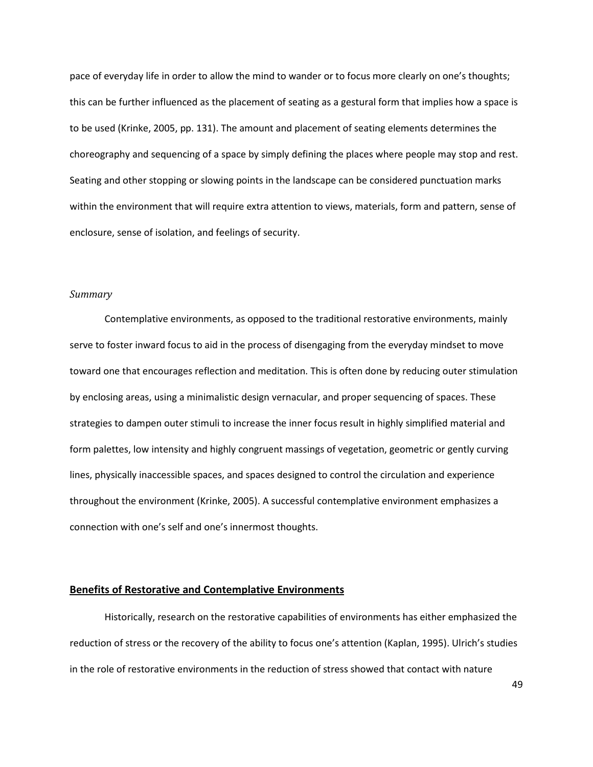pace of everyday life in order to allow the mind to wander or to focus more clearly on one's thoughts; this can be further influenced as the placement of seating as a gestural form that implies how a space is to be used (Krinke, 2005, pp. 131). The amount and placement of seating elements determines the choreography and sequencing of a space by simply defining the places where people may stop and rest. Seating and other stopping or slowing points in the landscape can be considered punctuation marks within the environment that will require extra attention to views, materials, form and pattern, sense of enclosure, sense of isolation, and feelings of security.

## *Summary*

Contemplative environments, as opposed to the traditional restorative environments, mainly serve to foster inward focus to aid in the process of disengaging from the everyday mindset to move toward one that encourages reflection and meditation. This is often done by reducing outer stimulation by enclosing areas, using a minimalistic design vernacular, and proper sequencing of spaces. These strategies to dampen outer stimuli to increase the inner focus result in highly simplified material and form palettes, low intensity and highly congruent massings of vegetation, geometric or gently curving lines, physically inaccessible spaces, and spaces designed to control the circulation and experience throughout the environment (Krinke, 2005). A successful contemplative environment emphasizes a connection with one's self and one's innermost thoughts.

## **Benefits of Restorative and Contemplative Environments**

Historically, research on the restorative capabilities of environments has either emphasized the reduction of stress or the recovery of the ability to focus one's attention (Kaplan, 1995). Ulrich's studies in the role of restorative environments in the reduction of stress showed that contact with nature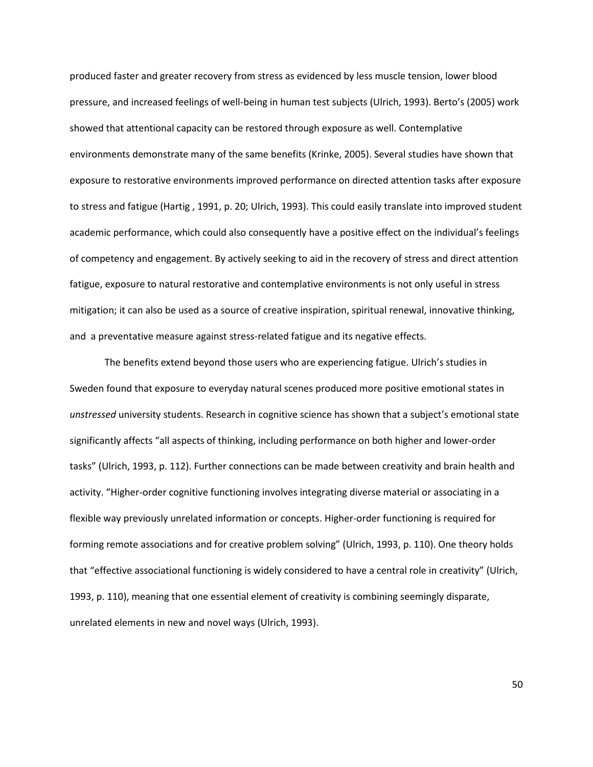produced faster and greater recovery from stress as evidenced by less muscle tension, lower blood pressure, and increased feelings of well-being in human test subjects (Ulrich, 1993). Berto's (2005) work showed that attentional capacity can be restored through exposure as well. Contemplative environments demonstrate many of the same benefits (Krinke, 2005). Several studies have shown that exposure to restorative environments improved performance on directed attention tasks after exposure to stress and fatigue (Hartig , 1991, p. 20; Ulrich, 1993). This could easily translate into improved student academic performance, which could also consequently have a positive effect on the individual's feelings of competency and engagement. By actively seeking to aid in the recovery of stress and direct attention fatigue, exposure to natural restorative and contemplative environments is not only useful in stress mitigation; it can also be used as a source of creative inspiration, spiritual renewal, innovative thinking, and a preventative measure against stress-related fatigue and its negative effects.

The benefits extend beyond those users who are experiencing fatigue. Ulrich's studies in Sweden found that exposure to everyday natural scenes produced more positive emotional states in *unstressed* university students. Research in cognitive science has shown that a subject's emotional state significantly affects "all aspects of thinking, including performance on both higher and lower-order tasks" (Ulrich, 1993, p. 112). Further connections can be made between creativity and brain health and activity. "Higher-order cognitive functioning involves integrating diverse material or associating in a flexible way previously unrelated information or concepts. Higher-order functioning is required for forming remote associations and for creative problem solving" (Ulrich, 1993, p. 110). One theory holds that "effective associational functioning is widely considered to have a central role in creativity" (Ulrich, 1993, p. 110), meaning that one essential element of creativity is combining seemingly disparate, unrelated elements in new and novel ways (Ulrich, 1993).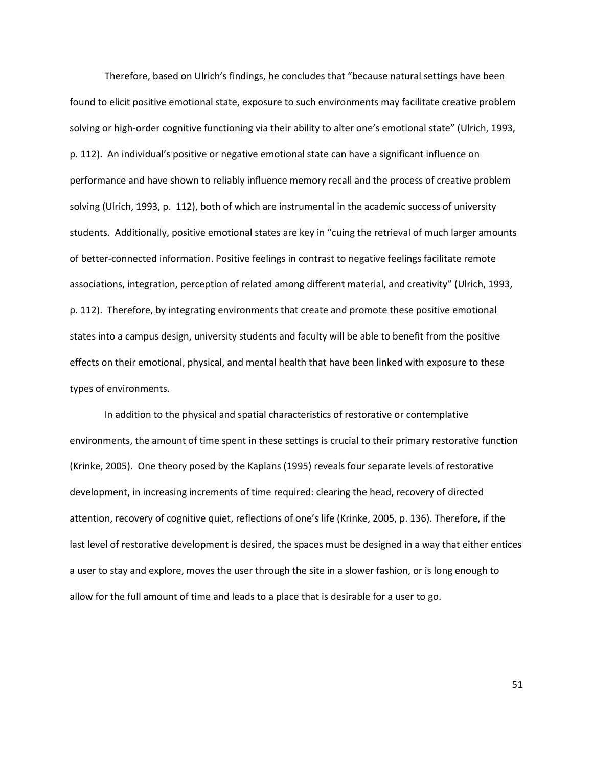Therefore, based on Ulrich's findings, he concludes that "because natural settings have been found to elicit positive emotional state, exposure to such environments may facilitate creative problem solving or high-order cognitive functioning via their ability to alter one's emotional state" (Ulrich, 1993, p. 112). An individual's positive or negative emotional state can have a significant influence on performance and have shown to reliably influence memory recall and the process of creative problem solving (Ulrich, 1993, p. 112), both of which are instrumental in the academic success of university students. Additionally, positive emotional states are key in "cuing the retrieval of much larger amounts of better-connected information. Positive feelings in contrast to negative feelings facilitate remote associations, integration, perception of related among different material, and creativity" (Ulrich, 1993, p. 112). Therefore, by integrating environments that create and promote these positive emotional states into a campus design, university students and faculty will be able to benefit from the positive effects on their emotional, physical, and mental health that have been linked with exposure to these types of environments.

In addition to the physical and spatial characteristics of restorative or contemplative environments, the amount of time spent in these settings is crucial to their primary restorative function (Krinke, 2005). One theory posed by the Kaplans (1995) reveals four separate levels of restorative development, in increasing increments of time required: clearing the head, recovery of directed attention, recovery of cognitive quiet, reflections of one's life (Krinke, 2005, p. 136). Therefore, if the last level of restorative development is desired, the spaces must be designed in a way that either entices a user to stay and explore, moves the user through the site in a slower fashion, or is long enough to allow for the full amount of time and leads to a place that is desirable for a user to go.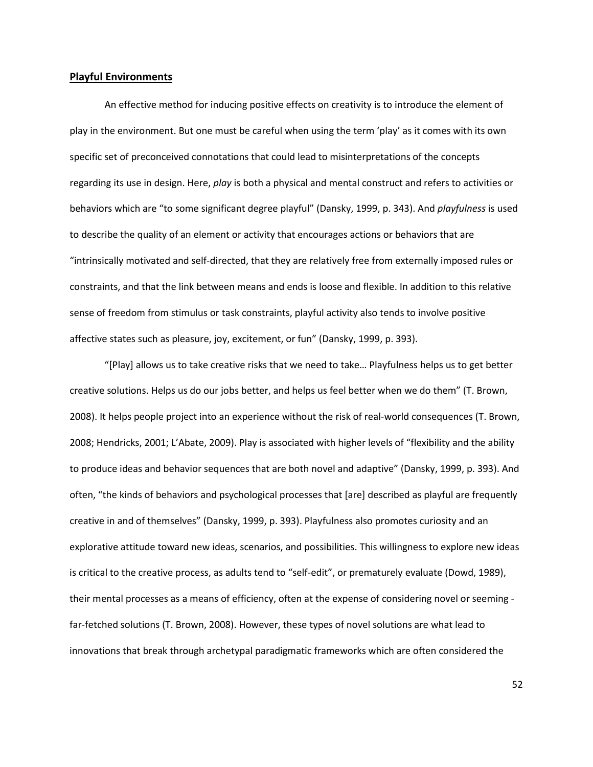## **Playful Environments**

An effective method for inducing positive effects on creativity is to introduce the element of play in the environment. But one must be careful when using the term 'play' as it comes with its own specific set of preconceived connotations that could lead to misinterpretations of the concepts regarding its use in design. Here, *play* is both a physical and mental construct and refers to activities or behaviors which are "to some significant degree playful" (Dansky, 1999, p. 343). And *playfulness* is used to describe the quality of an element or activity that encourages actions or behaviors that are "intrinsically motivated and self-directed, that they are relatively free from externally imposed rules or constraints, and that the link between means and ends is loose and flexible. In addition to this relative sense of freedom from stimulus or task constraints, playful activity also tends to involve positive affective states such as pleasure, joy, excitement, or fun" (Dansky, 1999, p. 393).

"[Play] allows us to take creative risks that we need to take… Playfulness helps us to get better creative solutions. Helps us do our jobs better, and helps us feel better when we do them" (T. Brown, 2008). It helps people project into an experience without the risk of real-world consequences (T. Brown, 2008; Hendricks, 2001; L'Abate, 2009). Play is associated with higher levels of "flexibility and the ability to produce ideas and behavior sequences that are both novel and adaptive" (Dansky, 1999, p. 393). And often, "the kinds of behaviors and psychological processes that [are] described as playful are frequently creative in and of themselves" (Dansky, 1999, p. 393). Playfulness also promotes curiosity and an explorative attitude toward new ideas, scenarios, and possibilities. This willingness to explore new ideas is critical to the creative process, as adults tend to "self-edit", or prematurely evaluate (Dowd, 1989), their mental processes as a means of efficiency, often at the expense of considering novel or seeming far-fetched solutions (T. Brown, 2008). However, these types of novel solutions are what lead to innovations that break through archetypal paradigmatic frameworks which are often considered the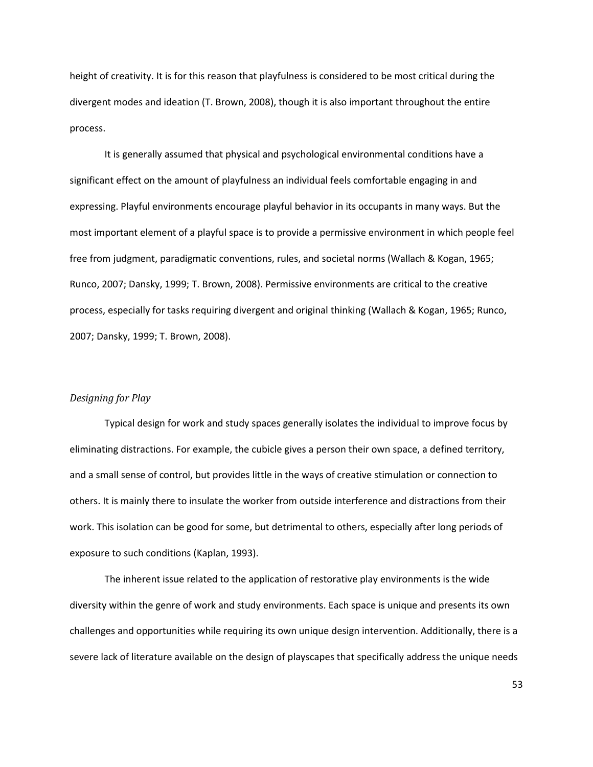height of creativity. It is for this reason that playfulness is considered to be most critical during the divergent modes and ideation (T. Brown, 2008), though it is also important throughout the entire process.

It is generally assumed that physical and psychological environmental conditions have a significant effect on the amount of playfulness an individual feels comfortable engaging in and expressing. Playful environments encourage playful behavior in its occupants in many ways. But the most important element of a playful space is to provide a permissive environment in which people feel free from judgment, paradigmatic conventions, rules, and societal norms (Wallach & Kogan, 1965; Runco, 2007; Dansky, 1999; T. Brown, 2008). Permissive environments are critical to the creative process, especially for tasks requiring divergent and original thinking (Wallach & Kogan, 1965; Runco, 2007; Dansky, 1999; T. Brown, 2008).

### *Designing for Play*

Typical design for work and study spaces generally isolates the individual to improve focus by eliminating distractions. For example, the cubicle gives a person their own space, a defined territory, and a small sense of control, but provides little in the ways of creative stimulation or connection to others. It is mainly there to insulate the worker from outside interference and distractions from their work. This isolation can be good for some, but detrimental to others, especially after long periods of exposure to such conditions (Kaplan, 1993).

The inherent issue related to the application of restorative play environments is the wide diversity within the genre of work and study environments. Each space is unique and presents its own challenges and opportunities while requiring its own unique design intervention. Additionally, there is a severe lack of literature available on the design of playscapes that specifically address the unique needs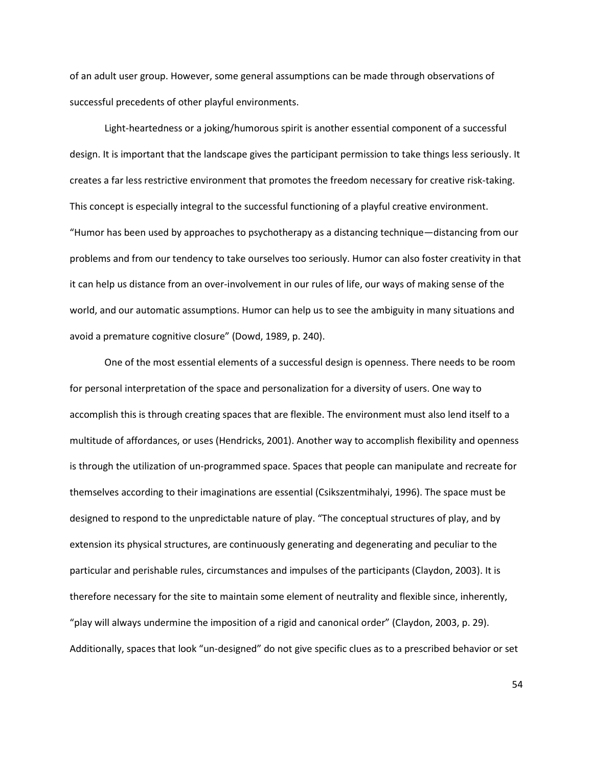of an adult user group. However, some general assumptions can be made through observations of successful precedents of other playful environments.

Light-heartedness or a joking/humorous spirit is another essential component of a successful design. It is important that the landscape gives the participant permission to take things less seriously. It creates a far less restrictive environment that promotes the freedom necessary for creative risk-taking. This concept is especially integral to the successful functioning of a playful creative environment. "Humor has been used by approaches to psychotherapy as a distancing technique—distancing from our problems and from our tendency to take ourselves too seriously. Humor can also foster creativity in that it can help us distance from an over-involvement in our rules of life, our ways of making sense of the world, and our automatic assumptions. Humor can help us to see the ambiguity in many situations and avoid a premature cognitive closure" (Dowd, 1989, p. 240).

One of the most essential elements of a successful design is openness. There needs to be room for personal interpretation of the space and personalization for a diversity of users. One way to accomplish this is through creating spaces that are flexible. The environment must also lend itself to a multitude of affordances, or uses (Hendricks, 2001). Another way to accomplish flexibility and openness is through the utilization of un-programmed space. Spaces that people can manipulate and recreate for themselves according to their imaginations are essential (Csikszentmihalyi, 1996). The space must be designed to respond to the unpredictable nature of play. "The conceptual structures of play, and by extension its physical structures, are continuously generating and degenerating and peculiar to the particular and perishable rules, circumstances and impulses of the participants (Claydon, 2003). It is therefore necessary for the site to maintain some element of neutrality and flexible since, inherently, "play will always undermine the imposition of a rigid and canonical order" (Claydon, 2003, p. 29). Additionally, spaces that look "un-designed" do not give specific clues as to a prescribed behavior or set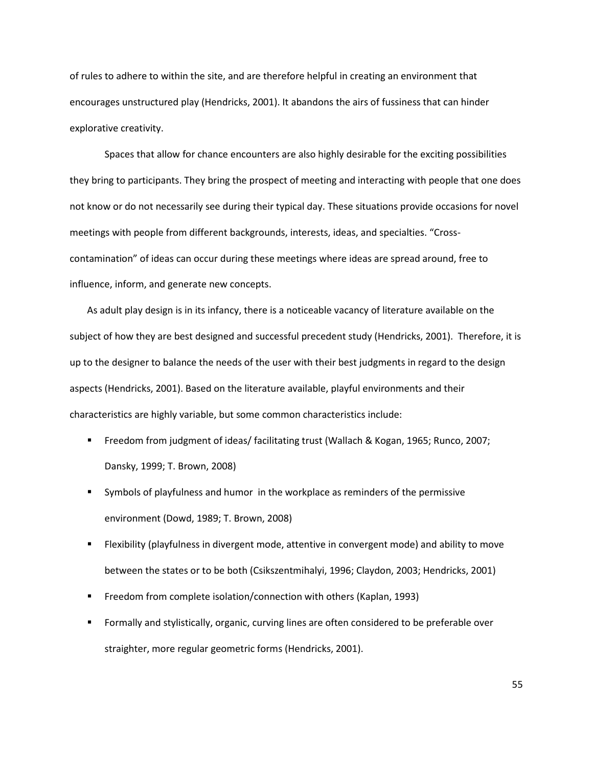of rules to adhere to within the site, and are therefore helpful in creating an environment that encourages unstructured play (Hendricks, 2001). It abandons the airs of fussiness that can hinder explorative creativity.

Spaces that allow for chance encounters are also highly desirable for the exciting possibilities they bring to participants. They bring the prospect of meeting and interacting with people that one does not know or do not necessarily see during their typical day. These situations provide occasions for novel meetings with people from different backgrounds, interests, ideas, and specialties. "Crosscontamination" of ideas can occur during these meetings where ideas are spread around, free to influence, inform, and generate new concepts.

As adult play design is in its infancy, there is a noticeable vacancy of literature available on the subject of how they are best designed and successful precedent study (Hendricks, 2001). Therefore, it is up to the designer to balance the needs of the user with their best judgments in regard to the design aspects (Hendricks, 2001). Based on the literature available, playful environments and their characteristics are highly variable, but some common characteristics include:

- Freedom from judgment of ideas/ facilitating trust (Wallach & Kogan, 1965; Runco, 2007; Dansky, 1999; T. Brown, 2008)
- Symbols of playfulness and humor in the workplace as reminders of the permissive environment (Dowd, 1989; T. Brown, 2008)
- Flexibility (playfulness in divergent mode, attentive in convergent mode) and ability to move between the states or to be both (Csikszentmihalyi, 1996; Claydon, 2003; Hendricks, 2001)
- Freedom from complete isolation/connection with others (Kaplan, 1993)
- Formally and stylistically, organic, curving lines are often considered to be preferable over straighter, more regular geometric forms (Hendricks, 2001).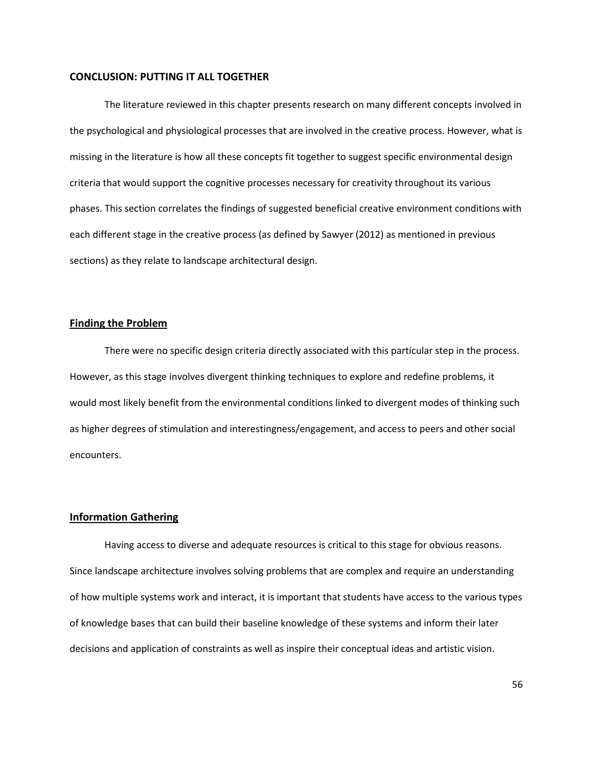## **CONCLUSION: PUTTING IT ALL TOGETHER**

The literature reviewed in this chapter presents research on many different concepts involved in the psychological and physiological processes that are involved in the creative process. However, what is missing in the literature is how all these concepts fit together to suggest specific environmental design criteria that would support the cognitive processes necessary for creativity throughout its various phases. This section correlates the findings of suggested beneficial creative environment conditions with each different stage in the creative process (as defined by Sawyer (2012) as mentioned in previous sections) as they relate to landscape architectural design.

## **Finding the Problem**

There were no specific design criteria directly associated with this particular step in the process. However, as this stage involves divergent thinking techniques to explore and redefine problems, it would most likely benefit from the environmental conditions linked to divergent modes of thinking such as higher degrees of stimulation and interestingness/engagement, and access to peers and other social encounters.

## **Information Gathering**

Having access to diverse and adequate resources is critical to this stage for obvious reasons. Since landscape architecture involves solving problems that are complex and require an understanding of how multiple systems work and interact, it is important that students have access to the various types of knowledge bases that can build their baseline knowledge of these systems and inform their later decisions and application of constraints as well as inspire their conceptual ideas and artistic vision.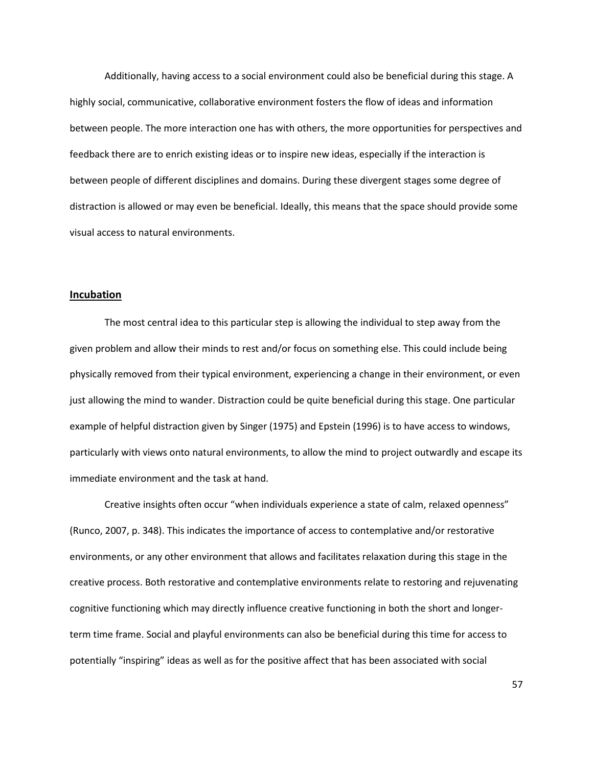Additionally, having access to a social environment could also be beneficial during this stage. A highly social, communicative, collaborative environment fosters the flow of ideas and information between people. The more interaction one has with others, the more opportunities for perspectives and feedback there are to enrich existing ideas or to inspire new ideas, especially if the interaction is between people of different disciplines and domains. During these divergent stages some degree of distraction is allowed or may even be beneficial. Ideally, this means that the space should provide some visual access to natural environments.

## **Incubation**

The most central idea to this particular step is allowing the individual to step away from the given problem and allow their minds to rest and/or focus on something else. This could include being physically removed from their typical environment, experiencing a change in their environment, or even just allowing the mind to wander. Distraction could be quite beneficial during this stage. One particular example of helpful distraction given by Singer (1975) and Epstein (1996) is to have access to windows, particularly with views onto natural environments, to allow the mind to project outwardly and escape its immediate environment and the task at hand.

Creative insights often occur "when individuals experience a state of calm, relaxed openness" (Runco, 2007, p. 348). This indicates the importance of access to contemplative and/or restorative environments, or any other environment that allows and facilitates relaxation during this stage in the creative process. Both restorative and contemplative environments relate to restoring and rejuvenating cognitive functioning which may directly influence creative functioning in both the short and longerterm time frame. Social and playful environments can also be beneficial during this time for access to potentially "inspiring" ideas as well as for the positive affect that has been associated with social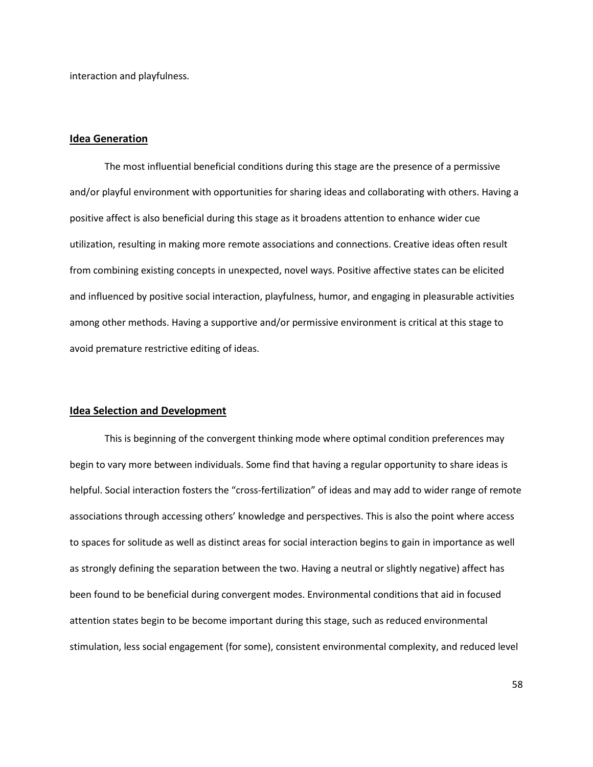interaction and playfulness.

## **Idea Generation**

The most influential beneficial conditions during this stage are the presence of a permissive and/or playful environment with opportunities for sharing ideas and collaborating with others. Having a positive affect is also beneficial during this stage as it broadens attention to enhance wider cue utilization, resulting in making more remote associations and connections. Creative ideas often result from combining existing concepts in unexpected, novel ways. Positive affective states can be elicited and influenced by positive social interaction, playfulness, humor, and engaging in pleasurable activities among other methods. Having a supportive and/or permissive environment is critical at this stage to avoid premature restrictive editing of ideas.

#### **Idea Selection and Development**

This is beginning of the convergent thinking mode where optimal condition preferences may begin to vary more between individuals. Some find that having a regular opportunity to share ideas is helpful. Social interaction fosters the "cross-fertilization" of ideas and may add to wider range of remote associations through accessing others' knowledge and perspectives. This is also the point where access to spaces for solitude as well as distinct areas for social interaction begins to gain in importance as well as strongly defining the separation between the two. Having a neutral or slightly negative) affect has been found to be beneficial during convergent modes. Environmental conditions that aid in focused attention states begin to be become important during this stage, such as reduced environmental stimulation, less social engagement (for some), consistent environmental complexity, and reduced level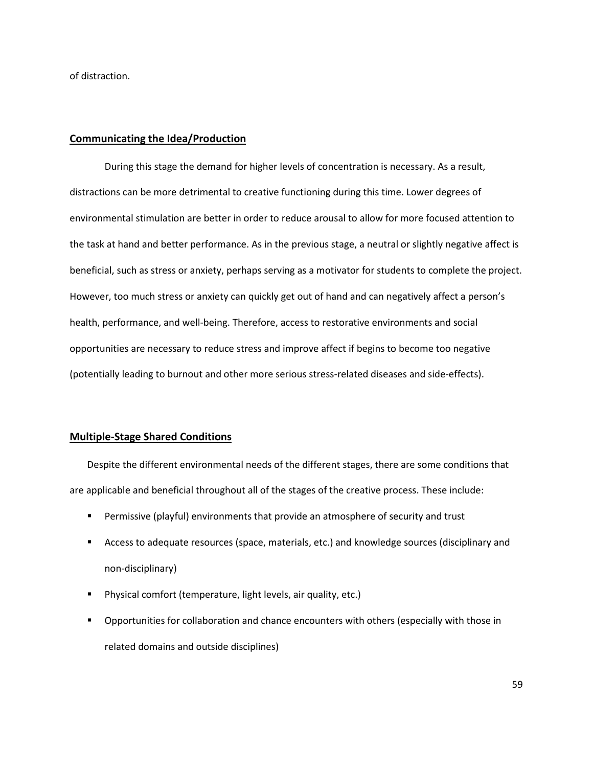of distraction.

## **Communicating the Idea/Production**

During this stage the demand for higher levels of concentration is necessary. As a result, distractions can be more detrimental to creative functioning during this time. Lower degrees of environmental stimulation are better in order to reduce arousal to allow for more focused attention to the task at hand and better performance. As in the previous stage, a neutral or slightly negative affect is beneficial, such as stress or anxiety, perhaps serving as a motivator for students to complete the project. However, too much stress or anxiety can quickly get out of hand and can negatively affect a person's health, performance, and well-being. Therefore, access to restorative environments and social opportunities are necessary to reduce stress and improve affect if begins to become too negative (potentially leading to burnout and other more serious stress-related diseases and side-effects).

# **Multiple-Stage Shared Conditions**

Despite the different environmental needs of the different stages, there are some conditions that are applicable and beneficial throughout all of the stages of the creative process. These include:

- Permissive (playful) environments that provide an atmosphere of security and trust
- **EXP** Access to adequate resources (space, materials, etc.) and knowledge sources (disciplinary and non-disciplinary)
- Physical comfort (temperature, light levels, air quality, etc.)
- Opportunities for collaboration and chance encounters with others (especially with those in related domains and outside disciplines)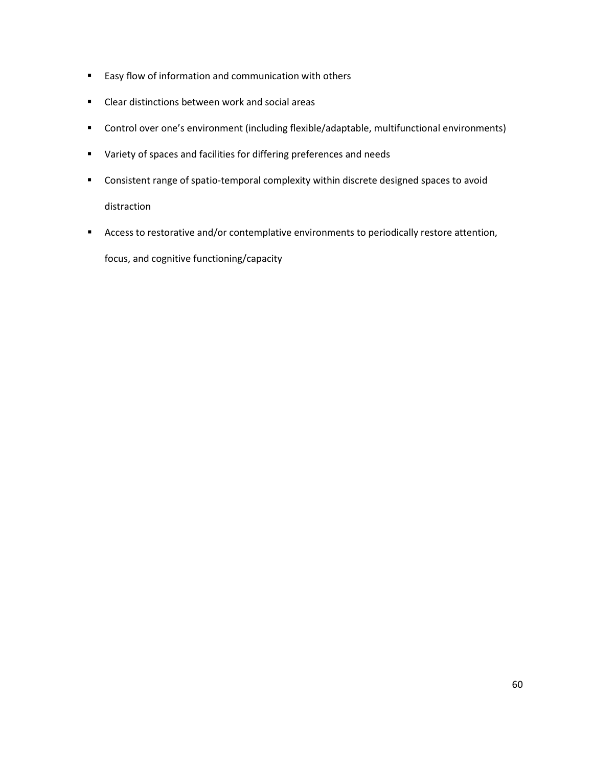- **Easy flow of information and communication with others**
- **EXECLE** Clear distinctions between work and social areas
- Control over one's environment (including flexible/adaptable, multifunctional environments)
- Variety of spaces and facilities for differing preferences and needs
- Consistent range of spatio-temporal complexity within discrete designed spaces to avoid distraction
- Access to restorative and/or contemplative environments to periodically restore attention,

focus, and cognitive functioning/capacity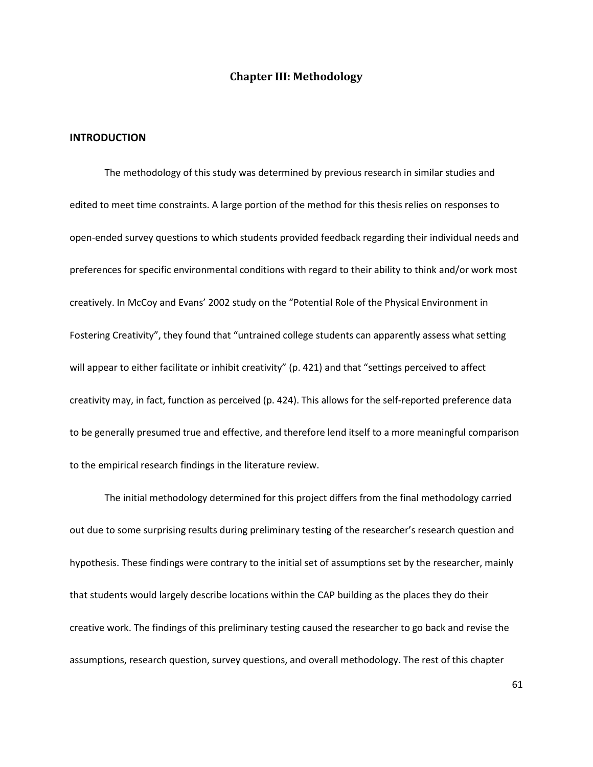# **Chapter III: Methodology**

## **INTRODUCTION**

The methodology of this study was determined by previous research in similar studies and edited to meet time constraints. A large portion of the method for this thesis relies on responses to open-ended survey questions to which students provided feedback regarding their individual needs and preferences for specific environmental conditions with regard to their ability to think and/or work most creatively. In McCoy and Evans' 2002 study on the "Potential Role of the Physical Environment in Fostering Creativity", they found that "untrained college students can apparently assess what setting will appear to either facilitate or inhibit creativity" (p. 421) and that "settings perceived to affect creativity may, in fact, function as perceived (p. 424). This allows for the self-reported preference data to be generally presumed true and effective, and therefore lend itself to a more meaningful comparison to the empirical research findings in the literature review.

The initial methodology determined for this project differs from the final methodology carried out due to some surprising results during preliminary testing of the researcher's research question and hypothesis. These findings were contrary to the initial set of assumptions set by the researcher, mainly that students would largely describe locations within the CAP building as the places they do their creative work. The findings of this preliminary testing caused the researcher to go back and revise the assumptions, research question, survey questions, and overall methodology. The rest of this chapter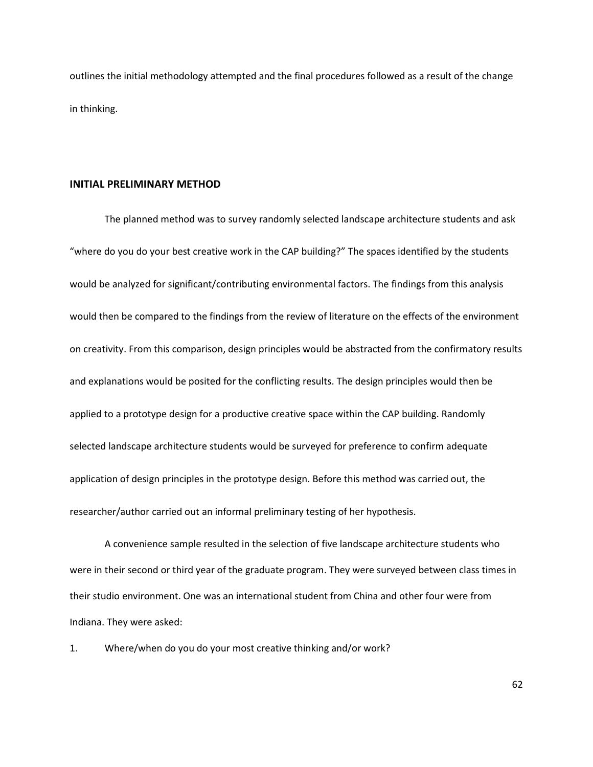outlines the initial methodology attempted and the final procedures followed as a result of the change in thinking.

#### **INITIAL PRELIMINARY METHOD**

The planned method was to survey randomly selected landscape architecture students and ask "where do you do your best creative work in the CAP building?" The spaces identified by the students would be analyzed for significant/contributing environmental factors. The findings from this analysis would then be compared to the findings from the review of literature on the effects of the environment on creativity. From this comparison, design principles would be abstracted from the confirmatory results and explanations would be posited for the conflicting results. The design principles would then be applied to a prototype design for a productive creative space within the CAP building. Randomly selected landscape architecture students would be surveyed for preference to confirm adequate application of design principles in the prototype design. Before this method was carried out, the researcher/author carried out an informal preliminary testing of her hypothesis.

A convenience sample resulted in the selection of five landscape architecture students who were in their second or third year of the graduate program. They were surveyed between class times in their studio environment. One was an international student from China and other four were from Indiana. They were asked:

1. Where/when do you do your most creative thinking and/or work?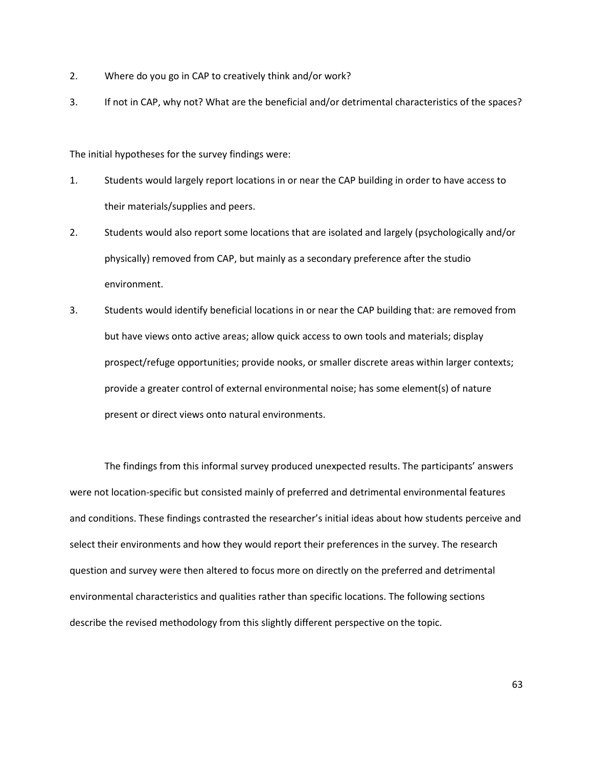- 2. Where do you go in CAP to creatively think and/or work?
- 3. If not in CAP, why not? What are the beneficial and/or detrimental characteristics of the spaces?

The initial hypotheses for the survey findings were:

- 1. Students would largely report locations in or near the CAP building in order to have access to their materials/supplies and peers.
- 2. Students would also report some locations that are isolated and largely (psychologically and/or physically) removed from CAP, but mainly as a secondary preference after the studio environment.
- 3. Students would identify beneficial locations in or near the CAP building that: are removed from but have views onto active areas; allow quick access to own tools and materials; display prospect/refuge opportunities; provide nooks, or smaller discrete areas within larger contexts; provide a greater control of external environmental noise; has some element(s) of nature present or direct views onto natural environments.

The findings from this informal survey produced unexpected results. The participants' answers were not location-specific but consisted mainly of preferred and detrimental environmental features and conditions. These findings contrasted the researcher's initial ideas about how students perceive and select their environments and how they would report their preferences in the survey. The research question and survey were then altered to focus more on directly on the preferred and detrimental environmental characteristics and qualities rather than specific locations. The following sections describe the revised methodology from this slightly different perspective on the topic.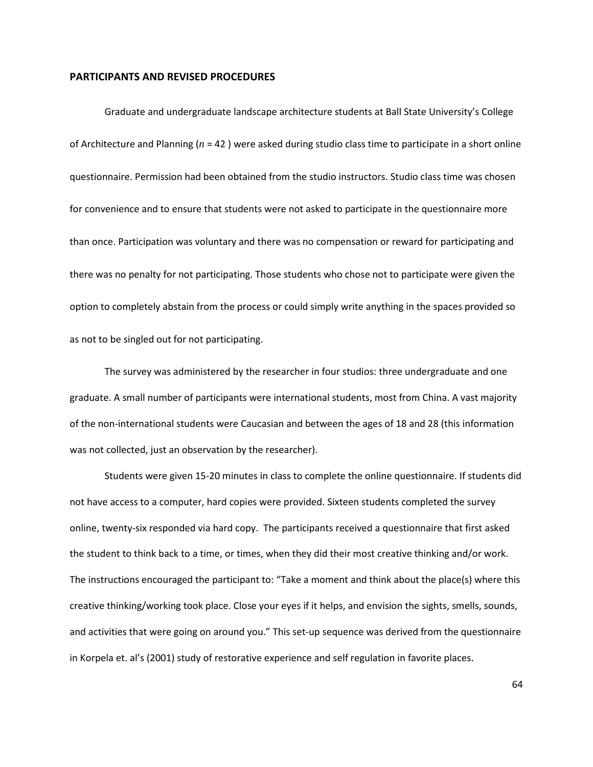## **PARTICIPANTS AND REVISED PROCEDURES**

Graduate and undergraduate landscape architecture students at Ball State University's College of Architecture and Planning (*n* = 42 ) were asked during studio class time to participate in a short online questionnaire. Permission had been obtained from the studio instructors. Studio class time was chosen for convenience and to ensure that students were not asked to participate in the questionnaire more than once. Participation was voluntary and there was no compensation or reward for participating and there was no penalty for not participating. Those students who chose not to participate were given the option to completely abstain from the process or could simply write anything in the spaces provided so as not to be singled out for not participating.

The survey was administered by the researcher in four studios: three undergraduate and one graduate. A small number of participants were international students, most from China. A vast majority of the non-international students were Caucasian and between the ages of 18 and 28 (this information was not collected, just an observation by the researcher).

Students were given 15-20 minutes in class to complete the online questionnaire. If students did not have access to a computer, hard copies were provided. Sixteen students completed the survey online, twenty-six responded via hard copy. The participants received a questionnaire that first asked the student to think back to a time, or times, when they did their most creative thinking and/or work. The instructions encouraged the participant to: "Take a moment and think about the place(s) where this creative thinking/working took place. Close your eyes if it helps, and envision the sights, smells, sounds, and activities that were going on around you." This set-up sequence was derived from the questionnaire in Korpela et. al's (2001) study of restorative experience and self regulation in favorite places.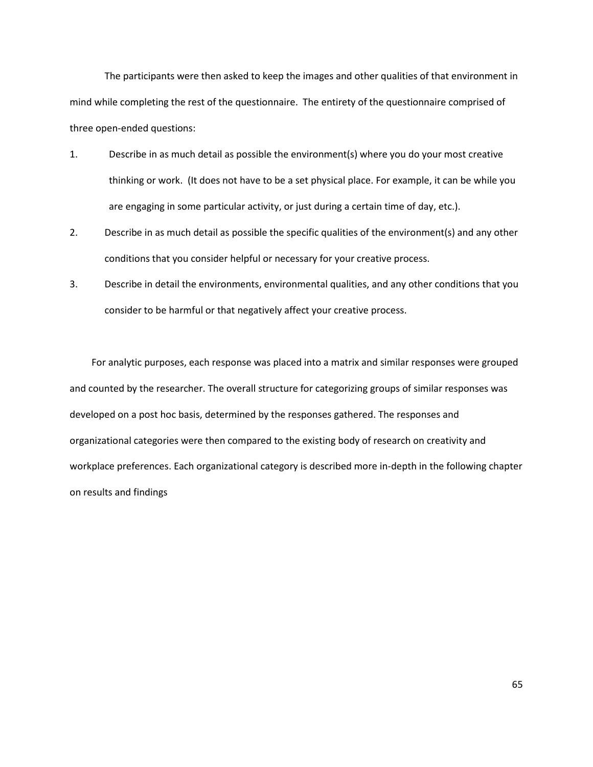The participants were then asked to keep the images and other qualities of that environment in mind while completing the rest of the questionnaire. The entirety of the questionnaire comprised of three open-ended questions:

- 1. Describe in as much detail as possible the environment(s) where you do your most creative thinking or work. (It does not have to be a set physical place. For example, it can be while you are engaging in some particular activity, or just during a certain time of day, etc.).
- 2. Describe in as much detail as possible the specific qualities of the environment(s) and any other conditions that you consider helpful or necessary for your creative process.
- 3. Describe in detail the environments, environmental qualities, and any other conditions that you consider to be harmful or that negatively affect your creative process.

For analytic purposes, each response was placed into a matrix and similar responses were grouped and counted by the researcher. The overall structure for categorizing groups of similar responses was developed on a post hoc basis, determined by the responses gathered. The responses and organizational categories were then compared to the existing body of research on creativity and workplace preferences. Each organizational category is described more in-depth in the following chapter on results and findings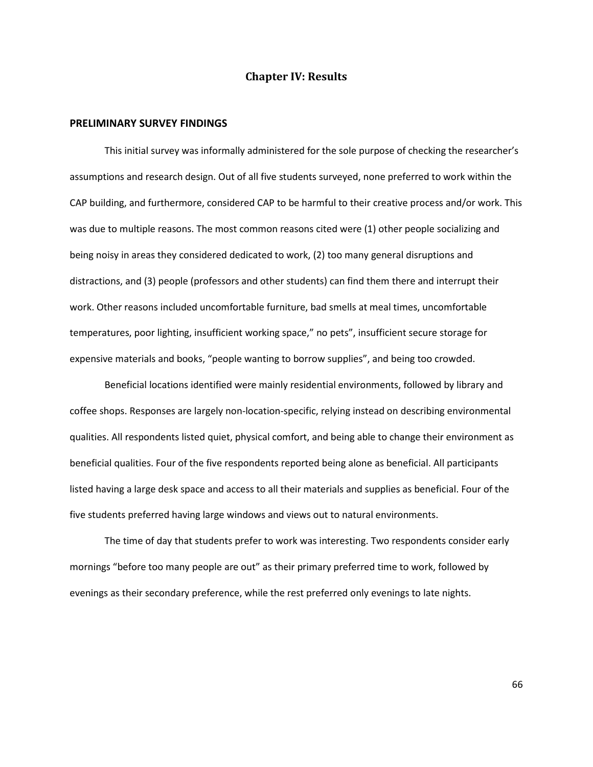# **Chapter IV: Results**

## **PRELIMINARY SURVEY FINDINGS**

This initial survey was informally administered for the sole purpose of checking the researcher's assumptions and research design. Out of all five students surveyed, none preferred to work within the CAP building, and furthermore, considered CAP to be harmful to their creative process and/or work. This was due to multiple reasons. The most common reasons cited were (1) other people socializing and being noisy in areas they considered dedicated to work, (2) too many general disruptions and distractions, and (3) people (professors and other students) can find them there and interrupt their work. Other reasons included uncomfortable furniture, bad smells at meal times, uncomfortable temperatures, poor lighting, insufficient working space," no pets", insufficient secure storage for expensive materials and books, "people wanting to borrow supplies", and being too crowded.

Beneficial locations identified were mainly residential environments, followed by library and coffee shops. Responses are largely non-location-specific, relying instead on describing environmental qualities. All respondents listed quiet, physical comfort, and being able to change their environment as beneficial qualities. Four of the five respondents reported being alone as beneficial. All participants listed having a large desk space and access to all their materials and supplies as beneficial. Four of the five students preferred having large windows and views out to natural environments.

The time of day that students prefer to work was interesting. Two respondents consider early mornings "before too many people are out" as their primary preferred time to work, followed by evenings as their secondary preference, while the rest preferred only evenings to late nights.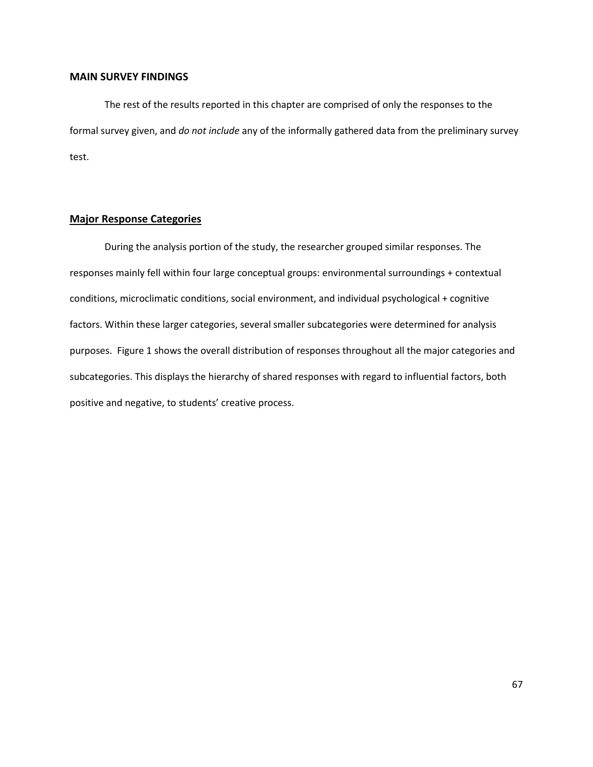## **MAIN SURVEY FINDINGS**

The rest of the results reported in this chapter are comprised of only the responses to the formal survey given, and *do not include* any of the informally gathered data from the preliminary survey test.

# **Major Response Categories**

During the analysis portion of the study, the researcher grouped similar responses. The responses mainly fell within four large conceptual groups: environmental surroundings + contextual conditions, microclimatic conditions, social environment, and individual psychological + cognitive factors. Within these larger categories, several smaller subcategories were determined for analysis purposes. Figure 1 shows the overall distribution of responses throughout all the major categories and subcategories. This displays the hierarchy of shared responses with regard to influential factors, both positive and negative, to students' creative process.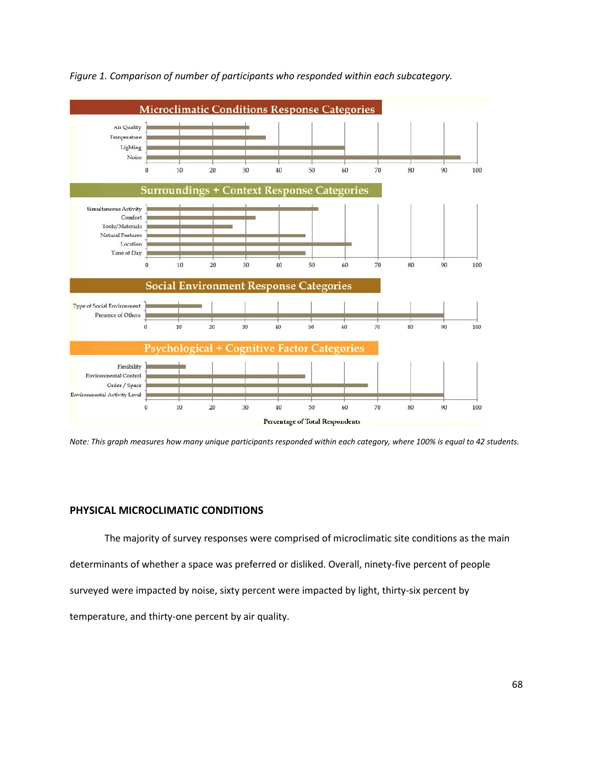

*Figure 1. Comparison of number of participants who responded within each subcategory.*

*Note: This graph measures how many unique participants responded within each category, where 100% is equal to 42 students.*

# **PHYSICAL MICROCLIMATIC CONDITIONS**

The majority of survey responses were comprised of microclimatic site conditions as the main determinants of whether a space was preferred or disliked. Overall, ninety-five percent of people surveyed were impacted by noise, sixty percent were impacted by light, thirty-six percent by temperature, and thirty-one percent by air quality.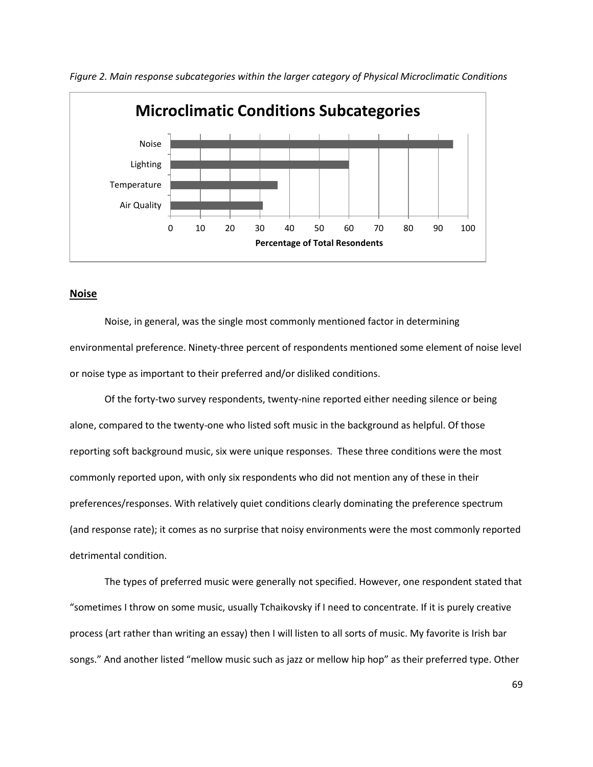

*Figure 2. Main response subcategories within the larger category of Physical Microclimatic Conditions*

## **Noise**

Noise, in general, was the single most commonly mentioned factor in determining environmental preference. Ninety-three percent of respondents mentioned some element of noise level or noise type as important to their preferred and/or disliked conditions.

 Of the forty-two survey respondents, twenty-nine reported either needing silence or being alone, compared to the twenty-one who listed soft music in the background as helpful. Of those reporting soft background music, six were unique responses. These three conditions were the most commonly reported upon, with only six respondents who did not mention any of these in their preferences/responses. With relatively quiet conditions clearly dominating the preference spectrum (and response rate); it comes as no surprise that noisy environments were the most commonly reported detrimental condition.

The types of preferred music were generally not specified. However, one respondent stated that "sometimes I throw on some music, usually Tchaikovsky if I need to concentrate. If it is purely creative process (art rather than writing an essay) then I will listen to all sorts of music. My favorite is Irish bar songs." And another listed "mellow music such as jazz or mellow hip hop" as their preferred type. Other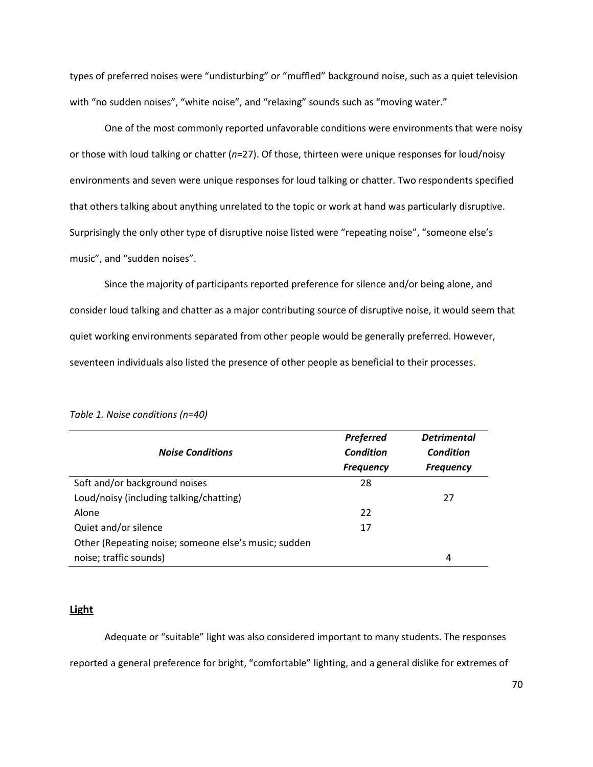types of preferred noises were "undisturbing" or "muffled" background noise, such as a quiet television with "no sudden noises", "white noise", and "relaxing" sounds such as "moving water."

One of the most commonly reported unfavorable conditions were environments that were noisy or those with loud talking or chatter (*n*=27). Of those, thirteen were unique responses for loud/noisy environments and seven were unique responses for loud talking or chatter. Two respondents specified that others talking about anything unrelated to the topic or work at hand was particularly disruptive. Surprisingly the only other type of disruptive noise listed were "repeating noise", "someone else's music", and "sudden noises".

Since the majority of participants reported preference for silence and/or being alone, and consider loud talking and chatter as a major contributing source of disruptive noise, it would seem that quiet working environments separated from other people would be generally preferred. However, seventeen individuals also listed the presence of other people as beneficial to their processes.

|                                                      | <b>Preferred</b> | <b>Detrimental</b> |
|------------------------------------------------------|------------------|--------------------|
| <b>Noise Conditions</b>                              | <b>Condition</b> | Condition          |
|                                                      | <b>Frequency</b> | <b>Frequency</b>   |
| Soft and/or background noises                        | 28               |                    |
| Loud/noisy (including talking/chatting)              |                  | 27                 |
| Alone                                                | 22               |                    |
| Quiet and/or silence                                 | 17               |                    |
| Other (Repeating noise; someone else's music; sudden |                  |                    |
| noise; traffic sounds)                               |                  | 4                  |

*Table 1. Noise conditions (n=40)*

## **Light**

Adequate or "suitable" light was also considered important to many students. The responses reported a general preference for bright, "comfortable" lighting, and a general dislike for extremes of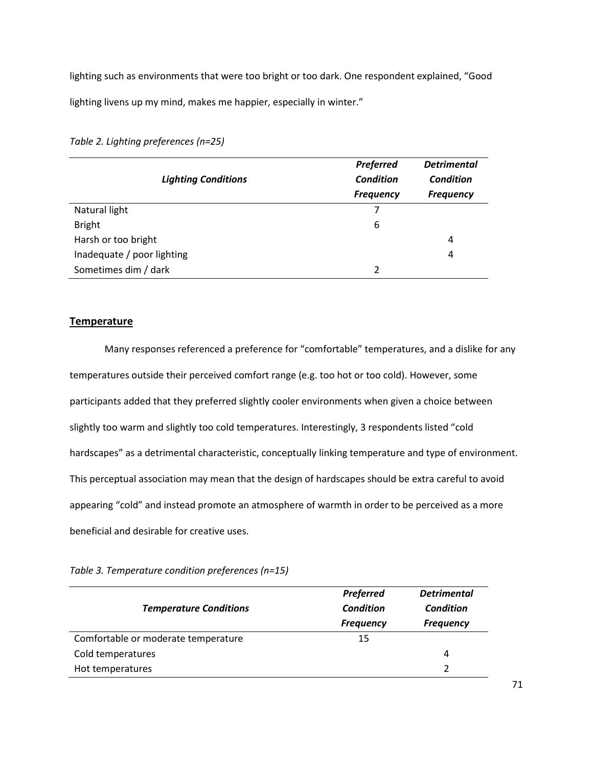lighting such as environments that were too bright or too dark. One respondent explained, "Good lighting livens up my mind, makes me happier, especially in winter."

*Table 2. Lighting preferences (n=25)*

| <b>Lighting Conditions</b> | <b>Preferred</b> | <b>Detrimental</b> |
|----------------------------|------------------|--------------------|
|                            | <b>Condition</b> | <b>Condition</b>   |
|                            | <b>Frequency</b> | <b>Frequency</b>   |
| Natural light              |                  |                    |
| <b>Bright</b>              | 6                |                    |
| Harsh or too bright        |                  | 4                  |
| Inadequate / poor lighting |                  | 4                  |
| Sometimes dim / dark       | ว                |                    |

# **Temperature**

Many responses referenced a preference for "comfortable" temperatures, and a dislike for any temperatures outside their perceived comfort range (e.g. too hot or too cold). However, some participants added that they preferred slightly cooler environments when given a choice between slightly too warm and slightly too cold temperatures. Interestingly, 3 respondents listed "cold hardscapes" as a detrimental characteristic, conceptually linking temperature and type of environment. This perceptual association may mean that the design of hardscapes should be extra careful to avoid appearing "cold" and instead promote an atmosphere of warmth in order to be perceived as a more beneficial and desirable for creative uses.

*Table 3. Temperature condition preferences (n=15)*

| <b>Temperature Conditions</b>       | <b>Preferred</b><br>Condition | <b>Detrimental</b><br>Condition |
|-------------------------------------|-------------------------------|---------------------------------|
|                                     | <b>Frequency</b>              | <b>Frequency</b>                |
| Comfortable or moderate temperature | 15                            |                                 |
| Cold temperatures                   |                               | 4                               |
| Hot temperatures                    |                               |                                 |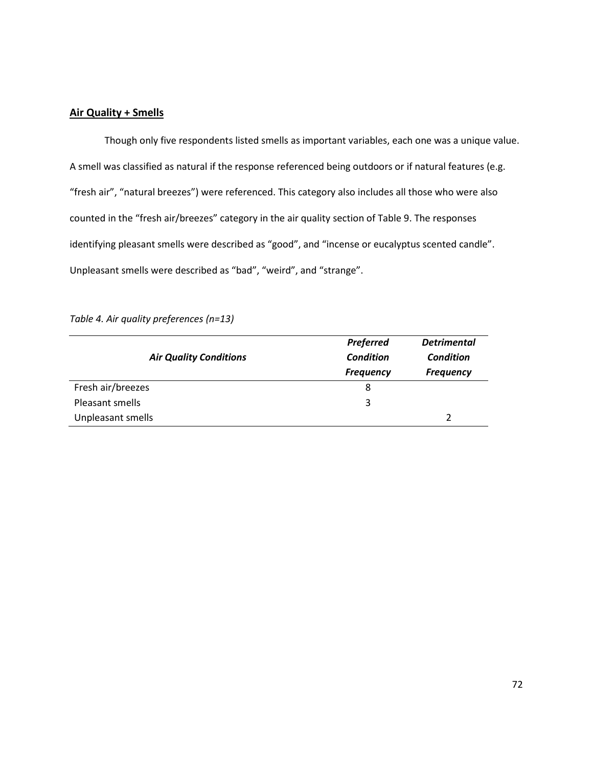# **Air Quality + Smells**

Though only five respondents listed smells as important variables, each one was a unique value. A smell was classified as natural if the response referenced being outdoors or if natural features (e.g. "fresh air", "natural breezes") were referenced. This category also includes all those who were also counted in the "fresh air/breezes" category in the air quality section of Table 9. The responses identifying pleasant smells were described as "good", and "incense or eucalyptus scented candle". Unpleasant smells were described as "bad", "weird", and "strange".

*Table 4. Air quality preferences (n=13)*

|                               | <b>Preferred</b> | <b>Detrimental</b> |
|-------------------------------|------------------|--------------------|
| <b>Air Quality Conditions</b> | <b>Condition</b> | <b>Condition</b>   |
|                               | <b>Frequency</b> | <b>Frequency</b>   |
| Fresh air/breezes             | 8                |                    |
| Pleasant smells               | 3                |                    |
| Unpleasant smells             |                  | C                  |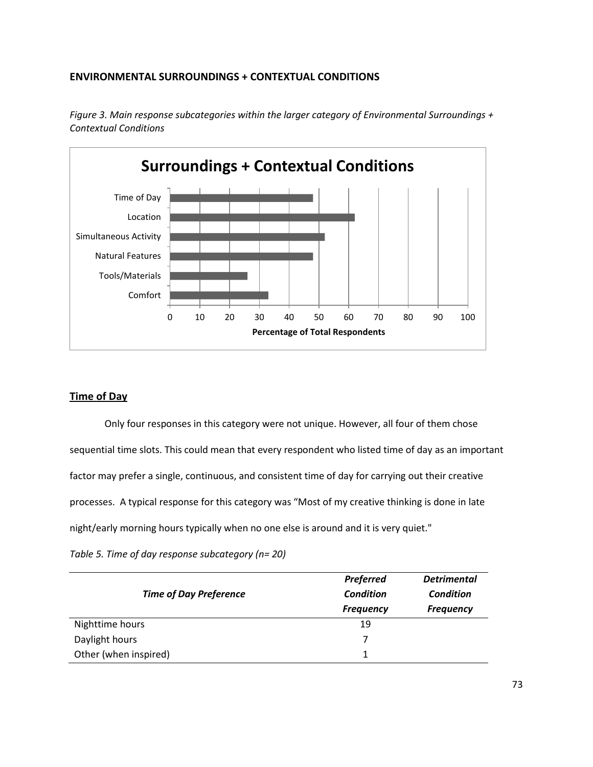# **ENVIRONMENTAL SURROUNDINGS + CONTEXTUAL CONDITIONS**



*Figure 3. Main response subcategories within the larger category of Environmental Surroundings + Contextual Conditions*

# **Time of Day**

Only four responses in this category were not unique. However, all four of them chose sequential time slots. This could mean that every respondent who listed time of day as an important factor may prefer a single, continuous, and consistent time of day for carrying out their creative processes. A typical response for this category was "Most of my creative thinking is done in late night/early morning hours typically when no one else is around and it is very quiet."

*Table 5. Time of day response subcategory (n= 20)*

|                               | <b>Preferred</b> | <b>Detrimental</b> |
|-------------------------------|------------------|--------------------|
| <b>Time of Day Preference</b> | <b>Condition</b> | <b>Condition</b>   |
|                               | <b>Frequency</b> | <b>Frequency</b>   |
| Nighttime hours               | 19               |                    |
| Daylight hours                |                  |                    |
| Other (when inspired)         |                  |                    |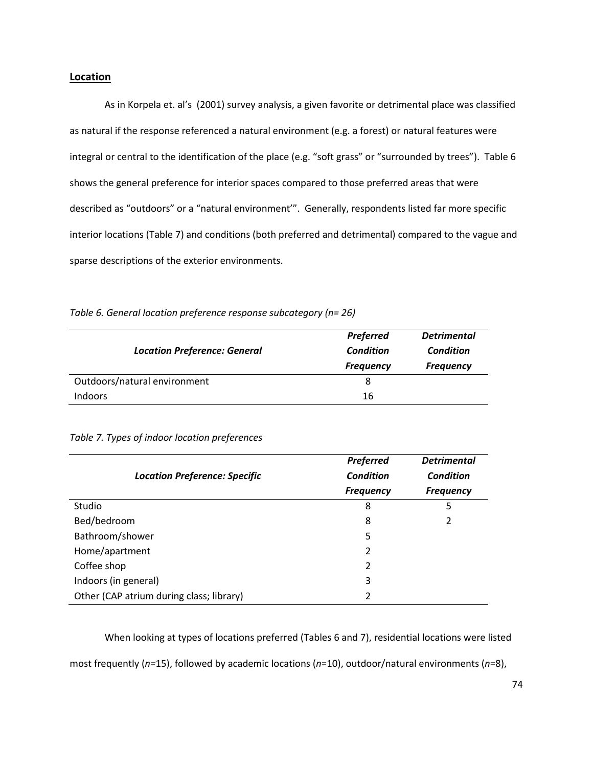# **Location**

As in Korpela et. al's (2001) survey analysis, a given favorite or detrimental place was classified as natural if the response referenced a natural environment (e.g. a forest) or natural features were integral or central to the identification of the place (e.g. "soft grass" or "surrounded by trees"). Table 6 shows the general preference for interior spaces compared to those preferred areas that were described as "outdoors" or a "natural environment'". Generally, respondents listed far more specific interior locations (Table 7) and conditions (both preferred and detrimental) compared to the vague and sparse descriptions of the exterior environments.

| <b>Location Preference: General</b> | <b>Preferred</b><br><b>Condition</b><br><b>Frequency</b> | <b>Detrimental</b><br><b>Condition</b><br><b>Frequency</b> |
|-------------------------------------|----------------------------------------------------------|------------------------------------------------------------|
| Outdoors/natural environment        |                                                          |                                                            |
| <b>Indoors</b>                      | 16                                                       |                                                            |

|  |  | Table 6. General location preference response subcategory (n= 26) |  |
|--|--|-------------------------------------------------------------------|--|
|--|--|-------------------------------------------------------------------|--|

|  |  | Table 7. Types of indoor location preferences |
|--|--|-----------------------------------------------|
|  |  |                                               |

|                                          | <b>Preferred</b> | <b>Detrimental</b> |
|------------------------------------------|------------------|--------------------|
| <b>Location Preference: Specific</b>     | <b>Condition</b> | <b>Condition</b>   |
|                                          | <b>Frequency</b> | <b>Frequency</b>   |
| Studio                                   | 8                | 5                  |
| Bed/bedroom                              | 8                | 2                  |
| Bathroom/shower                          | 5                |                    |
| Home/apartment                           | 2                |                    |
| Coffee shop                              | 2                |                    |
| Indoors (in general)                     | 3                |                    |
| Other (CAP atrium during class; library) | 2                |                    |

When looking at types of locations preferred (Tables 6 and 7), residential locations were listed

most frequently (*n=*15), followed by academic locations (*n*=10), outdoor/natural environments (*n*=8),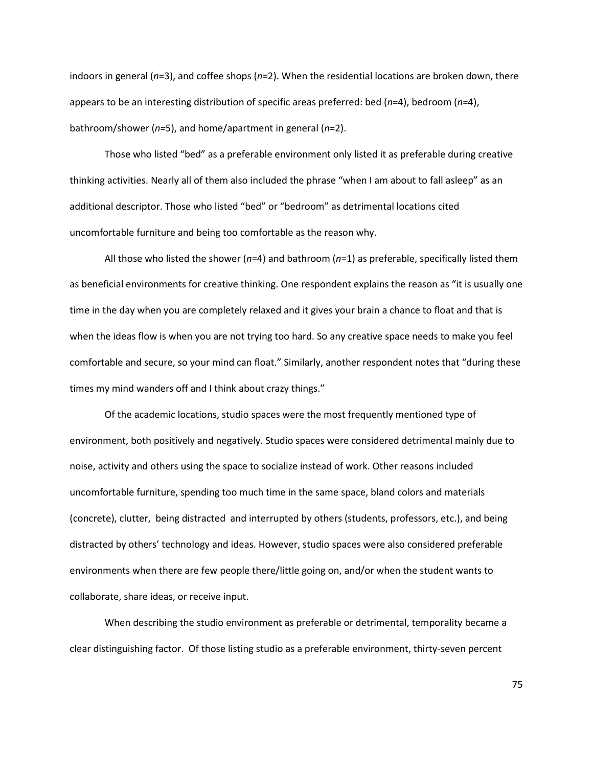indoors in general (*n*=3), and coffee shops (*n*=2). When the residential locations are broken down, there appears to be an interesting distribution of specific areas preferred: bed (*n*=4), bedroom (*n*=4), bathroom/shower (*n=*5), and home/apartment in general (*n*=2).

Those who listed "bed" as a preferable environment only listed it as preferable during creative thinking activities. Nearly all of them also included the phrase "when I am about to fall asleep" as an additional descriptor. Those who listed "bed" or "bedroom" as detrimental locations cited uncomfortable furniture and being too comfortable as the reason why.

All those who listed the shower (*n*=4) and bathroom (*n*=1) as preferable, specifically listed them as beneficial environments for creative thinking. One respondent explains the reason as "it is usually one time in the day when you are completely relaxed and it gives your brain a chance to float and that is when the ideas flow is when you are not trying too hard. So any creative space needs to make you feel comfortable and secure, so your mind can float." Similarly, another respondent notes that "during these times my mind wanders off and I think about crazy things."

Of the academic locations, studio spaces were the most frequently mentioned type of environment, both positively and negatively. Studio spaces were considered detrimental mainly due to noise, activity and others using the space to socialize instead of work. Other reasons included uncomfortable furniture, spending too much time in the same space, bland colors and materials (concrete), clutter, being distracted and interrupted by others (students, professors, etc.), and being distracted by others' technology and ideas. However, studio spaces were also considered preferable environments when there are few people there/little going on, and/or when the student wants to collaborate, share ideas, or receive input.

When describing the studio environment as preferable or detrimental, temporality became a clear distinguishing factor. Of those listing studio as a preferable environment, thirty-seven percent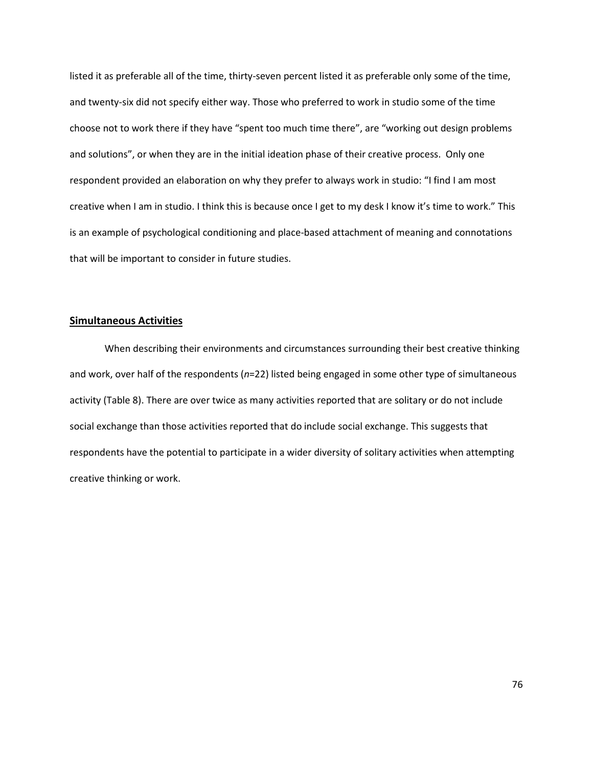listed it as preferable all of the time, thirty-seven percent listed it as preferable only some of the time, and twenty-six did not specify either way. Those who preferred to work in studio some of the time choose not to work there if they have "spent too much time there", are "working out design problems and solutions", or when they are in the initial ideation phase of their creative process. Only one respondent provided an elaboration on why they prefer to always work in studio: "I find I am most creative when I am in studio. I think this is because once I get to my desk I know it's time to work." This is an example of psychological conditioning and place-based attachment of meaning and connotations that will be important to consider in future studies.

## **Simultaneous Activities**

When describing their environments and circumstances surrounding their best creative thinking and work, over half of the respondents (*n*=22) listed being engaged in some other type of simultaneous activity (Table 8). There are over twice as many activities reported that are solitary or do not include social exchange than those activities reported that do include social exchange. This suggests that respondents have the potential to participate in a wider diversity of solitary activities when attempting creative thinking or work.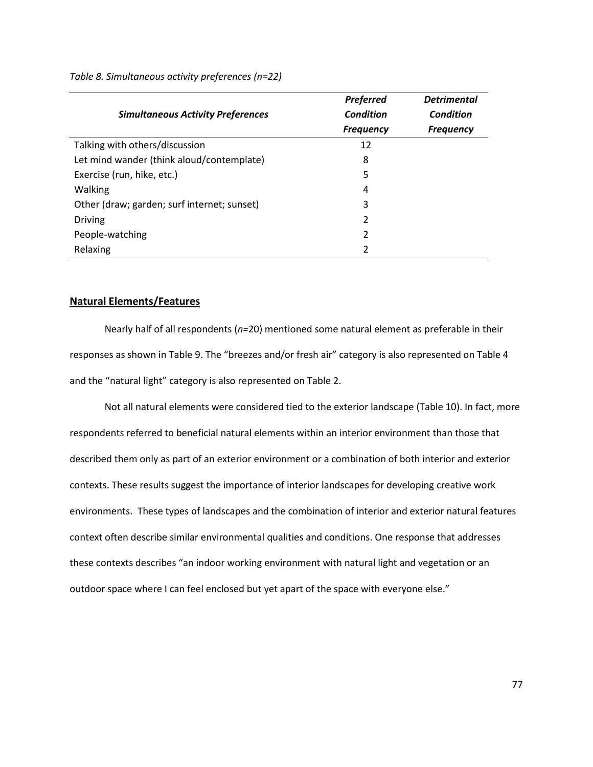|                                             | <b>Preferred</b> | <b>Detrimental</b> |
|---------------------------------------------|------------------|--------------------|
| <b>Simultaneous Activity Preferences</b>    | <b>Condition</b> | <b>Condition</b>   |
|                                             | <b>Frequency</b> | <b>Frequency</b>   |
| Talking with others/discussion              | 12               |                    |
| Let mind wander (think aloud/contemplate)   | 8                |                    |
| Exercise (run, hike, etc.)                  | 5                |                    |
| Walking                                     | 4                |                    |
| Other (draw; garden; surf internet; sunset) | 3                |                    |
| <b>Driving</b>                              | 2                |                    |
| People-watching                             | 2                |                    |
| Relaxing                                    | 2                |                    |

*Table 8. Simultaneous activity preferences (n=22)*

## **Natural Elements/Features**

Nearly half of all respondents (*n=*20) mentioned some natural element as preferable in their responses as shown in Table 9. The "breezes and/or fresh air" category is also represented on Table 4 and the "natural light" category is also represented on Table 2.

Not all natural elements were considered tied to the exterior landscape (Table 10). In fact, more respondents referred to beneficial natural elements within an interior environment than those that described them only as part of an exterior environment or a combination of both interior and exterior contexts. These results suggest the importance of interior landscapes for developing creative work environments. These types of landscapes and the combination of interior and exterior natural features context often describe similar environmental qualities and conditions. One response that addresses these contexts describes "an indoor working environment with natural light and vegetation or an outdoor space where I can feel enclosed but yet apart of the space with everyone else."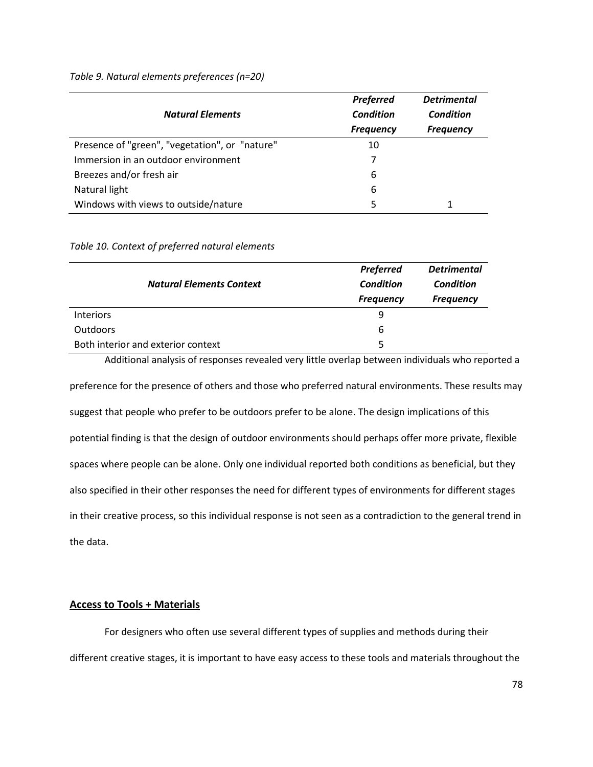*Table 9. Natural elements preferences (n=20)*

|                                                | <b>Preferred</b> | <b>Detrimental</b> |
|------------------------------------------------|------------------|--------------------|
| <b>Natural Elements</b>                        | <b>Condition</b> | Condition          |
|                                                | <b>Frequency</b> | <b>Frequency</b>   |
| Presence of "green", "vegetation", or "nature" | 10               |                    |
| Immersion in an outdoor environment            |                  |                    |
| Breezes and/or fresh air                       | 6                |                    |
| Natural light                                  | 6                |                    |
| Windows with views to outside/nature           | 5                |                    |

*Table 10. Context of preferred natural elements*

|                                    | <b>Preferred</b> | <b>Detrimental</b> |
|------------------------------------|------------------|--------------------|
| <b>Natural Elements Context</b>    | Condition        | Condition          |
|                                    | <b>Frequency</b> | <b>Frequency</b>   |
| <b>Interiors</b>                   | q                |                    |
| <b>Outdoors</b>                    | 6                |                    |
| Both interior and exterior context |                  |                    |

Additional analysis of responses revealed very little overlap between individuals who reported a preference for the presence of others and those who preferred natural environments. These results may suggest that people who prefer to be outdoors prefer to be alone. The design implications of this potential finding is that the design of outdoor environments should perhaps offer more private, flexible spaces where people can be alone. Only one individual reported both conditions as beneficial, but they also specified in their other responses the need for different types of environments for different stages in their creative process, so this individual response is not seen as a contradiction to the general trend in the data.

# **Access to Tools + Materials**

For designers who often use several different types of supplies and methods during their different creative stages, it is important to have easy access to these tools and materials throughout the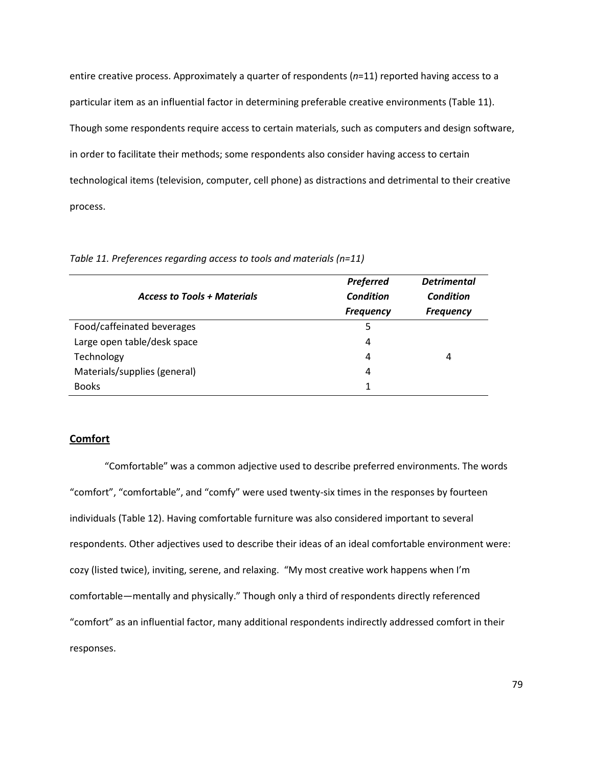entire creative process. Approximately a quarter of respondents (*n*=11) reported having access to a particular item as an influential factor in determining preferable creative environments (Table 11). Though some respondents require access to certain materials, such as computers and design software, in order to facilitate their methods; some respondents also consider having access to certain technological items (television, computer, cell phone) as distractions and detrimental to their creative process.

| <b>Access to Tools + Materials</b> | <b>Preferred</b><br><b>Condition</b><br><b>Frequency</b> | <b>Detrimental</b><br>Condition<br><b>Frequency</b> |
|------------------------------------|----------------------------------------------------------|-----------------------------------------------------|
| Food/caffeinated beverages         | 5                                                        |                                                     |
| Large open table/desk space        | 4                                                        |                                                     |
| Technology                         | 4                                                        | 4                                                   |
| Materials/supplies (general)       | 4                                                        |                                                     |
| <b>Books</b>                       |                                                          |                                                     |

*Table 11. Preferences regarding access to tools and materials (n=11)*

# **Comfort**

"Comfortable" was a common adjective used to describe preferred environments. The words "comfort", "comfortable", and "comfy" were used twenty-six times in the responses by fourteen individuals (Table 12). Having comfortable furniture was also considered important to several respondents. Other adjectives used to describe their ideas of an ideal comfortable environment were: cozy (listed twice), inviting, serene, and relaxing. "My most creative work happens when I'm comfortable—mentally and physically." Though only a third of respondents directly referenced "comfort" as an influential factor, many additional respondents indirectly addressed comfort in their responses.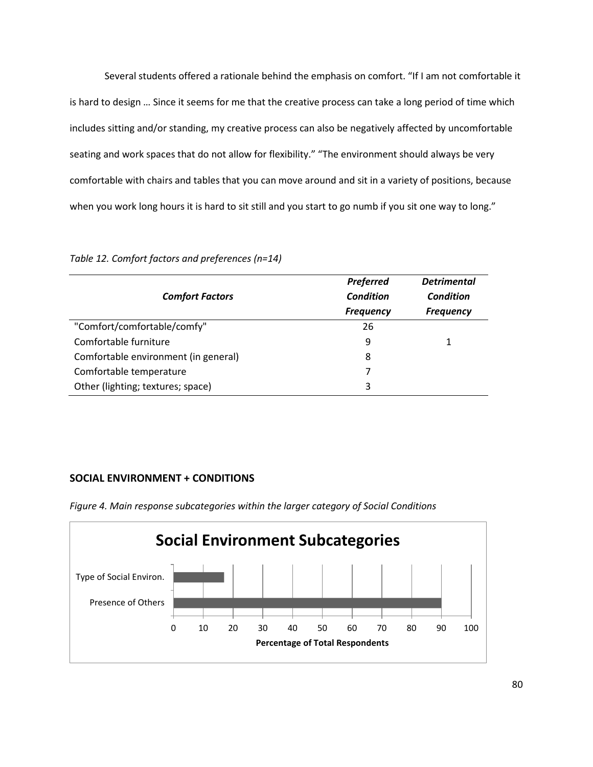Several students offered a rationale behind the emphasis on comfort. "If I am not comfortable it is hard to design … Since it seems for me that the creative process can take a long period of time which includes sitting and/or standing, my creative process can also be negatively affected by uncomfortable seating and work spaces that do not allow for flexibility." "The environment should always be very comfortable with chairs and tables that you can move around and sit in a variety of positions, because when you work long hours it is hard to sit still and you start to go numb if you sit one way to long."

|                                      | <b>Preferred</b> | <b>Detrimental</b> |
|--------------------------------------|------------------|--------------------|
| <b>Comfort Factors</b>               | <b>Condition</b> | Condition          |
|                                      | <b>Frequency</b> | <b>Frequency</b>   |
| "Comfort/comfortable/comfy"          | 26               |                    |
| Comfortable furniture                | 9                |                    |
| Comfortable environment (in general) | 8                |                    |
| Comfortable temperature              |                  |                    |
| Other (lighting; textures; space)    | 3                |                    |

*Table 12. Comfort factors and preferences (n=14)*

# **SOCIAL ENVIRONMENT + CONDITIONS**



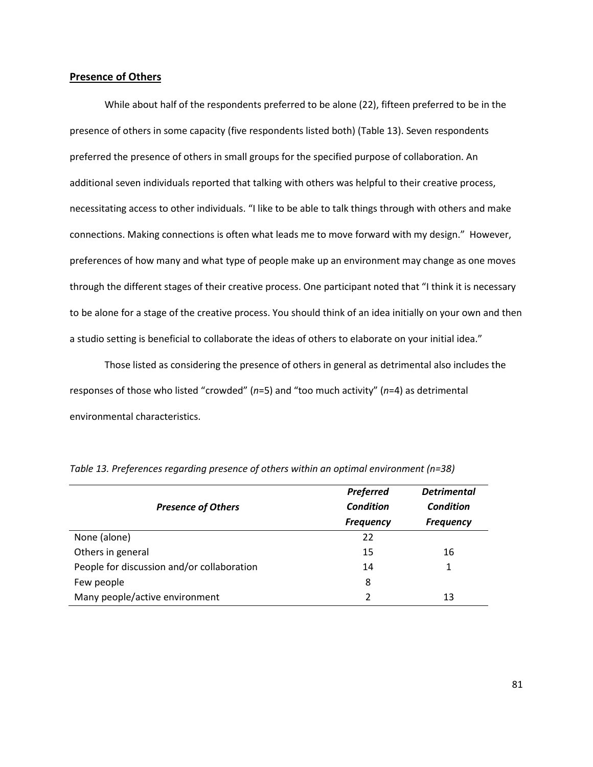# **Presence of Others**

While about half of the respondents preferred to be alone (22), fifteen preferred to be in the presence of others in some capacity (five respondents listed both) (Table 13). Seven respondents preferred the presence of others in small groups for the specified purpose of collaboration. An additional seven individuals reported that talking with others was helpful to their creative process, necessitating access to other individuals. "I like to be able to talk things through with others and make connections. Making connections is often what leads me to move forward with my design." However, preferences of how many and what type of people make up an environment may change as one moves through the different stages of their creative process. One participant noted that "I think it is necessary to be alone for a stage of the creative process. You should think of an idea initially on your own and then a studio setting is beneficial to collaborate the ideas of others to elaborate on your initial idea."

Those listed as considering the presence of others in general as detrimental also includes the responses of those who listed "crowded" (*n*=5) and "too much activity" (*n*=4) as detrimental environmental characteristics.

| <b>Presence of Others</b>                  | <b>Preferred</b><br><b>Condition</b><br><b>Frequency</b> | <b>Detrimental</b><br><b>Condition</b><br><b>Frequency</b> |
|--------------------------------------------|----------------------------------------------------------|------------------------------------------------------------|
| None (alone)                               | 22                                                       |                                                            |
| Others in general                          | 15                                                       | 16                                                         |
| People for discussion and/or collaboration | 14                                                       |                                                            |
| Few people                                 | 8                                                        |                                                            |
| Many people/active environment             | 2                                                        | 13                                                         |

|  |  |  | Table 13. Preferences regarding presence of others within an optimal environment (n=38) |  |
|--|--|--|-----------------------------------------------------------------------------------------|--|
|  |  |  |                                                                                         |  |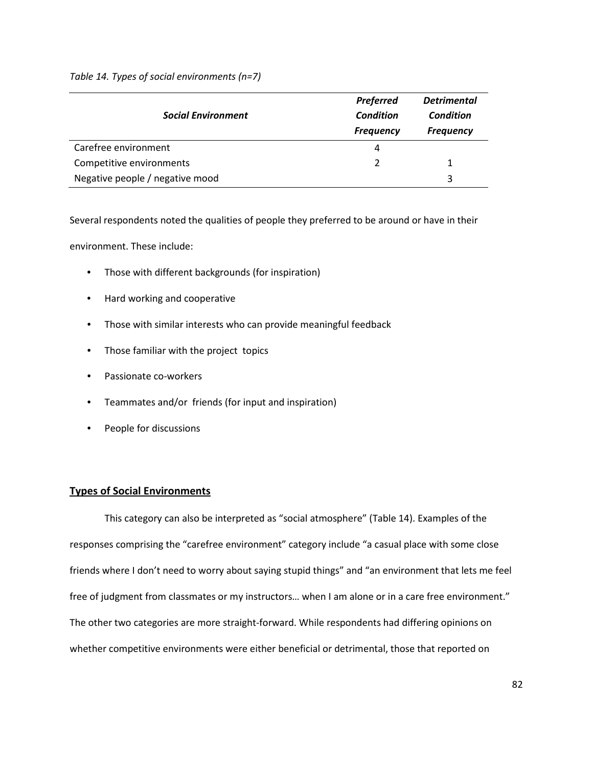*Table 14. Types of social environments (n=7)*

|                                 | <b>Preferred</b> | <b>Detrimental</b> |
|---------------------------------|------------------|--------------------|
| <b>Social Environment</b>       | Condition        | Condition          |
|                                 | <b>Frequency</b> | <b>Frequency</b>   |
| Carefree environment            | 4                |                    |
| Competitive environments        |                  |                    |
| Negative people / negative mood |                  | 3                  |

Several respondents noted the qualities of people they preferred to be around or have in their

environment. These include:

- Those with different backgrounds (for inspiration)
- Hard working and cooperative
- Those with similar interests who can provide meaningful feedback
- Those familiar with the project topics
- Passionate co-workers
- Teammates and/or friends (for input and inspiration)
- People for discussions

### **Types of Social Environments**

This category can also be interpreted as "social atmosphere" (Table 14). Examples of the responses comprising the "carefree environment" category include "a casual place with some close friends where I don't need to worry about saying stupid things" and "an environment that lets me feel free of judgment from classmates or my instructors… when I am alone or in a care free environment." The other two categories are more straight-forward. While respondents had differing opinions on whether competitive environments were either beneficial or detrimental, those that reported on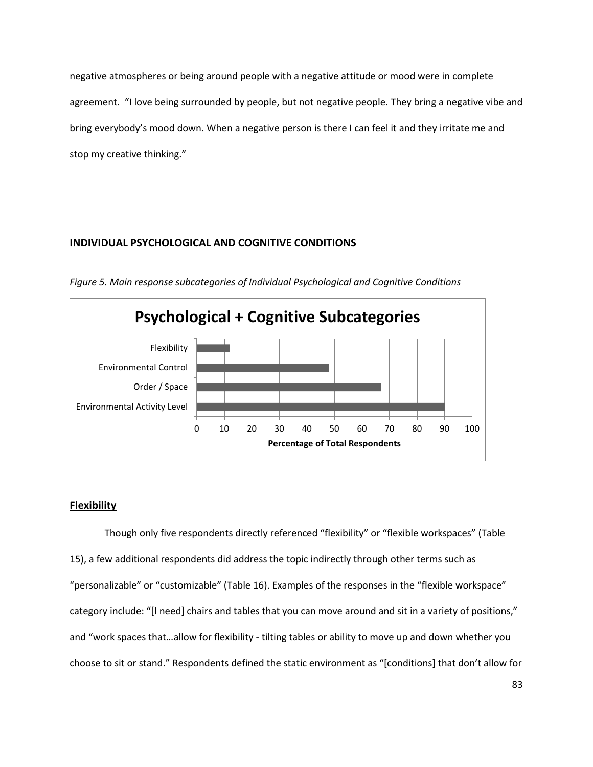negative atmospheres or being around people with a negative attitude or mood were in complete agreement. "I love being surrounded by people, but not negative people. They bring a negative vibe and bring everybody's mood down. When a negative person is there I can feel it and they irritate me and stop my creative thinking."

# **INDIVIDUAL PSYCHOLOGICAL AND COGNITIVE CONDITIONS**



*Figure 5. Main response subcategories of Individual Psychological and Cognitive Conditions*

## **Flexibility**

Though only five respondents directly referenced "flexibility" or "flexible workspaces" (Table 15), a few additional respondents did address the topic indirectly through other terms such as "personalizable" or "customizable" (Table 16). Examples of the responses in the "flexible workspace" category include: "[I need] chairs and tables that you can move around and sit in a variety of positions," and "work spaces that…allow for flexibility - tilting tables or ability to move up and down whether you choose to sit or stand." Respondents defined the static environment as "[conditions] that don't allow for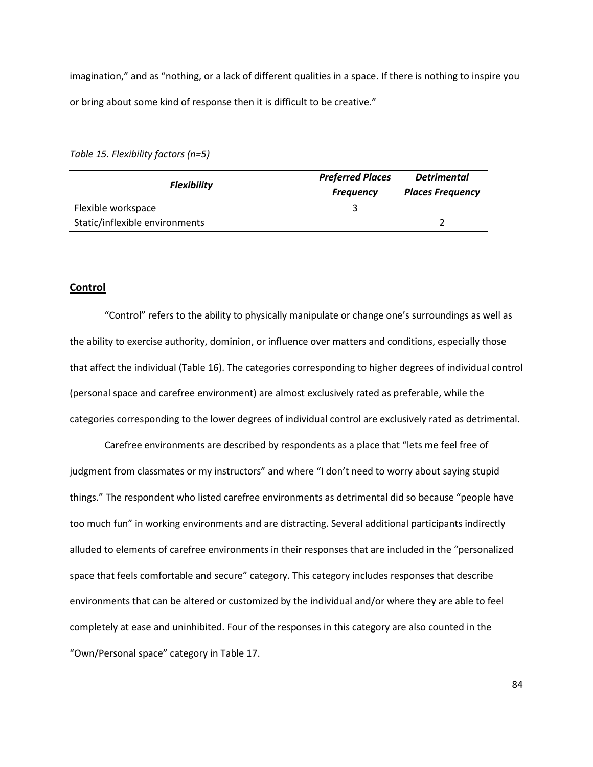imagination," and as "nothing, or a lack of different qualities in a space. If there is nothing to inspire you or bring about some kind of response then it is difficult to be creative."

*Table 15. Flexibility factors (n=5)*

| <b>Flexibility</b>             | <b>Preferred Places</b><br><b>Frequency</b> | <b>Detrimental</b><br><b>Places Frequency</b> |
|--------------------------------|---------------------------------------------|-----------------------------------------------|
| Flexible workspace             |                                             |                                               |
| Static/inflexible environments |                                             |                                               |

# **Control**

 "Control" refers to the ability to physically manipulate or change one's surroundings as well as the ability to exercise authority, dominion, or influence over matters and conditions, especially those that affect the individual (Table 16). The categories corresponding to higher degrees of individual control (personal space and carefree environment) are almost exclusively rated as preferable, while the categories corresponding to the lower degrees of individual control are exclusively rated as detrimental.

Carefree environments are described by respondents as a place that "lets me feel free of judgment from classmates or my instructors" and where "I don't need to worry about saying stupid things." The respondent who listed carefree environments as detrimental did so because "people have too much fun" in working environments and are distracting. Several additional participants indirectly alluded to elements of carefree environments in their responses that are included in the "personalized space that feels comfortable and secure" category. This category includes responses that describe environments that can be altered or customized by the individual and/or where they are able to feel completely at ease and uninhibited. Four of the responses in this category are also counted in the "Own/Personal space" category in Table 17.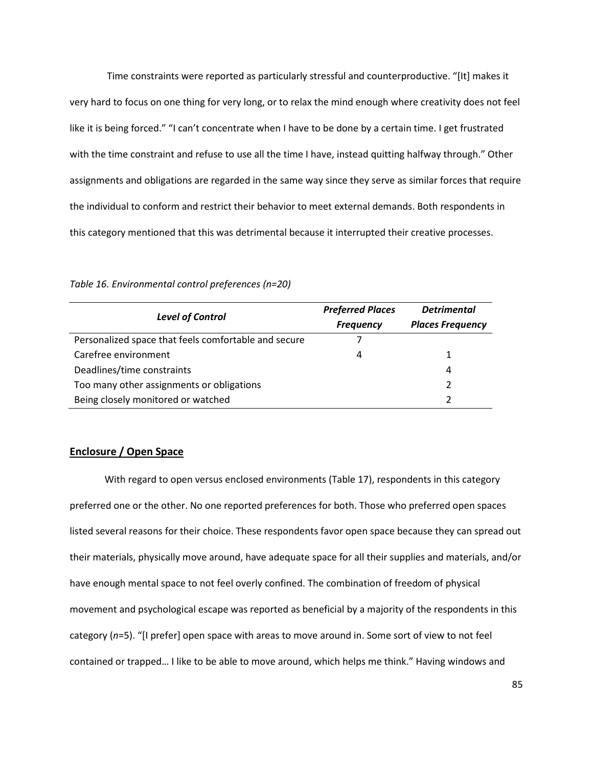Time constraints were reported as particularly stressful and counterproductive. "[It] makes it very hard to focus on one thing for very long, or to relax the mind enough where creativity does not feel like it is being forced." "I can't concentrate when I have to be done by a certain time. I get frustrated with the time constraint and refuse to use all the time I have, instead quitting halfway through." Other assignments and obligations are regarded in the same way since they serve as similar forces that require the individual to conform and restrict their behavior to meet external demands. Both respondents in this category mentioned that this was detrimental because it interrupted their creative processes.

|                                                      | <b>Preferred Places</b> | <b>Detrimental</b>      |  |
|------------------------------------------------------|-------------------------|-------------------------|--|
| <b>Level of Control</b>                              | <b>Frequency</b>        | <b>Places Frequency</b> |  |
| Personalized space that feels comfortable and secure |                         |                         |  |
| Carefree environment                                 | 4                       |                         |  |
| Deadlines/time constraints                           |                         | 4                       |  |
| Too many other assignments or obligations            |                         |                         |  |
| Being closely monitored or watched                   |                         |                         |  |

*Table 16. Environmental control preferences (n=20)*

#### **Enclosure / Open Space**

With regard to open versus enclosed environments (Table 17), respondents in this category preferred one or the other. No one reported preferences for both. Those who preferred open spaces listed several reasons for their choice. These respondents favor open space because they can spread out their materials, physically move around, have adequate space for all their supplies and materials, and/or have enough mental space to not feel overly confined. The combination of freedom of physical movement and psychological escape was reported as beneficial by a majority of the respondents in this category (*n*=5). "[I prefer] open space with areas to move around in. Some sort of view to not feel contained or trapped… I like to be able to move around, which helps me think." Having windows and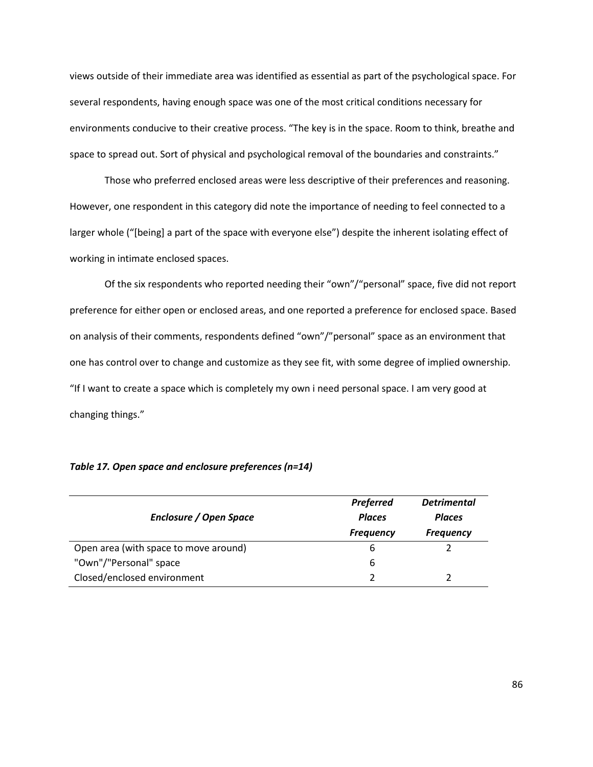views outside of their immediate area was identified as essential as part of the psychological space. For several respondents, having enough space was one of the most critical conditions necessary for environments conducive to their creative process. "The key is in the space. Room to think, breathe and space to spread out. Sort of physical and psychological removal of the boundaries and constraints."

Those who preferred enclosed areas were less descriptive of their preferences and reasoning. However, one respondent in this category did note the importance of needing to feel connected to a larger whole ("[being] a part of the space with everyone else") despite the inherent isolating effect of working in intimate enclosed spaces.

Of the six respondents who reported needing their "own"/"personal" space, five did not report preference for either open or enclosed areas, and one reported a preference for enclosed space. Based on analysis of their comments, respondents defined "own"/"personal" space as an environment that one has control over to change and customize as they see fit, with some degree of implied ownership. "If I want to create a space which is completely my own i need personal space. I am very good at changing things."

|                                       | <b>Preferred</b> | <b>Detrimental</b> |
|---------------------------------------|------------------|--------------------|
| Enclosure / Open Space                | <b>Places</b>    | <b>Places</b>      |
|                                       | <b>Frequency</b> | <b>Frequency</b>   |
| Open area (with space to move around) | b                |                    |
| "Own"/"Personal" space                | 6                |                    |
| Closed/enclosed environment           |                  |                    |

*Table 17. Open space and enclosure preferences (n=14)*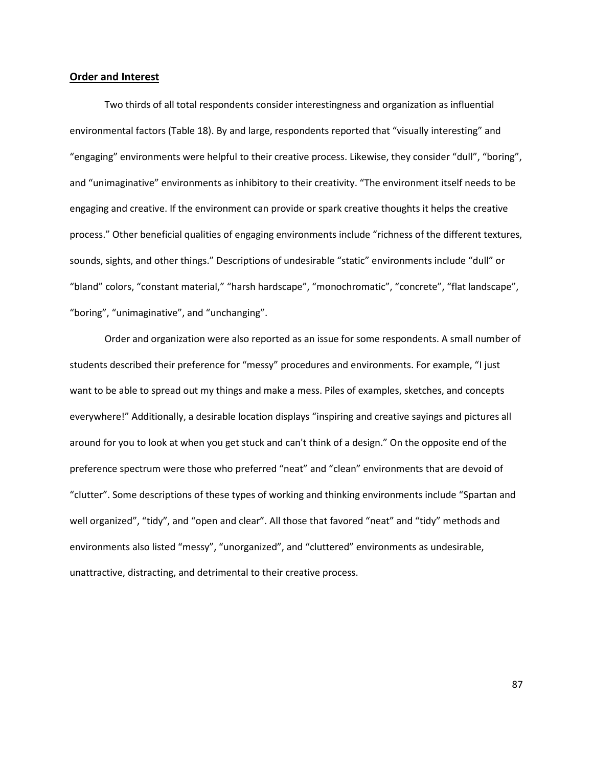#### **Order and Interest**

Two thirds of all total respondents consider interestingness and organization as influential environmental factors (Table 18). By and large, respondents reported that "visually interesting" and "engaging" environments were helpful to their creative process. Likewise, they consider "dull", "boring", and "unimaginative" environments as inhibitory to their creativity. "The environment itself needs to be engaging and creative. If the environment can provide or spark creative thoughts it helps the creative process." Other beneficial qualities of engaging environments include "richness of the different textures, sounds, sights, and other things." Descriptions of undesirable "static" environments include "dull" or "bland" colors, "constant material," "harsh hardscape", "monochromatic", "concrete", "flat landscape", "boring", "unimaginative", and "unchanging".

Order and organization were also reported as an issue for some respondents. A small number of students described their preference for "messy" procedures and environments. For example, "I just want to be able to spread out my things and make a mess. Piles of examples, sketches, and concepts everywhere!" Additionally, a desirable location displays "inspiring and creative sayings and pictures all around for you to look at when you get stuck and can't think of a design." On the opposite end of the preference spectrum were those who preferred "neat" and "clean" environments that are devoid of "clutter". Some descriptions of these types of working and thinking environments include "Spartan and well organized", "tidy", and "open and clear". All those that favored "neat" and "tidy" methods and environments also listed "messy", "unorganized", and "cluttered" environments as undesirable, unattractive, distracting, and detrimental to their creative process.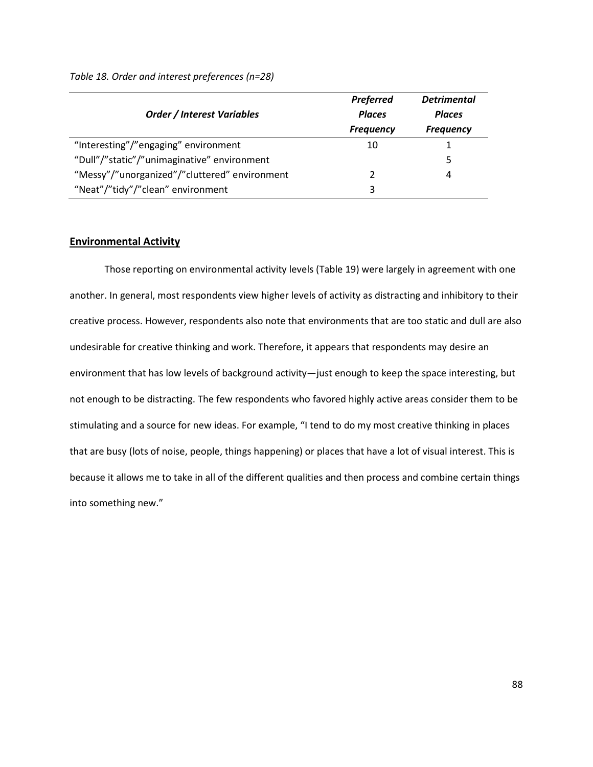|                                               | <b>Preferred</b> | <b>Detrimental</b> |
|-----------------------------------------------|------------------|--------------------|
| <b>Order / Interest Variables</b>             | <b>Places</b>    | <b>Places</b>      |
|                                               | <b>Frequency</b> | <b>Frequency</b>   |
| "Interesting"/"engaging" environment          | 10               |                    |
| "Dull"/"static"/"unimaginative" environment   |                  | 5                  |
| "Messy"/"unorganized"/"cluttered" environment | 2                | 4                  |
| "Neat"/"tidy"/"clean" environment             | 3                |                    |

*Table 18. Order and interest preferences (n=28)*

## **Environmental Activity**

Those reporting on environmental activity levels (Table 19) were largely in agreement with one another. In general, most respondents view higher levels of activity as distracting and inhibitory to their creative process. However, respondents also note that environments that are too static and dull are also undesirable for creative thinking and work. Therefore, it appears that respondents may desire an environment that has low levels of background activity—just enough to keep the space interesting, but not enough to be distracting. The few respondents who favored highly active areas consider them to be stimulating and a source for new ideas. For example, "I tend to do my most creative thinking in places that are busy (lots of noise, people, things happening) or places that have a lot of visual interest. This is because it allows me to take in all of the different qualities and then process and combine certain things into something new."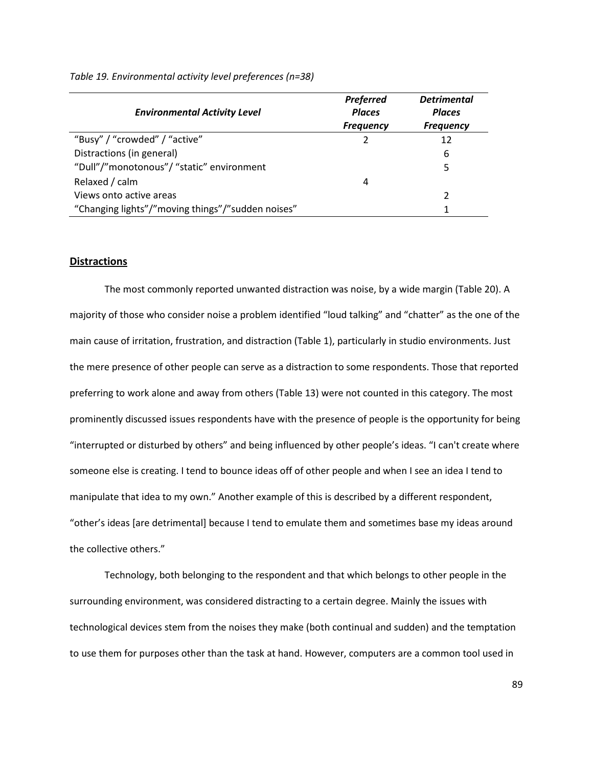| <b>Environmental Activity Level</b>               | <b>Preferred</b><br><b>Places</b><br><b>Frequency</b> | <b>Detrimental</b><br><b>Places</b><br><b>Frequency</b> |
|---------------------------------------------------|-------------------------------------------------------|---------------------------------------------------------|
| "Busy" / "crowded" / "active"                     | 2                                                     | 12                                                      |
| Distractions (in general)                         |                                                       | 6                                                       |
| "Dull"/"monotonous"/ "static" environment         |                                                       | 5                                                       |
| Relaxed / calm                                    | 4                                                     |                                                         |
| Views onto active areas                           |                                                       |                                                         |
| "Changing lights"/"moving things"/"sudden noises" |                                                       |                                                         |

*Table 19. Environmental activity level preferences (n=38)*

#### **Distractions**

The most commonly reported unwanted distraction was noise, by a wide margin (Table 20). A majority of those who consider noise a problem identified "loud talking" and "chatter" as the one of the main cause of irritation, frustration, and distraction (Table 1), particularly in studio environments. Just the mere presence of other people can serve as a distraction to some respondents. Those that reported preferring to work alone and away from others (Table 13) were not counted in this category. The most prominently discussed issues respondents have with the presence of people is the opportunity for being "interrupted or disturbed by others" and being influenced by other people's ideas. "I can't create where someone else is creating. I tend to bounce ideas off of other people and when I see an idea I tend to manipulate that idea to my own." Another example of this is described by a different respondent, "other's ideas [are detrimental] because I tend to emulate them and sometimes base my ideas around the collective others."

Technology, both belonging to the respondent and that which belongs to other people in the surrounding environment, was considered distracting to a certain degree. Mainly the issues with technological devices stem from the noises they make (both continual and sudden) and the temptation to use them for purposes other than the task at hand. However, computers are a common tool used in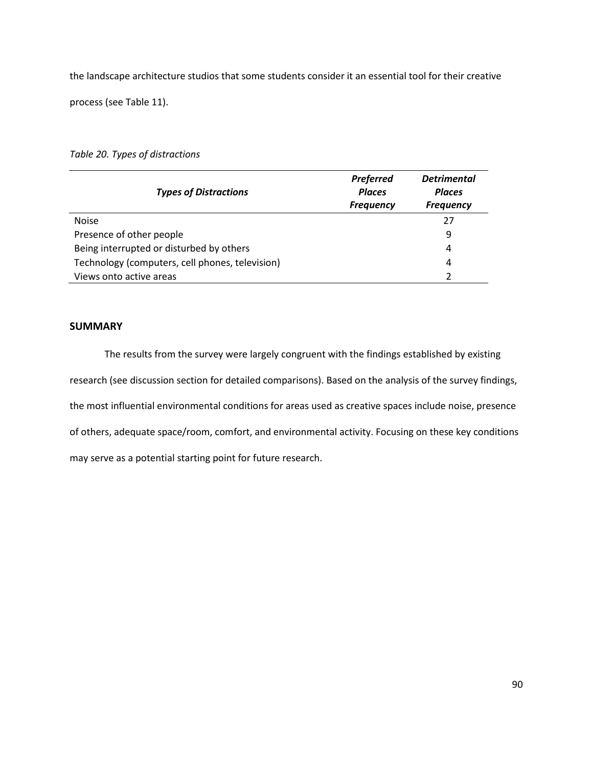the landscape architecture studios that some students consider it an essential tool for their creative

process (see Table 11).

# *Table 20. Types of distractions*

| <b>Types of Distractions</b>                    | <b>Preferred</b><br><b>Places</b><br><b>Frequency</b> | <b>Detrimental</b><br><b>Places</b><br><b>Frequency</b> |
|-------------------------------------------------|-------------------------------------------------------|---------------------------------------------------------|
| <b>Noise</b>                                    |                                                       | 27                                                      |
| Presence of other people                        |                                                       | 9                                                       |
| Being interrupted or disturbed by others        |                                                       | 4                                                       |
| Technology (computers, cell phones, television) |                                                       | 4                                                       |
| Views onto active areas                         |                                                       | າ                                                       |

# **SUMMARY**

The results from the survey were largely congruent with the findings established by existing research (see discussion section for detailed comparisons). Based on the analysis of the survey findings, the most influential environmental conditions for areas used as creative spaces include noise, presence of others, adequate space/room, comfort, and environmental activity. Focusing on these key conditions may serve as a potential starting point for future research.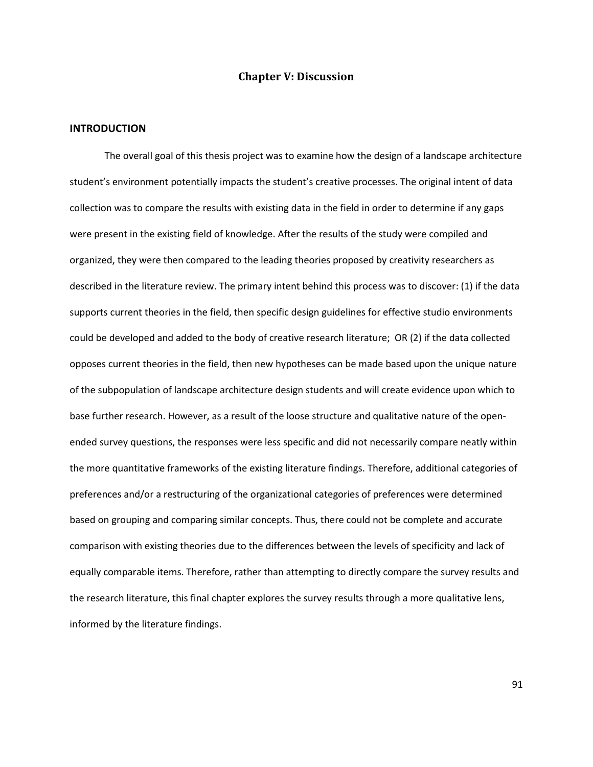# **Chapter V: Discussion**

### **INTRODUCTION**

The overall goal of this thesis project was to examine how the design of a landscape architecture student's environment potentially impacts the student's creative processes. The original intent of data collection was to compare the results with existing data in the field in order to determine if any gaps were present in the existing field of knowledge. After the results of the study were compiled and organized, they were then compared to the leading theories proposed by creativity researchers as described in the literature review. The primary intent behind this process was to discover: (1) if the data supports current theories in the field, then specific design guidelines for effective studio environments could be developed and added to the body of creative research literature; OR (2) if the data collected opposes current theories in the field, then new hypotheses can be made based upon the unique nature of the subpopulation of landscape architecture design students and will create evidence upon which to base further research. However, as a result of the loose structure and qualitative nature of the openended survey questions, the responses were less specific and did not necessarily compare neatly within the more quantitative frameworks of the existing literature findings. Therefore, additional categories of preferences and/or a restructuring of the organizational categories of preferences were determined based on grouping and comparing similar concepts. Thus, there could not be complete and accurate comparison with existing theories due to the differences between the levels of specificity and lack of equally comparable items. Therefore, rather than attempting to directly compare the survey results and the research literature, this final chapter explores the survey results through a more qualitative lens, informed by the literature findings.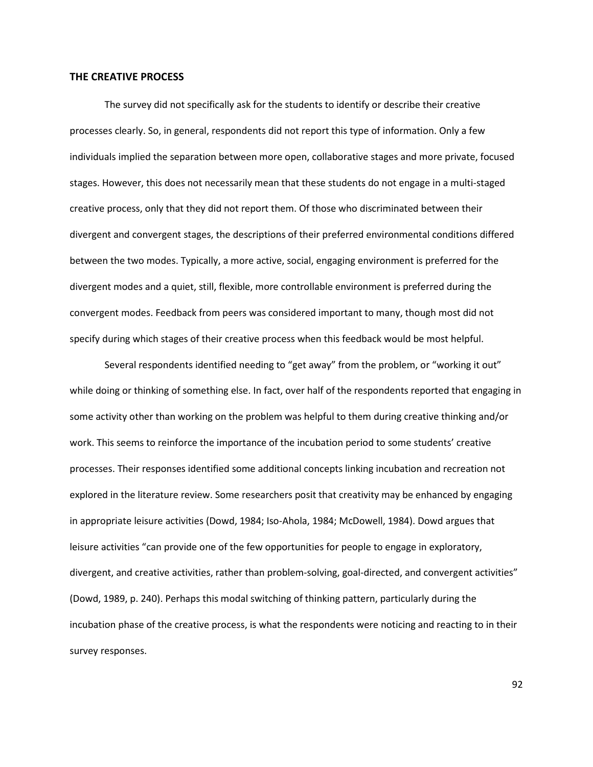#### **THE CREATIVE PROCESS**

 The survey did not specifically ask for the students to identify or describe their creative processes clearly. So, in general, respondents did not report this type of information. Only a few individuals implied the separation between more open, collaborative stages and more private, focused stages. However, this does not necessarily mean that these students do not engage in a multi-staged creative process, only that they did not report them. Of those who discriminated between their divergent and convergent stages, the descriptions of their preferred environmental conditions differed between the two modes. Typically, a more active, social, engaging environment is preferred for the divergent modes and a quiet, still, flexible, more controllable environment is preferred during the convergent modes. Feedback from peers was considered important to many, though most did not specify during which stages of their creative process when this feedback would be most helpful.

 Several respondents identified needing to "get away" from the problem, or "working it out" while doing or thinking of something else. In fact, over half of the respondents reported that engaging in some activity other than working on the problem was helpful to them during creative thinking and/or work. This seems to reinforce the importance of the incubation period to some students' creative processes. Their responses identified some additional concepts linking incubation and recreation not explored in the literature review. Some researchers posit that creativity may be enhanced by engaging in appropriate leisure activities (Dowd, 1984; Iso-Ahola, 1984; McDowell, 1984). Dowd argues that leisure activities "can provide one of the few opportunities for people to engage in exploratory, divergent, and creative activities, rather than problem-solving, goal-directed, and convergent activities" (Dowd, 1989, p. 240). Perhaps this modal switching of thinking pattern, particularly during the incubation phase of the creative process, is what the respondents were noticing and reacting to in their survey responses.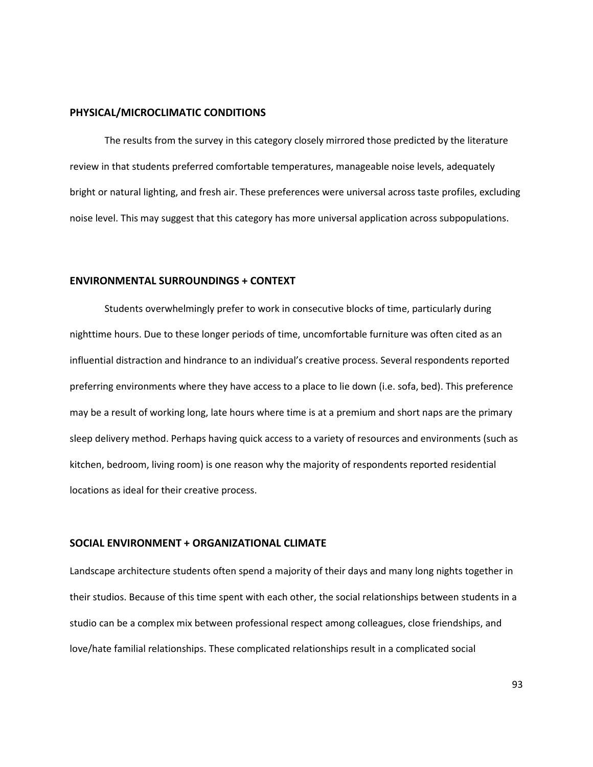#### **PHYSICAL/MICROCLIMATIC CONDITIONS**

The results from the survey in this category closely mirrored those predicted by the literature review in that students preferred comfortable temperatures, manageable noise levels, adequately bright or natural lighting, and fresh air. These preferences were universal across taste profiles, excluding noise level. This may suggest that this category has more universal application across subpopulations.

#### **ENVIRONMENTAL SURROUNDINGS + CONTEXT**

Students overwhelmingly prefer to work in consecutive blocks of time, particularly during nighttime hours. Due to these longer periods of time, uncomfortable furniture was often cited as an influential distraction and hindrance to an individual's creative process. Several respondents reported preferring environments where they have access to a place to lie down (i.e. sofa, bed). This preference may be a result of working long, late hours where time is at a premium and short naps are the primary sleep delivery method. Perhaps having quick access to a variety of resources and environments (such as kitchen, bedroom, living room) is one reason why the majority of respondents reported residential locations as ideal for their creative process.

## **SOCIAL ENVIRONMENT + ORGANIZATIONAL CLIMATE**

Landscape architecture students often spend a majority of their days and many long nights together in their studios. Because of this time spent with each other, the social relationships between students in a studio can be a complex mix between professional respect among colleagues, close friendships, and love/hate familial relationships. These complicated relationships result in a complicated social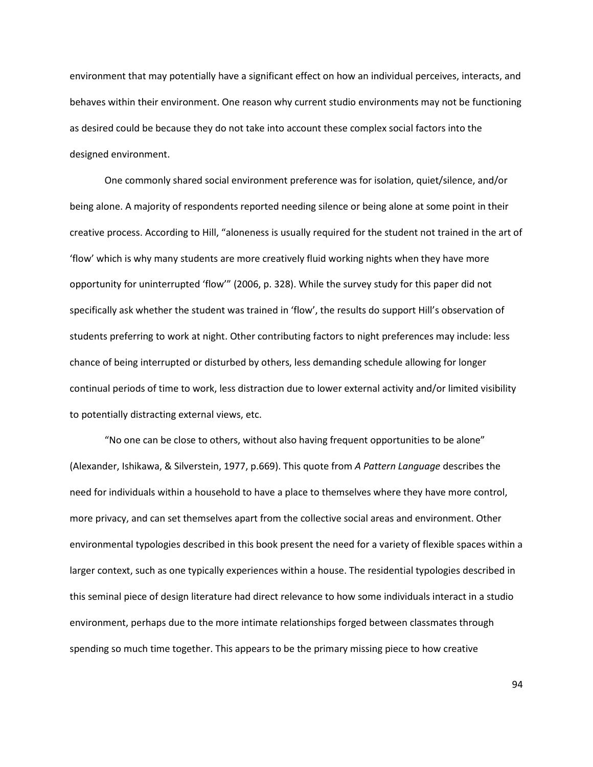environment that may potentially have a significant effect on how an individual perceives, interacts, and behaves within their environment. One reason why current studio environments may not be functioning as desired could be because they do not take into account these complex social factors into the designed environment.

One commonly shared social environment preference was for isolation, quiet/silence, and/or being alone. A majority of respondents reported needing silence or being alone at some point in their creative process. According to Hill, "aloneness is usually required for the student not trained in the art of 'flow' which is why many students are more creatively fluid working nights when they have more opportunity for uninterrupted 'flow'" (2006, p. 328). While the survey study for this paper did not specifically ask whether the student was trained in 'flow', the results do support Hill's observation of students preferring to work at night. Other contributing factors to night preferences may include: less chance of being interrupted or disturbed by others, less demanding schedule allowing for longer continual periods of time to work, less distraction due to lower external activity and/or limited visibility to potentially distracting external views, etc.

"No one can be close to others, without also having frequent opportunities to be alone" (Alexander, Ishikawa, & Silverstein, 1977, p.669). This quote from *A Pattern Language* describes the need for individuals within a household to have a place to themselves where they have more control, more privacy, and can set themselves apart from the collective social areas and environment. Other environmental typologies described in this book present the need for a variety of flexible spaces within a larger context, such as one typically experiences within a house. The residential typologies described in this seminal piece of design literature had direct relevance to how some individuals interact in a studio environment, perhaps due to the more intimate relationships forged between classmates through spending so much time together. This appears to be the primary missing piece to how creative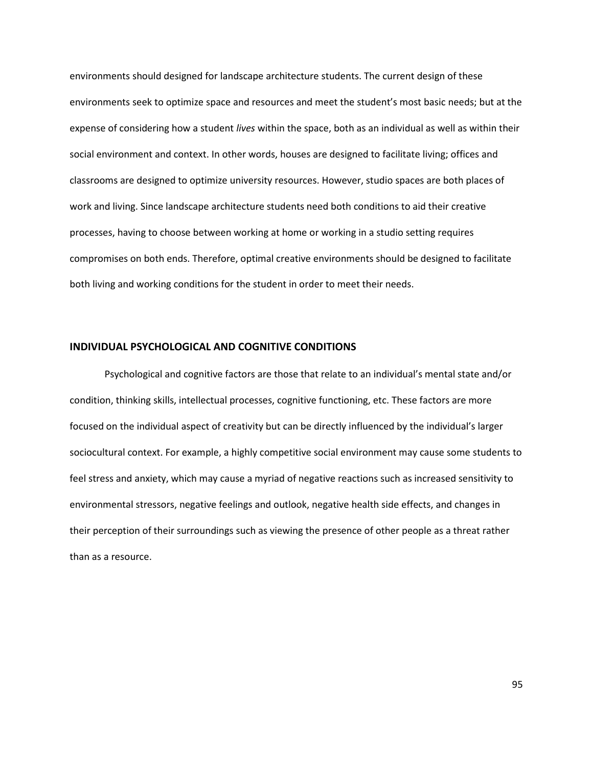environments should designed for landscape architecture students. The current design of these environments seek to optimize space and resources and meet the student's most basic needs; but at the expense of considering how a student *lives* within the space, both as an individual as well as within their social environment and context. In other words, houses are designed to facilitate living; offices and classrooms are designed to optimize university resources. However, studio spaces are both places of work and living. Since landscape architecture students need both conditions to aid their creative processes, having to choose between working at home or working in a studio setting requires compromises on both ends. Therefore, optimal creative environments should be designed to facilitate both living and working conditions for the student in order to meet their needs.

#### **INDIVIDUAL PSYCHOLOGICAL AND COGNITIVE CONDITIONS**

Psychological and cognitive factors are those that relate to an individual's mental state and/or condition, thinking skills, intellectual processes, cognitive functioning, etc. These factors are more focused on the individual aspect of creativity but can be directly influenced by the individual's larger sociocultural context. For example, a highly competitive social environment may cause some students to feel stress and anxiety, which may cause a myriad of negative reactions such as increased sensitivity to environmental stressors, negative feelings and outlook, negative health side effects, and changes in their perception of their surroundings such as viewing the presence of other people as a threat rather than as a resource.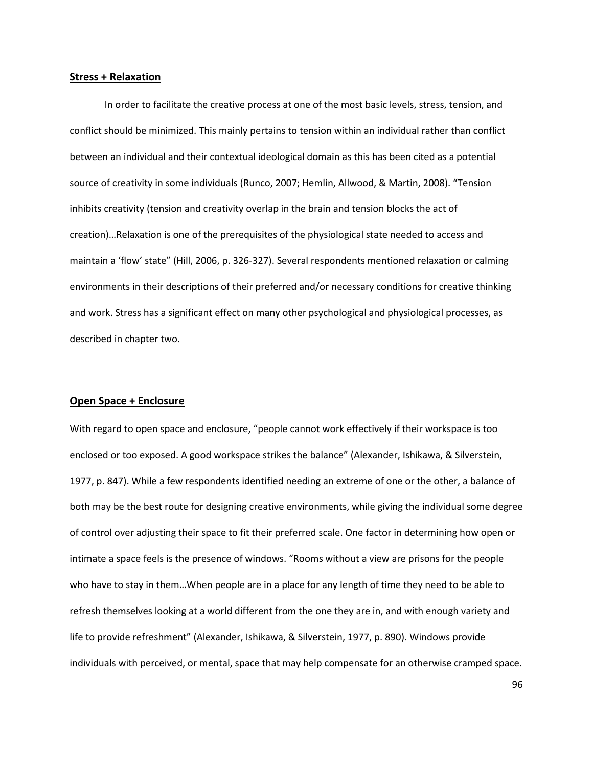#### **Stress + Relaxation**

In order to facilitate the creative process at one of the most basic levels, stress, tension, and conflict should be minimized. This mainly pertains to tension within an individual rather than conflict between an individual and their contextual ideological domain as this has been cited as a potential source of creativity in some individuals (Runco, 2007; Hemlin, Allwood, & Martin, 2008). "Tension inhibits creativity (tension and creativity overlap in the brain and tension blocks the act of creation)…Relaxation is one of the prerequisites of the physiological state needed to access and maintain a 'flow' state" (Hill, 2006, p. 326-327). Several respondents mentioned relaxation or calming environments in their descriptions of their preferred and/or necessary conditions for creative thinking and work. Stress has a significant effect on many other psychological and physiological processes, as described in chapter two.

#### **Open Space + Enclosure**

With regard to open space and enclosure, "people cannot work effectively if their workspace is too enclosed or too exposed. A good workspace strikes the balance" (Alexander, Ishikawa, & Silverstein, 1977, p. 847). While a few respondents identified needing an extreme of one or the other, a balance of both may be the best route for designing creative environments, while giving the individual some degree of control over adjusting their space to fit their preferred scale. One factor in determining how open or intimate a space feels is the presence of windows. "Rooms without a view are prisons for the people who have to stay in them…When people are in a place for any length of time they need to be able to refresh themselves looking at a world different from the one they are in, and with enough variety and life to provide refreshment" (Alexander, Ishikawa, & Silverstein, 1977, p. 890). Windows provide individuals with perceived, or mental, space that may help compensate for an otherwise cramped space.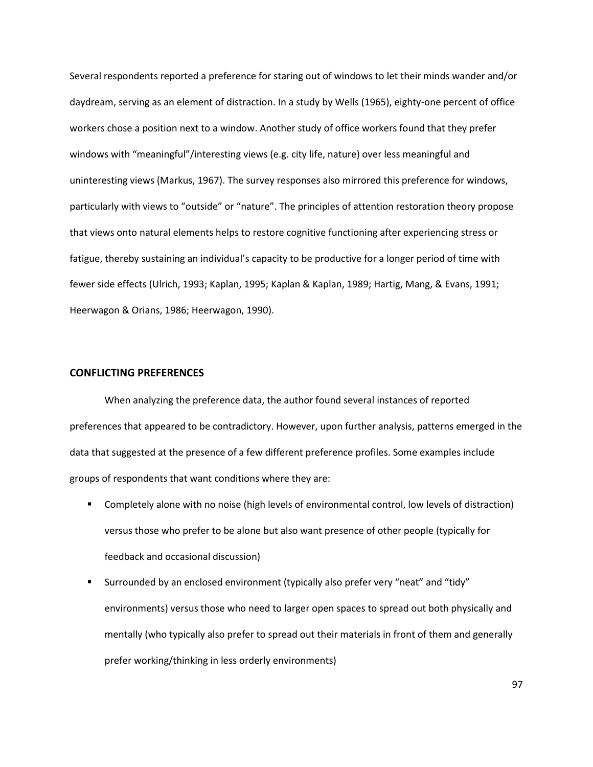Several respondents reported a preference for staring out of windows to let their minds wander and/or daydream, serving as an element of distraction. In a study by Wells (1965), eighty-one percent of office workers chose a position next to a window. Another study of office workers found that they prefer windows with "meaningful"/interesting views (e.g. city life, nature) over less meaningful and uninteresting views (Markus, 1967). The survey responses also mirrored this preference for windows, particularly with views to "outside" or "nature". The principles of attention restoration theory propose that views onto natural elements helps to restore cognitive functioning after experiencing stress or fatigue, thereby sustaining an individual's capacity to be productive for a longer period of time with fewer side effects (Ulrich, 1993; Kaplan, 1995; Kaplan & Kaplan, 1989; Hartig, Mang, & Evans, 1991; Heerwagon & Orians, 1986; Heerwagon, 1990).

# **CONFLICTING PREFERENCES**

When analyzing the preference data, the author found several instances of reported preferences that appeared to be contradictory. However, upon further analysis, patterns emerged in the data that suggested at the presence of a few different preference profiles. Some examples include groups of respondents that want conditions where they are:

- Completely alone with no noise (high levels of environmental control, low levels of distraction) versus those who prefer to be alone but also want presence of other people (typically for feedback and occasional discussion)
- Surrounded by an enclosed environment (typically also prefer very "neat" and "tidy" environments) versus those who need to larger open spaces to spread out both physically and mentally (who typically also prefer to spread out their materials in front of them and generally prefer working/thinking in less orderly environments)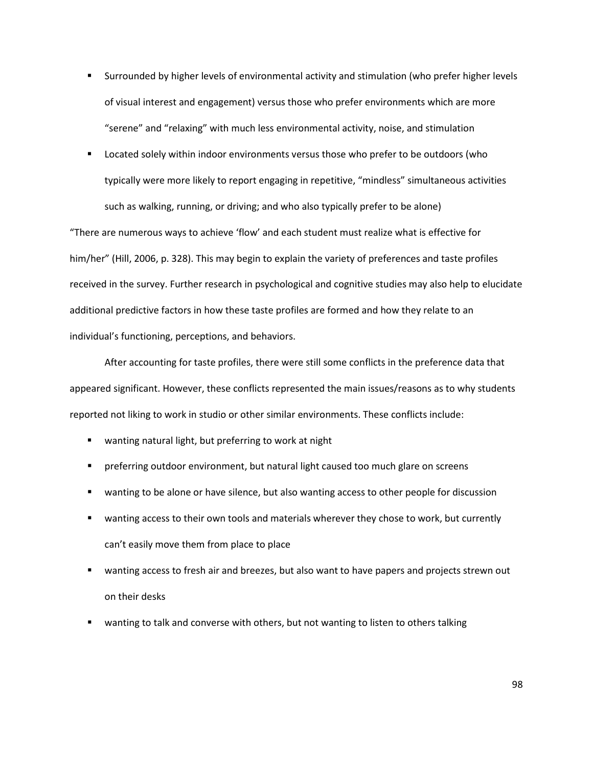- Surrounded by higher levels of environmental activity and stimulation (who prefer higher levels of visual interest and engagement) versus those who prefer environments which are more "serene" and "relaxing" with much less environmental activity, noise, and stimulation
- **EXECT** Located solely within indoor environments versus those who prefer to be outdoors (who typically were more likely to report engaging in repetitive, "mindless" simultaneous activities such as walking, running, or driving; and who also typically prefer to be alone)

"There are numerous ways to achieve 'flow' and each student must realize what is effective for him/her" (Hill, 2006, p. 328). This may begin to explain the variety of preferences and taste profiles received in the survey. Further research in psychological and cognitive studies may also help to elucidate additional predictive factors in how these taste profiles are formed and how they relate to an individual's functioning, perceptions, and behaviors.

After accounting for taste profiles, there were still some conflicts in the preference data that appeared significant. However, these conflicts represented the main issues/reasons as to why students reported not liking to work in studio or other similar environments. These conflicts include:

- wanting natural light, but preferring to work at night
- preferring outdoor environment, but natural light caused too much glare on screens
- **E** wanting to be alone or have silence, but also wanting access to other people for discussion
- wanting access to their own tools and materials wherever they chose to work, but currently can't easily move them from place to place
- wanting access to fresh air and breezes, but also want to have papers and projects strewn out on their desks
- **•** wanting to talk and converse with others, but not wanting to listen to others talking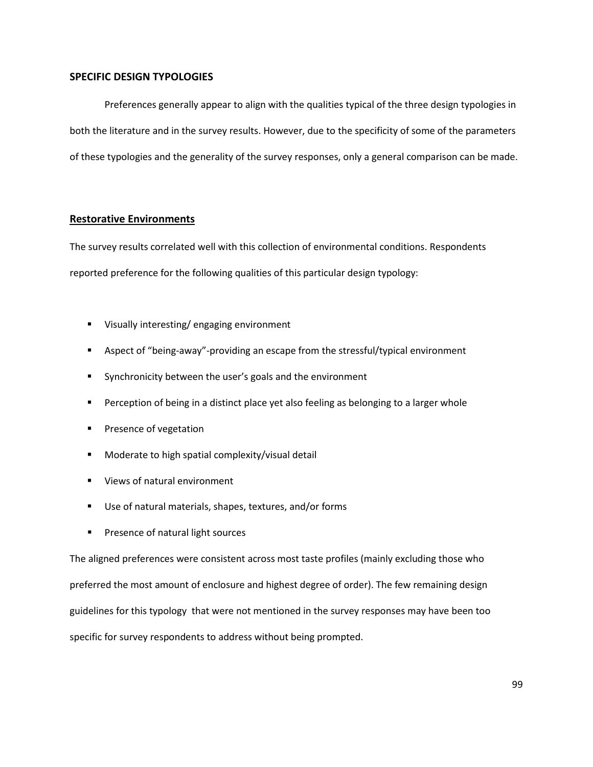# **SPECIFIC DESIGN TYPOLOGIES**

Preferences generally appear to align with the qualities typical of the three design typologies in both the literature and in the survey results. However, due to the specificity of some of the parameters of these typologies and the generality of the survey responses, only a general comparison can be made.

#### **Restorative Environments**

The survey results correlated well with this collection of environmental conditions. Respondents reported preference for the following qualities of this particular design typology:

- Visually interesting/ engaging environment
- **Aspect of "being-away"-providing an escape from the stressful/typical environment**
- **Synchronicity between the user's goals and the environment**
- **Perception of being in a distinct place yet also feeling as belonging to a larger whole**
- **Presence of vegetation**
- **Moderate to high spatial complexity/visual detail**
- Views of natural environment
- Use of natural materials, shapes, textures, and/or forms
- **Presence of natural light sources**

The aligned preferences were consistent across most taste profiles (mainly excluding those who preferred the most amount of enclosure and highest degree of order). The few remaining design guidelines for this typology that were not mentioned in the survey responses may have been too specific for survey respondents to address without being prompted.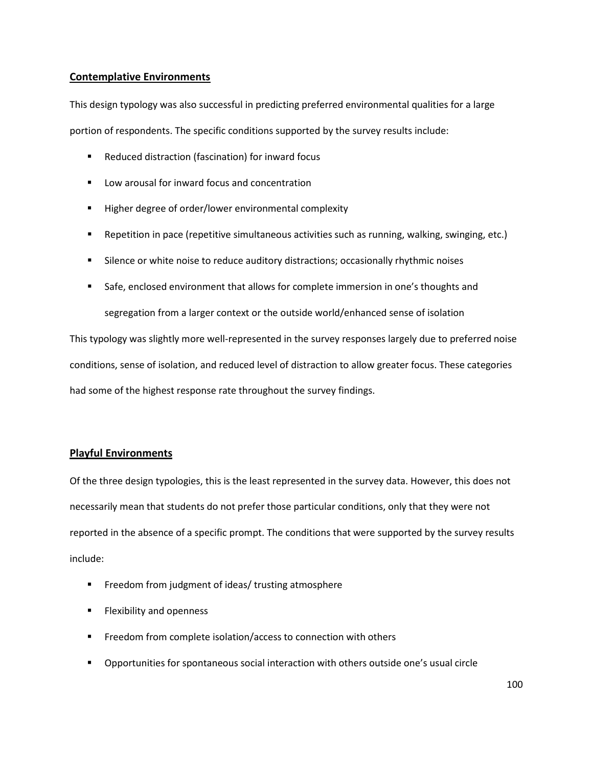# **Contemplative Environments**

This design typology was also successful in predicting preferred environmental qualities for a large portion of respondents. The specific conditions supported by the survey results include:

- Reduced distraction (fascination) for inward focus
- Low arousal for inward focus and concentration
- Higher degree of order/lower environmental complexity
- Repetition in pace (repetitive simultaneous activities such as running, walking, swinging, etc.)
- **Silence or white noise to reduce auditory distractions; occasionally rhythmic noises**
- **Safe, enclosed environment that allows for complete immersion in one's thoughts and** segregation from a larger context or the outside world/enhanced sense of isolation

This typology was slightly more well-represented in the survey responses largely due to preferred noise conditions, sense of isolation, and reduced level of distraction to allow greater focus. These categories had some of the highest response rate throughout the survey findings.

# **Playful Environments**

Of the three design typologies, this is the least represented in the survey data. However, this does not necessarily mean that students do not prefer those particular conditions, only that they were not reported in the absence of a specific prompt. The conditions that were supported by the survey results include:

- **FILM** Freedom from judgment of ideas/ trusting atmosphere
- **Flexibility and openness**
- **FREEDOM** From complete isolation/access to connection with others
- Opportunities for spontaneous social interaction with others outside one's usual circle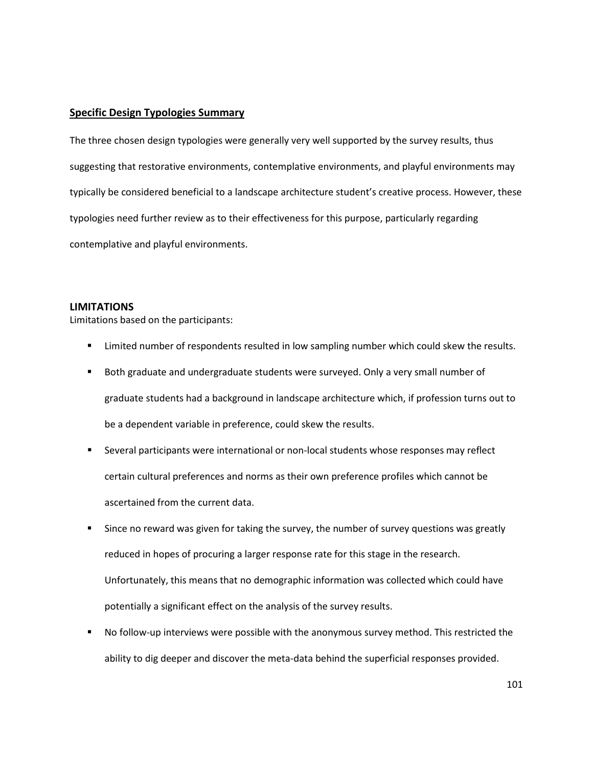## **Specific Design Typologies Summary**

The three chosen design typologies were generally very well supported by the survey results, thus suggesting that restorative environments, contemplative environments, and playful environments may typically be considered beneficial to a landscape architecture student's creative process. However, these typologies need further review as to their effectiveness for this purpose, particularly regarding contemplative and playful environments.

## **LIMITATIONS**

Limitations based on the participants:

- **EXECT** Limited number of respondents resulted in low sampling number which could skew the results.
- Both graduate and undergraduate students were surveyed. Only a very small number of graduate students had a background in landscape architecture which, if profession turns out to be a dependent variable in preference, could skew the results.
- Several participants were international or non-local students whose responses may reflect certain cultural preferences and norms as their own preference profiles which cannot be ascertained from the current data.
- Since no reward was given for taking the survey, the number of survey questions was greatly reduced in hopes of procuring a larger response rate for this stage in the research. Unfortunately, this means that no demographic information was collected which could have potentially a significant effect on the analysis of the survey results.
- No follow-up interviews were possible with the anonymous survey method. This restricted the ability to dig deeper and discover the meta-data behind the superficial responses provided.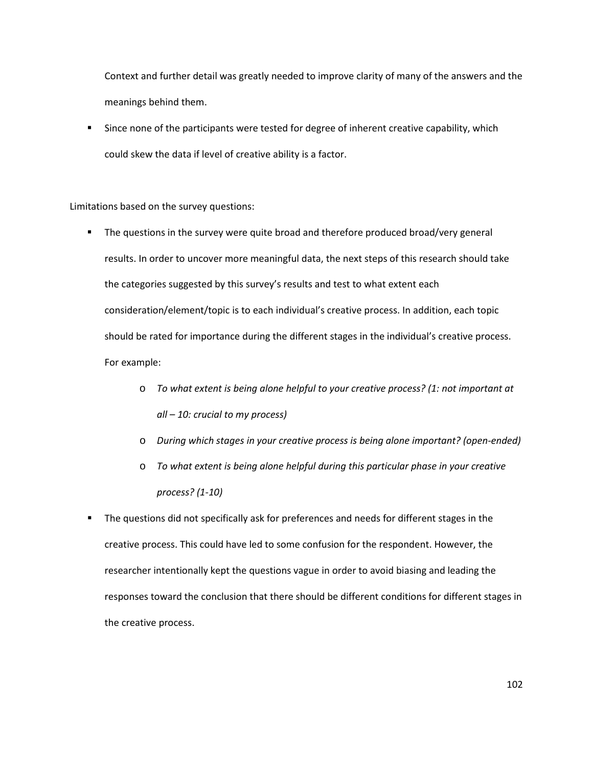Context and further detail was greatly needed to improve clarity of many of the answers and the meanings behind them.

 Since none of the participants were tested for degree of inherent creative capability, which could skew the data if level of creative ability is a factor.

#### Limitations based on the survey questions:

- The questions in the survey were quite broad and therefore produced broad/very general results. In order to uncover more meaningful data, the next steps of this research should take the categories suggested by this survey's results and test to what extent each consideration/element/topic is to each individual's creative process. In addition, each topic should be rated for importance during the different stages in the individual's creative process. For example:
	- o *To what extent is being alone helpful to your creative process? (1: not important at all – 10: crucial to my process)*
	- o *During which stages in your creative process is being alone important? (open-ended)*
	- o *To what extent is being alone helpful during this particular phase in your creative process? (1-10)*
- The questions did not specifically ask for preferences and needs for different stages in the creative process. This could have led to some confusion for the respondent. However, the researcher intentionally kept the questions vague in order to avoid biasing and leading the responses toward the conclusion that there should be different conditions for different stages in the creative process.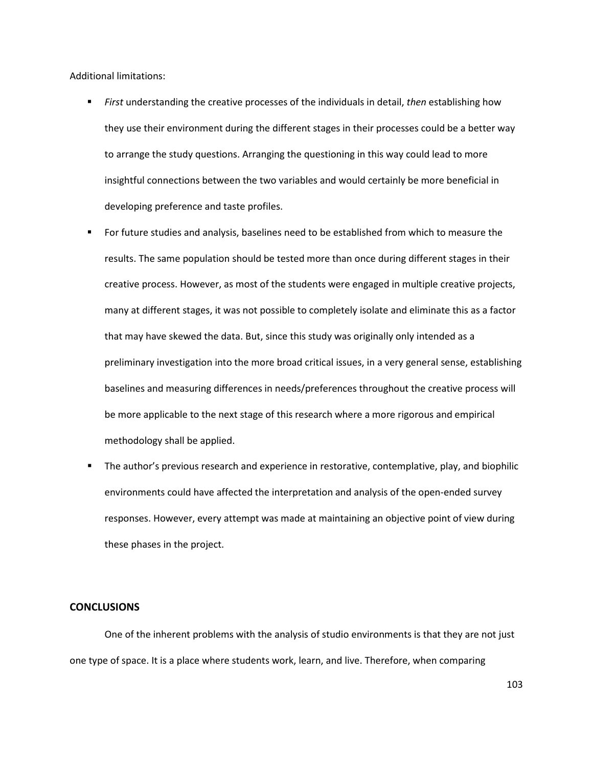Additional limitations:

- *First* understanding the creative processes of the individuals in detail, *then* establishing how they use their environment during the different stages in their processes could be a better way to arrange the study questions. Arranging the questioning in this way could lead to more insightful connections between the two variables and would certainly be more beneficial in developing preference and taste profiles.
- For future studies and analysis, baselines need to be established from which to measure the results. The same population should be tested more than once during different stages in their creative process. However, as most of the students were engaged in multiple creative projects, many at different stages, it was not possible to completely isolate and eliminate this as a factor that may have skewed the data. But, since this study was originally only intended as a preliminary investigation into the more broad critical issues, in a very general sense, establishing baselines and measuring differences in needs/preferences throughout the creative process will be more applicable to the next stage of this research where a more rigorous and empirical methodology shall be applied.
- **The author's previous research and experience in restorative, contemplative, play, and biophilic** environments could have affected the interpretation and analysis of the open-ended survey responses. However, every attempt was made at maintaining an objective point of view during these phases in the project.

## **CONCLUSIONS**

 One of the inherent problems with the analysis of studio environments is that they are not just one type of space. It is a place where students work, learn, and live. Therefore, when comparing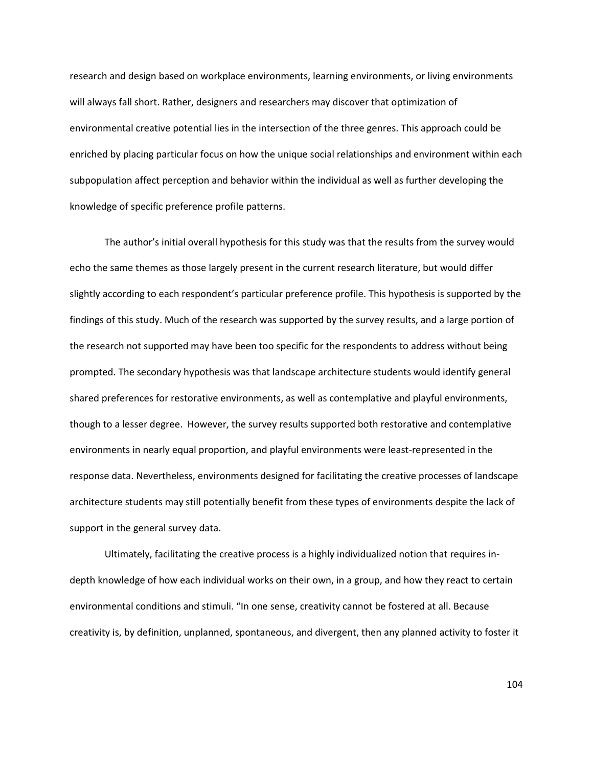research and design based on workplace environments, learning environments, or living environments will always fall short. Rather, designers and researchers may discover that optimization of environmental creative potential lies in the intersection of the three genres. This approach could be enriched by placing particular focus on how the unique social relationships and environment within each subpopulation affect perception and behavior within the individual as well as further developing the knowledge of specific preference profile patterns.

The author's initial overall hypothesis for this study was that the results from the survey would echo the same themes as those largely present in the current research literature, but would differ slightly according to each respondent's particular preference profile. This hypothesis is supported by the findings of this study. Much of the research was supported by the survey results, and a large portion of the research not supported may have been too specific for the respondents to address without being prompted. The secondary hypothesis was that landscape architecture students would identify general shared preferences for restorative environments, as well as contemplative and playful environments, though to a lesser degree. However, the survey results supported both restorative and contemplative environments in nearly equal proportion, and playful environments were least-represented in the response data. Nevertheless, environments designed for facilitating the creative processes of landscape architecture students may still potentially benefit from these types of environments despite the lack of support in the general survey data.

Ultimately, facilitating the creative process is a highly individualized notion that requires indepth knowledge of how each individual works on their own, in a group, and how they react to certain environmental conditions and stimuli. "In one sense, creativity cannot be fostered at all. Because creativity is, by definition, unplanned, spontaneous, and divergent, then any planned activity to foster it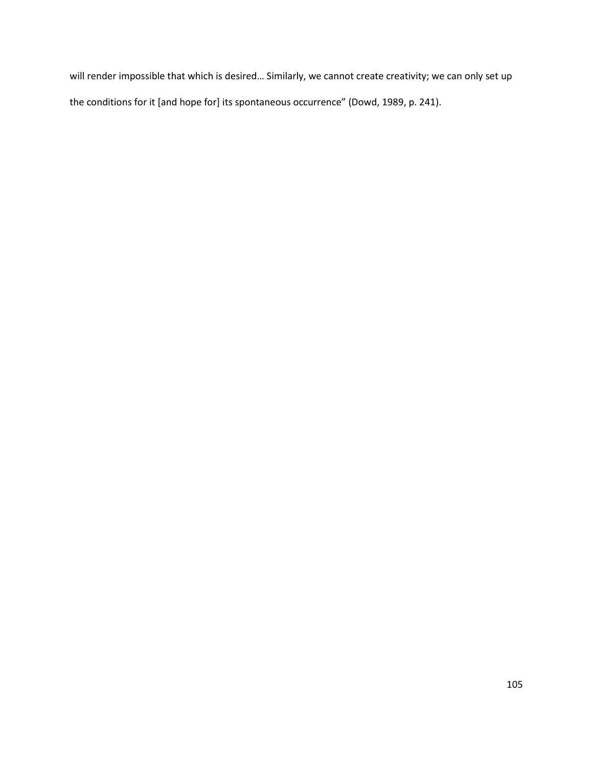will render impossible that which is desired… Similarly, we cannot create creativity; we can only set up the conditions for it [and hope for] its spontaneous occurrence" (Dowd, 1989, p. 241).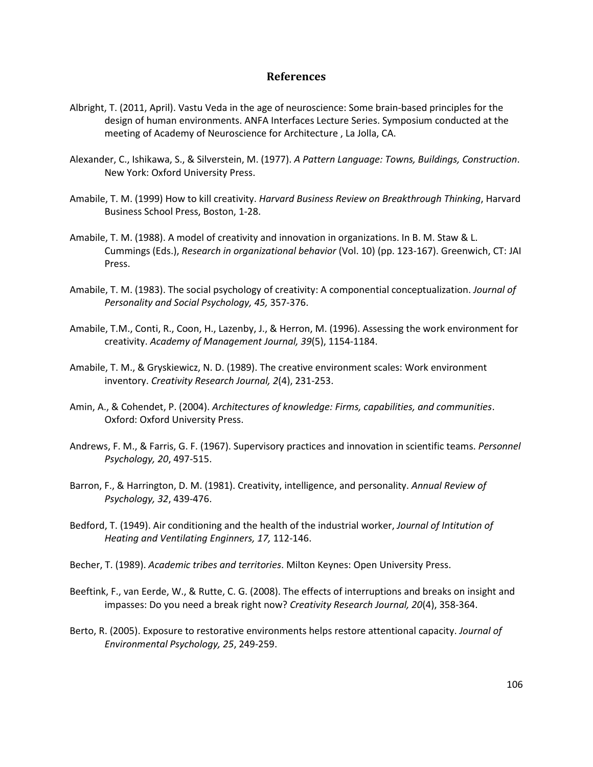# **References**

- Albright, T. (2011, April). Vastu Veda in the age of neuroscience: Some brain-based principles for the design of human environments. ANFA Interfaces Lecture Series. Symposium conducted at the meeting of Academy of Neuroscience for Architecture , La Jolla, CA.
- Alexander, C., Ishikawa, S., & Silverstein, M. (1977). *A Pattern Language: Towns, Buildings, Construction*. New York: Oxford University Press.
- Amabile, T. M. (1999) How to kill creativity. *Harvard Business Review on Breakthrough Thinking*, Harvard Business School Press, Boston, 1-28.
- Amabile, T. M. (1988). A model of creativity and innovation in organizations. In B. M. Staw & L. Cummings (Eds.), *Research in organizational behavior* (Vol. 10) (pp. 123-167). Greenwich, CT: JAI Press.
- Amabile, T. M. (1983). The social psychology of creativity: A componential conceptualization. *Journal of Personality and Social Psychology, 45,* 357-376.
- Amabile, T.M., Conti, R., Coon, H., Lazenby, J., & Herron, M. (1996). Assessing the work environment for creativity. *Academy of Management Journal, 39*(5), 1154-1184.
- Amabile, T. M., & Gryskiewicz, N. D. (1989). The creative environment scales: Work environment inventory. *Creativity Research Journal, 2*(4), 231-253.
- Amin, A., & Cohendet, P. (2004). *Architectures of knowledge: Firms, capabilities, and communities*. Oxford: Oxford University Press.
- Andrews, F. M., & Farris, G. F. (1967). Supervisory practices and innovation in scientific teams. *Personnel Psychology, 20*, 497-515.
- Barron, F., & Harrington, D. M. (1981). Creativity, intelligence, and personality. *Annual Review of Psychology, 32*, 439-476.
- Bedford, T. (1949). Air conditioning and the health of the industrial worker, *Journal of Intitution of Heating and Ventilating Enginners, 17,* 112-146.
- Becher, T. (1989). *Academic tribes and territories*. Milton Keynes: Open University Press.
- Beeftink, F., van Eerde, W., & Rutte, C. G. (2008). The effects of interruptions and breaks on insight and impasses: Do you need a break right now? *Creativity Research Journal, 20*(4), 358-364.
- Berto, R. (2005). Exposure to restorative environments helps restore attentional capacity. *Journal of Environmental Psychology, 25*, 249-259.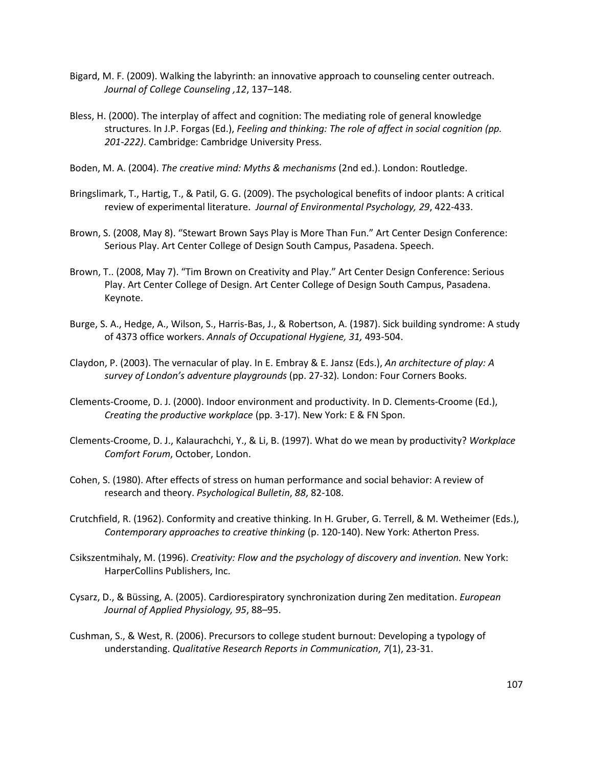- Bigard, M. F. (2009). Walking the labyrinth: an innovative approach to counseling center outreach. *Journal of College Counseling ,12*, 137–148.
- Bless, H. (2000). The interplay of affect and cognition: The mediating role of general knowledge structures. In J.P. Forgas (Ed.), *Feeling and thinking: The role of affect in social cognition (pp. 201-222)*. Cambridge: Cambridge University Press.
- Boden, M. A. (2004). *The creative mind: Myths & mechanisms* (2nd ed.). London: Routledge.
- Bringslimark, T., Hartig, T., & Patil, G. G. (2009). The psychological benefits of indoor plants: A critical review of experimental literature. *Journal of Environmental Psychology, 29*, 422-433.
- Brown, S. (2008, May 8). "Stewart Brown Says Play is More Than Fun." Art Center Design Conference: Serious Play. Art Center College of Design South Campus, Pasadena. Speech.
- Brown, T.. (2008, May 7). "Tim Brown on Creativity and Play." Art Center Design Conference: Serious Play. Art Center College of Design. Art Center College of Design South Campus, Pasadena. Keynote.
- Burge, S. A., Hedge, A., Wilson, S., Harris-Bas, J., & Robertson, A. (1987). Sick building syndrome: A study of 4373 office workers. *Annals of Occupational Hygiene, 31,* 493-504.
- Claydon, P. (2003). The vernacular of play. In E. Embray & E. Jansz (Eds.), *An architecture of play: A survey of London's adventure playgrounds* (pp. 27-32)*.* London: Four Corners Books.
- Clements-Croome, D. J. (2000). Indoor environment and productivity. In D. Clements-Croome (Ed.), *Creating the productive workplace* (pp. 3-17). New York: E & FN Spon.
- Clements-Croome, D. J., Kalaurachchi, Y., & Li, B. (1997). What do we mean by productivity? *Workplace Comfort Forum*, October, London.
- Cohen, S. (1980). After effects of stress on human performance and social behavior: A review of research and theory. *Psychological Bulletin*, *88*, 82-108.
- Crutchfield, R. (1962). Conformity and creative thinking. In H. Gruber, G. Terrell, & M. Wetheimer (Eds.), *Contemporary approaches to creative thinking* (p. 120-140). New York: Atherton Press.
- Csikszentmihaly, M. (1996). *Creativity: Flow and the psychology of discovery and invention.* New York: HarperCollins Publishers, Inc.
- Cysarz, D., & Büssing, A. (2005). Cardiorespiratory synchronization during Zen meditation. *European Journal of Applied Physiology, 95*, 88–95.
- Cushman, S., & West, R. (2006). Precursors to college student burnout: Developing a typology of understanding. *Qualitative Research Reports in Communication*, *7*(1), 23-31.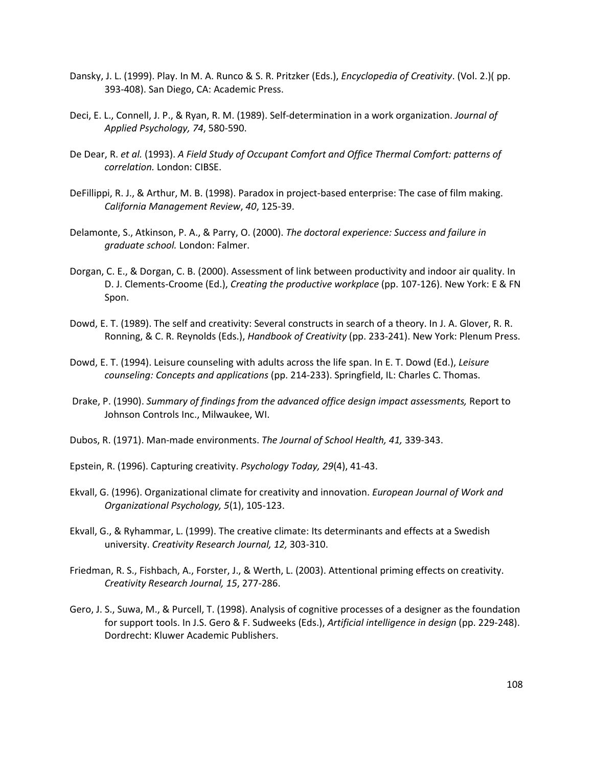- Dansky, J. L. (1999). Play. In M. A. Runco & S. R. Pritzker (Eds.), *Encyclopedia of Creativity*. (Vol. 2.)( pp. 393-408). San Diego, CA: Academic Press.
- Deci, E. L., Connell, J. P., & Ryan, R. M. (1989). Self-determination in a work organization. *Journal of Applied Psychology, 74*, 580-590.
- De Dear, R. *et al.* (1993). *A Field Study of Occupant Comfort and Office Thermal Comfort: patterns of correlation.* London: CIBSE.
- DeFillippi, R. J., & Arthur, M. B. (1998). Paradox in project-based enterprise: The case of film making. *California Management Review*, *40*, 125-39.
- Delamonte, S., Atkinson, P. A., & Parry, O. (2000). *The doctoral experience: Success and failure in graduate school.* London: Falmer.
- Dorgan, C. E., & Dorgan, C. B. (2000). Assessment of link between productivity and indoor air quality. In D. J. Clements-Croome (Ed.), *Creating the productive workplace* (pp. 107-126). New York: E & FN Spon.
- Dowd, E. T. (1989). The self and creativity: Several constructs in search of a theory. In J. A. Glover, R. R. Ronning, & C. R. Reynolds (Eds.), *Handbook of Creativity* (pp. 233-241). New York: Plenum Press.
- Dowd, E. T. (1994). Leisure counseling with adults across the life span. In E. T. Dowd (Ed.), *Leisure counseling: Concepts and applications* (pp. 214-233). Springfield, IL: Charles C. Thomas.
- Drake, P. (1990). *Summary of findings from the advanced office design impact assessments,* Report to Johnson Controls Inc., Milwaukee, WI.
- Dubos, R. (1971). Man-made environments. *The Journal of School Health, 41,* 339-343.
- Epstein, R. (1996). Capturing creativity. *Psychology Today, 29*(4), 41-43.
- Ekvall, G. (1996). Organizational climate for creativity and innovation. *European Journal of Work and Organizational Psychology, 5*(1), 105-123.
- Ekvall, G., & Ryhammar, L. (1999). The creative climate: Its determinants and effects at a Swedish university. *Creativity Research Journal, 12,* 303-310.
- Friedman, R. S., Fishbach, A., Forster, J., & Werth, L. (2003). Attentional priming effects on creativity. *Creativity Research Journal, 15*, 277-286.
- Gero, J. S., Suwa, M., & Purcell, T. (1998). Analysis of cognitive processes of a designer as the foundation for support tools. In J.S. Gero & F. Sudweeks (Eds.), *Artificial intelligence in design* (pp. 229-248). Dordrecht: Kluwer Academic Publishers.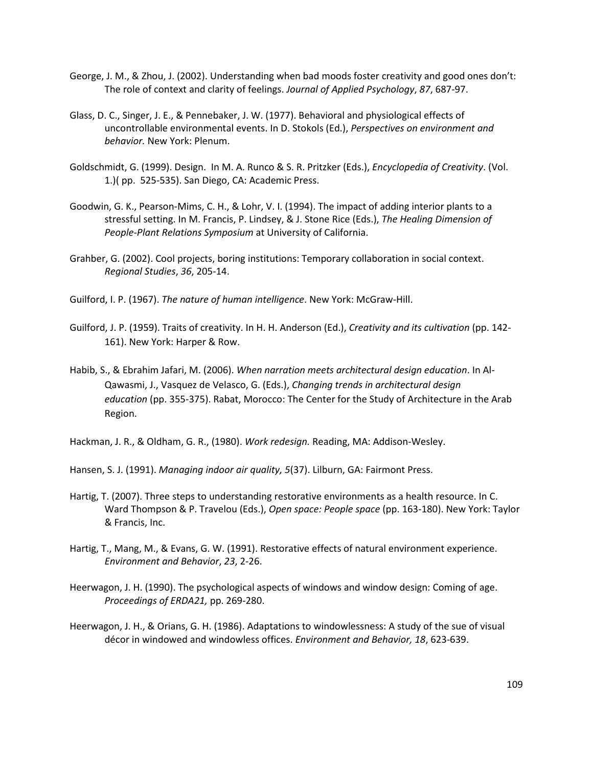- George, J. M., & Zhou, J. (2002). Understanding when bad moods foster creativity and good ones don't: The role of context and clarity of feelings. *Journal of Applied Psychology*, *87*, 687-97.
- Glass, D. C., Singer, J. E., & Pennebaker, J. W. (1977). Behavioral and physiological effects of uncontrollable environmental events. In D. Stokols (Ed.), *Perspectives on environment and behavior.* New York: Plenum.
- Goldschmidt, G. (1999). Design. In M. A. Runco & S. R. Pritzker (Eds.), *Encyclopedia of Creativity*. (Vol. 1.)( pp. 525-535). San Diego, CA: Academic Press.
- Goodwin, G. K., Pearson-Mims, C. H., & Lohr, V. I. (1994). The impact of adding interior plants to a stressful setting. In M. Francis, P. Lindsey, & J. Stone Rice (Eds.), *The Healing Dimension of People-Plant Relations Symposium* at University of California.
- Grahber, G. (2002). Cool projects, boring institutions: Temporary collaboration in social context. *Regional Studies*, *36*, 205-14.
- Guilford, I. P. (1967). *The nature of human intelligence*. New York: McGraw-Hill.
- Guilford, J. P. (1959). Traits of creativity. In H. H. Anderson (Ed.), *Creativity and its cultivation* (pp. 142- 161). New York: Harper & Row.
- Habib, S., & Ebrahim Jafari, M. (2006). *When narration meets architectural design education*. In Al-Qawasmi, J., Vasquez de Velasco, G. (Eds.), *Changing trends in architectural design education* (pp. 355-375). Rabat, Morocco: The Center for the Study of Architecture in the Arab Region.

Hackman, J. R., & Oldham, G. R., (1980). *Work redesign.* Reading, MA: Addison-Wesley.

- Hansen, S. J. (1991). *Managing indoor air quality, 5*(37). Lilburn, GA: Fairmont Press.
- Hartig, T. (2007). Three steps to understanding restorative environments as a health resource. In C. Ward Thompson & P. Travelou (Eds.), *Open space: People space* (pp. 163-180). New York: Taylor & Francis, Inc.
- Hartig, T., Mang, M., & Evans, G. W. (1991). Restorative effects of natural environment experience. *Environment and Behavior*, *23*, 2-26.
- Heerwagon, J. H. (1990). The psychological aspects of windows and window design: Coming of age. *Proceedings of ERDA21,* pp. 269-280.
- Heerwagon, J. H., & Orians, G. H. (1986). Adaptations to windowlessness: A study of the sue of visual décor in windowed and windowless offices. *Environment and Behavior, 18*, 623-639.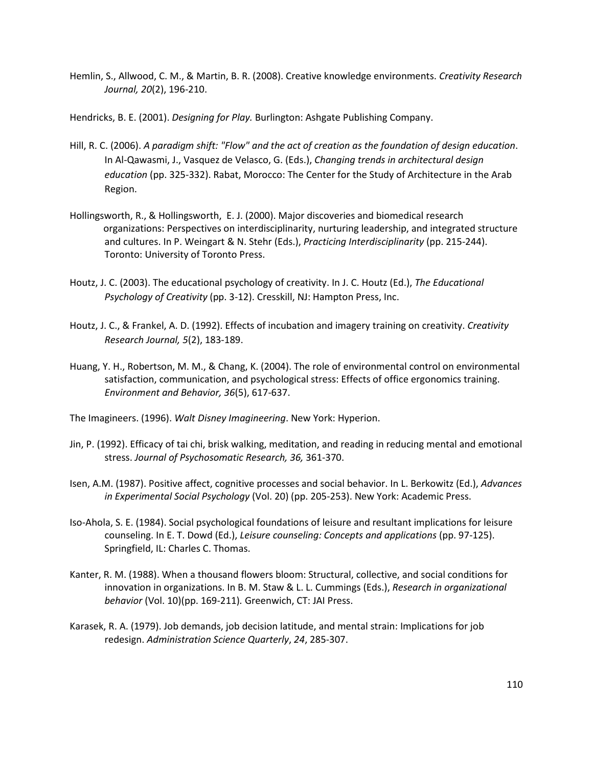- Hemlin, S., Allwood, C. M., & Martin, B. R. (2008). Creative knowledge environments. *Creativity Research Journal, 20*(2), 196-210.
- Hendricks, B. E. (2001). *Designing for Play.* Burlington: Ashgate Publishing Company.
- Hill, R. C. (2006). *A paradigm shift: "Flow" and the act of creation as the foundation of design education*. In Al-Qawasmi, J., Vasquez de Velasco, G. (Eds.), *Changing trends in architectural design education* (pp. 325-332). Rabat, Morocco: The Center for the Study of Architecture in the Arab Region.
- Hollingsworth, R., & Hollingsworth, E. J. (2000). Major discoveries and biomedical research organizations: Perspectives on interdisciplinarity, nurturing leadership, and integrated structure and cultures. In P. Weingart & N. Stehr (Eds.), *Practicing Interdisciplinarity* (pp. 215-244). Toronto: University of Toronto Press.
- Houtz, J. C. (2003). The educational psychology of creativity. In J. C. Houtz (Ed.), *The Educational Psychology of Creativity* (pp. 3-12). Cresskill, NJ: Hampton Press, Inc.
- Houtz, J. C., & Frankel, A. D. (1992). Effects of incubation and imagery training on creativity. *Creativity Research Journal, 5*(2), 183-189.
- Huang, Y. H., Robertson, M. M., & Chang, K. (2004). The role of environmental control on environmental satisfaction, communication, and psychological stress: Effects of office ergonomics training. *Environment and Behavior, 36*(5), 617-637.

The Imagineers. (1996). *Walt Disney Imagineering*. New York: Hyperion.

- Jin, P. (1992). Efficacy of tai chi, brisk walking, meditation, and reading in reducing mental and emotional stress. *Journal of Psychosomatic Research, 36,* 361-370.
- Isen, A.M. (1987). Positive affect, cognitive processes and social behavior. In L. Berkowitz (Ed.), *Advances in Experimental Social Psychology* (Vol. 20) (pp. 205-253). New York: Academic Press.
- Iso-Ahola, S. E. (1984). Social psychological foundations of leisure and resultant implications for leisure counseling. In E. T. Dowd (Ed.), *Leisure counseling: Concepts and applications* (pp. 97-125). Springfield, IL: Charles C. Thomas.
- Kanter, R. M. (1988). When a thousand flowers bloom: Structural, collective, and social conditions for innovation in organizations. In B. M. Staw & L. L. Cummings (Eds.), *Research in organizational behavior* (Vol. 10)(pp. 169-211)*.* Greenwich, CT: JAI Press.
- Karasek, R. A. (1979). Job demands, job decision latitude, and mental strain: Implications for job redesign. *Administration Science Quarterly*, *24*, 285-307.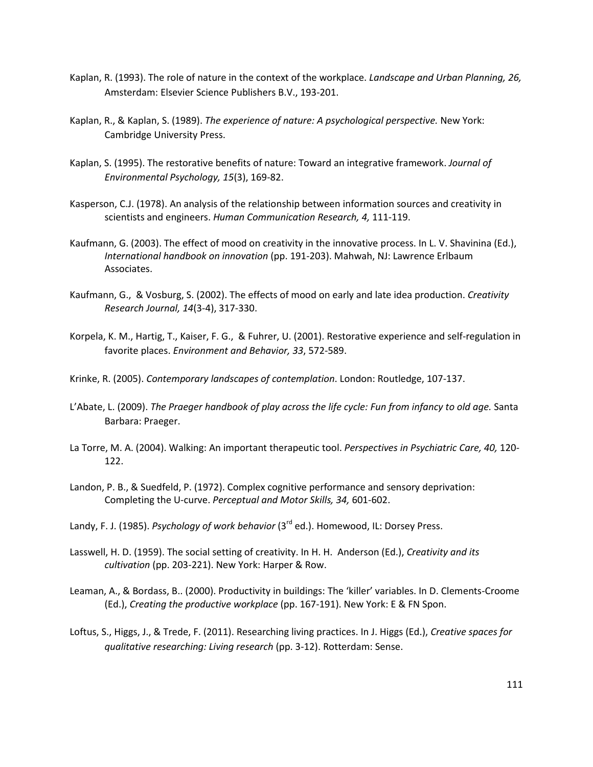- Kaplan, R. (1993). The role of nature in the context of the workplace. *Landscape and Urban Planning, 26,* Amsterdam: Elsevier Science Publishers B.V., 193-201.
- Kaplan, R., & Kaplan, S. (1989). *The experience of nature: A psychological perspective.* New York: Cambridge University Press.
- Kaplan, S. (1995). The restorative benefits of nature: Toward an integrative framework. *Journal of Environmental Psychology, 15*(3), 169-82.
- Kasperson, C.J. (1978). An analysis of the relationship between information sources and creativity in scientists and engineers. *Human Communication Research, 4,* 111-119.
- Kaufmann, G. (2003). The effect of mood on creativity in the innovative process. In L. V. Shavinina (Ed.), *International handbook on innovation* (pp. 191-203). Mahwah, NJ: Lawrence Erlbaum Associates.
- Kaufmann, G., & Vosburg, S. (2002). The effects of mood on early and late idea production. *Creativity Research Journal, 14*(3-4), 317-330.
- Korpela, K. M., Hartig, T., Kaiser, F. G., & Fuhrer, U. (2001). Restorative experience and self-regulation in favorite places. *Environment and Behavior, 33*, 572-589.
- Krinke, R. (2005). *Contemporary landscapes of contemplation*. London: Routledge, 107-137.
- L'Abate, L. (2009). *The Praeger handbook of play across the life cycle: Fun from infancy to old age.* Santa Barbara: Praeger.
- La Torre, M. A. (2004). Walking: An important therapeutic tool. *Perspectives in Psychiatric Care, 40,* 120- 122.
- Landon, P. B., & Suedfeld, P. (1972). Complex cognitive performance and sensory deprivation: Completing the U-curve. *Perceptual and Motor Skills, 34,* 601-602.
- Landy, F. J. (1985). *Psychology of work behavior* (3<sup>rd</sup> ed.). Homewood, IL: Dorsey Press.
- Lasswell, H. D. (1959). The social setting of creativity. In H. H. Anderson (Ed.), *Creativity and its cultivation* (pp. 203-221). New York: Harper & Row.
- Leaman, A., & Bordass, B.. (2000). Productivity in buildings: The 'killer' variables. In D. Clements-Croome (Ed.), *Creating the productive workplace* (pp. 167-191). New York: E & FN Spon.
- Loftus, S., Higgs, J., & Trede, F. (2011). Researching living practices. In J. Higgs (Ed.), *Creative spaces for qualitative researching: Living research* (pp. 3-12). Rotterdam: Sense.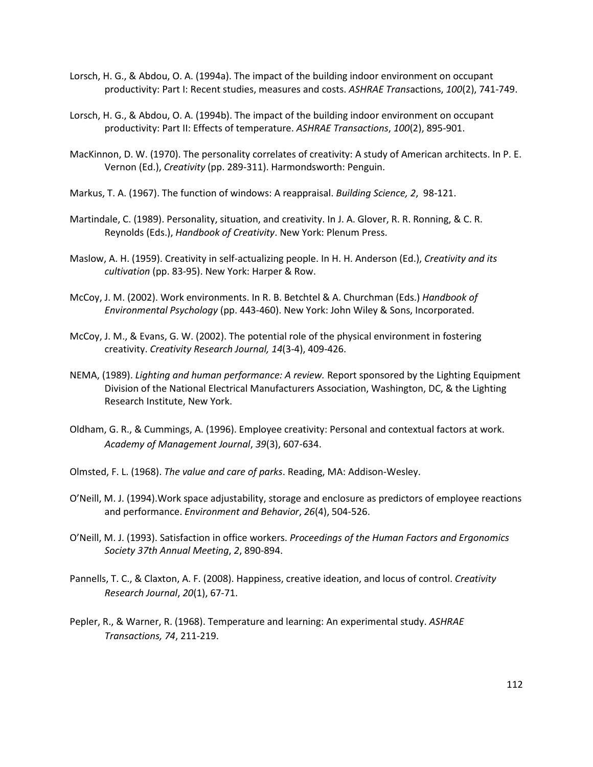- Lorsch, H. G., & Abdou, O. A. (1994a). The impact of the building indoor environment on occupant productivity: Part I: Recent studies, measures and costs. *ASHRAE Trans*actions, *100*(2), 741-749.
- Lorsch, H. G., & Abdou, O. A. (1994b). The impact of the building indoor environment on occupant productivity: Part II: Effects of temperature. *ASHRAE Transactions*, *100*(2), 895-901.
- MacKinnon, D. W. (1970). The personality correlates of creativity: A study of American architects. In P. E. Vernon (Ed.), *Creativity* (pp. 289-311). Harmondsworth: Penguin.
- Markus, T. A. (1967). The function of windows: A reappraisal. *Building Science, 2*, 98-121.
- Martindale, C. (1989). Personality, situation, and creativity. In J. A. Glover, R. R. Ronning, & C. R. Reynolds (Eds.), *Handbook of Creativity*. New York: Plenum Press.
- Maslow, A. H. (1959). Creativity in self-actualizing people. In H. H. Anderson (Ed.), *Creativity and its cultivation* (pp. 83-95). New York: Harper & Row.
- McCoy, J. M. (2002). Work environments. In R. B. Betchtel & A. Churchman (Eds.) *Handbook of Environmental Psychology* (pp. 443-460). New York: John Wiley & Sons, Incorporated.
- McCoy, J. M., & Evans, G. W. (2002). The potential role of the physical environment in fostering creativity. *Creativity Research Journal, 14*(3-4), 409-426.
- NEMA, (1989). *Lighting and human performance: A review.* Report sponsored by the Lighting Equipment Division of the National Electrical Manufacturers Association, Washington, DC, & the Lighting Research Institute, New York.
- Oldham, G. R., & Cummings, A. (1996). Employee creativity: Personal and contextual factors at work. *Academy of Management Journal*, *39*(3), 607-634.
- Olmsted, F. L. (1968). *The value and care of parks*. Reading, MA: Addison-Wesley.
- O'Neill, M. J. (1994).Work space adjustability, storage and enclosure as predictors of employee reactions and performance. *Environment and Behavior*, *26*(4), 504-526.
- O'Neill, M. J. (1993). Satisfaction in office workers. *Proceedings of the Human Factors and Ergonomics Society 37th Annual Meeting*, *2*, 890-894.
- Pannells, T. C., & Claxton, A. F. (2008). Happiness, creative ideation, and locus of control. *Creativity Research Journal*, *20*(1), 67-71.
- Pepler, R., & Warner, R. (1968). Temperature and learning: An experimental study. *ASHRAE Transactions, 74*, 211-219.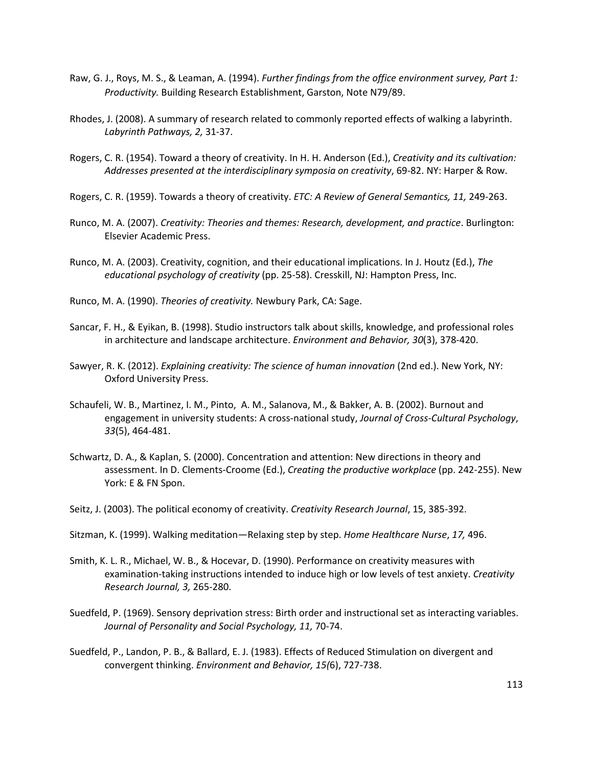- Raw, G. J., Roys, M. S., & Leaman, A. (1994). *Further findings from the office environment survey, Part 1: Productivity.* Building Research Establishment, Garston, Note N79/89.
- Rhodes, J. (2008). A summary of research related to commonly reported effects of walking a labyrinth. *Labyrinth Pathways, 2,* 31-37.
- Rogers, C. R. (1954). Toward a theory of creativity. In H. H. Anderson (Ed.), *Creativity and its cultivation: Addresses presented at the interdisciplinary symposia on creativity*, 69-82. NY: Harper & Row.
- Rogers, C. R. (1959). Towards a theory of creativity. *ETC: A Review of General Semantics, 11,* 249-263.
- Runco, M. A. (2007). *Creativity: Theories and themes: Research, development, and practice*. Burlington: Elsevier Academic Press.
- Runco, M. A. (2003). Creativity, cognition, and their educational implications. In J. Houtz (Ed.), *The educational psychology of creativity* (pp. 25-58). Cresskill, NJ: Hampton Press, Inc.
- Runco, M. A. (1990). *Theories of creativity.* Newbury Park, CA: Sage.
- Sancar, F. H., & Eyikan, B. (1998). Studio instructors talk about skills, knowledge, and professional roles in architecture and landscape architecture. *Environment and Behavior, 30*(3), 378-420.
- Sawyer, R. K. (2012). *Explaining creativity: The science of human innovation* (2nd ed.). New York, NY: Oxford University Press.
- Schaufeli, W. B., Martinez, I. M., Pinto, A. M., Salanova, M., & Bakker, A. B. (2002). Burnout and engagement in university students: A cross-national study, *Journal of Cross-Cultural Psychology*, *33*(5), 464-481.
- Schwartz, D. A., & Kaplan, S. (2000). Concentration and attention: New directions in theory and assessment. In D. Clements-Croome (Ed.), *Creating the productive workplace* (pp. 242-255). New York: E & FN Spon.
- Seitz, J. (2003). The political economy of creativity. *Creativity Research Journal*, 15, 385-392.
- Sitzman, K. (1999). Walking meditation—Relaxing step by step. *Home Healthcare Nurse*, *17,* 496.
- Smith, K. L. R., Michael, W. B., & Hocevar, D. (1990). Performance on creativity measures with examination-taking instructions intended to induce high or low levels of test anxiety. *Creativity Research Journal, 3,* 265-280.
- Suedfeld, P. (1969). Sensory deprivation stress: Birth order and instructional set as interacting variables. *Journal of Personality and Social Psychology, 11,* 70-74.
- Suedfeld, P., Landon, P. B., & Ballard, E. J. (1983). Effects of Reduced Stimulation on divergent and convergent thinking. *Environment and Behavior, 15(*6), 727-738.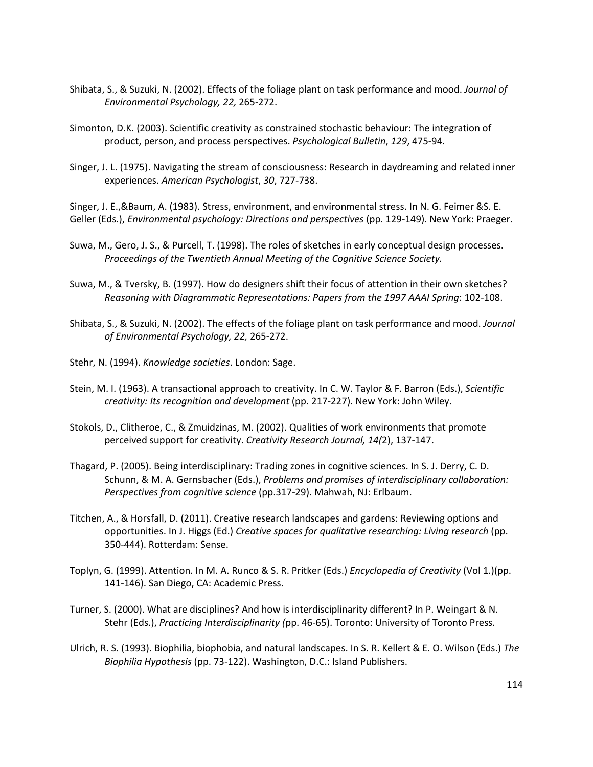- Shibata, S., & Suzuki, N. (2002). Effects of the foliage plant on task performance and mood. *Journal of Environmental Psychology, 22,* 265-272.
- Simonton, D.K. (2003). Scientific creativity as constrained stochastic behaviour: The integration of product, person, and process perspectives. *Psychological Bulletin*, *129*, 475-94.
- Singer, J. L. (1975). Navigating the stream of consciousness: Research in daydreaming and related inner experiences. *American Psychologist*, *30*, 727-738.

Singer, J. E.,&Baum, A. (1983). Stress, environment, and environmental stress. In N. G. Feimer &S. E. Geller (Eds.), *Environmental psychology: Directions and perspectives* (pp. 129-149). New York: Praeger.

- Suwa, M., Gero, J. S., & Purcell, T. (1998). The roles of sketches in early conceptual design processes. *Proceedings of the Twentieth Annual Meeting of the Cognitive Science Society.*
- Suwa, M., & Tversky, B. (1997). How do designers shift their focus of attention in their own sketches? *Reasoning with Diagrammatic Representations: Papers from the 1997 AAAI Spring*: 102-108.
- Shibata, S., & Suzuki, N. (2002). The effects of the foliage plant on task performance and mood. *Journal of Environmental Psychology, 22,* 265-272.
- Stehr, N. (1994). *Knowledge societies*. London: Sage.
- Stein, M. I. (1963). A transactional approach to creativity. In C. W. Taylor & F. Barron (Eds.), *Scientific creativity: Its recognition and development* (pp. 217-227). New York: John Wiley.
- Stokols, D., Clitheroe, C., & Zmuidzinas, M. (2002). Qualities of work environments that promote perceived support for creativity. *Creativity Research Journal, 14(*2), 137-147.
- Thagard, P. (2005). Being interdisciplinary: Trading zones in cognitive sciences. In S. J. Derry, C. D. Schunn, & M. A. Gernsbacher (Eds.), *Problems and promises of interdisciplinary collaboration: Perspectives from cognitive science* (pp.317-29). Mahwah, NJ: Erlbaum.
- Titchen, A., & Horsfall, D. (2011). Creative research landscapes and gardens: Reviewing options and opportunities. In J. Higgs (Ed.) *Creative spaces for qualitative researching: Living research* (pp. 350-444). Rotterdam: Sense.
- Toplyn, G. (1999). Attention. In M. A. Runco & S. R. Pritker (Eds.) *Encyclopedia of Creativity* (Vol 1.)(pp. 141-146). San Diego, CA: Academic Press.
- Turner, S. (2000). What are disciplines? And how is interdisciplinarity different? In P. Weingart & N. Stehr (Eds.), *Practicing Interdisciplinarity (*pp. 46-65). Toronto: University of Toronto Press.
- Ulrich, R. S. (1993). Biophilia, biophobia, and natural landscapes. In S. R. Kellert & E. O. Wilson (Eds.) *The Biophilia Hypothesis* (pp. 73-122). Washington, D.C.: Island Publishers.